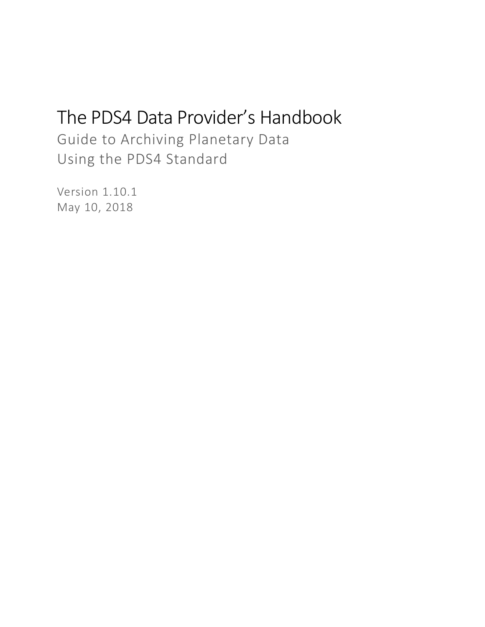# The PDS4 Data Provider's Handbook

Guide to Archiving Planetary Data Using the PDS4 Standard

Version 1.10.1 May 10, 2018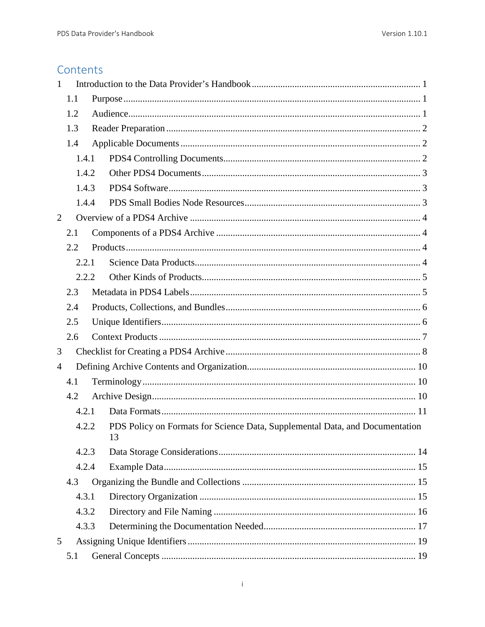## Contents

| $\mathbf{1}$   |       |  |                                                                                    |  |  |
|----------------|-------|--|------------------------------------------------------------------------------------|--|--|
| 1.1            |       |  |                                                                                    |  |  |
|                | 1.2   |  |                                                                                    |  |  |
|                | 1.3   |  |                                                                                    |  |  |
|                | 1.4   |  |                                                                                    |  |  |
|                | 1.4.1 |  |                                                                                    |  |  |
|                | 1.4.2 |  |                                                                                    |  |  |
|                | 1.4.3 |  |                                                                                    |  |  |
|                | 1.4.4 |  |                                                                                    |  |  |
| $\overline{2}$ |       |  |                                                                                    |  |  |
|                | 2.1   |  |                                                                                    |  |  |
|                | 2.2   |  |                                                                                    |  |  |
|                | 2.2.1 |  |                                                                                    |  |  |
|                | 2.2.2 |  |                                                                                    |  |  |
|                | 2.3   |  |                                                                                    |  |  |
|                | 2.4   |  |                                                                                    |  |  |
|                | 2.5   |  |                                                                                    |  |  |
|                | 2.6   |  |                                                                                    |  |  |
| 3              |       |  |                                                                                    |  |  |
| 4              |       |  |                                                                                    |  |  |
|                | 4.1   |  |                                                                                    |  |  |
|                | 4.2   |  |                                                                                    |  |  |
|                | 4.2.1 |  |                                                                                    |  |  |
|                | 4.2.2 |  | PDS Policy on Formats for Science Data, Supplemental Data, and Documentation<br>13 |  |  |
|                | 4.2.3 |  |                                                                                    |  |  |
|                | 4.2.4 |  |                                                                                    |  |  |
|                | 4.3   |  |                                                                                    |  |  |
|                | 4.3.1 |  |                                                                                    |  |  |
|                | 4.3.2 |  |                                                                                    |  |  |
|                | 4.3.3 |  |                                                                                    |  |  |
| 5              |       |  |                                                                                    |  |  |
| 5.1            |       |  |                                                                                    |  |  |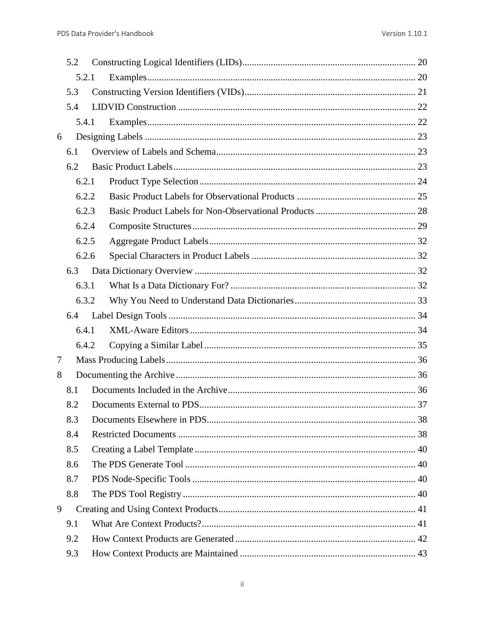|   | 5.2 |       |  |
|---|-----|-------|--|
|   |     | 5.2.1 |  |
|   | 5.3 |       |  |
|   | 5.4 |       |  |
|   |     | 5.4.1 |  |
| 6 |     |       |  |
|   | 6.1 |       |  |
|   | 6.2 |       |  |
|   |     | 6.2.1 |  |
|   |     | 6.2.2 |  |
|   |     | 6.2.3 |  |
|   |     | 6.2.4 |  |
|   |     | 6.2.5 |  |
|   |     | 6.2.6 |  |
|   | 6.3 |       |  |
|   |     | 6.3.1 |  |
|   |     | 6.3.2 |  |
|   | 6.4 |       |  |
|   |     | 6.4.1 |  |
|   |     | 6.4.2 |  |
| 7 |     |       |  |
| 8 |     |       |  |
|   | 8.1 |       |  |
|   | 8.2 |       |  |
|   | 8.3 |       |  |
|   | 8.4 |       |  |
|   | 8.5 |       |  |
|   | 8.6 |       |  |
|   | 8.7 |       |  |
|   | 8.8 |       |  |
| 9 |     |       |  |
|   | 9.1 |       |  |
|   | 9.2 |       |  |
|   | 9.3 |       |  |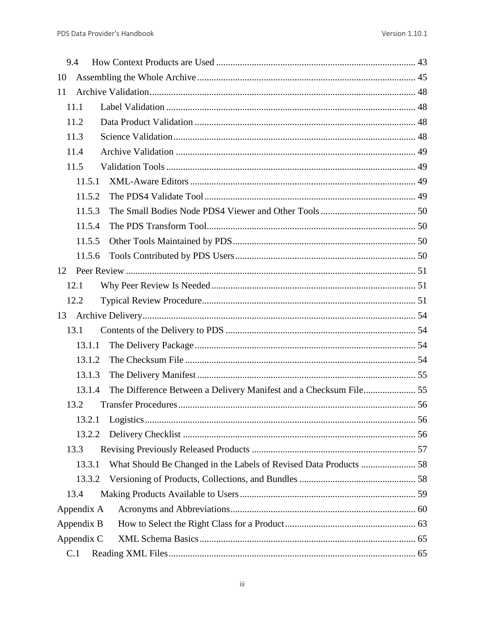| 9.4                                                                         |  |
|-----------------------------------------------------------------------------|--|
| 10                                                                          |  |
| 11                                                                          |  |
| 11.1                                                                        |  |
| 11.2                                                                        |  |
| 11.3                                                                        |  |
| 11.4                                                                        |  |
| 11.5                                                                        |  |
| 11.5.1                                                                      |  |
| 11.5.2                                                                      |  |
| 11.5.3                                                                      |  |
| 11.5.4                                                                      |  |
| 11.5.5                                                                      |  |
| 11.5.6                                                                      |  |
| 12                                                                          |  |
| 12.1                                                                        |  |
| 12.2                                                                        |  |
|                                                                             |  |
| 13.1                                                                        |  |
| 13.1.1                                                                      |  |
| 13.1.2                                                                      |  |
| 13.1.3                                                                      |  |
| 13.1.4                                                                      |  |
| 13.2                                                                        |  |
| 13.2.1                                                                      |  |
| 13.2.2                                                                      |  |
| 13.3                                                                        |  |
| What Should Be Changed in the Labels of Revised Data Products  58<br>13.3.1 |  |
| 13.3.2                                                                      |  |
| 13.4                                                                        |  |
| Appendix A                                                                  |  |
| Appendix B                                                                  |  |
| Appendix C                                                                  |  |
| C.1                                                                         |  |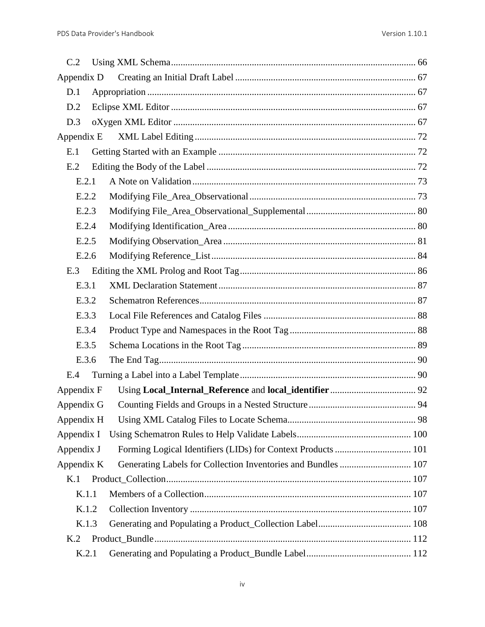| C.2            |                                                               |  |
|----------------|---------------------------------------------------------------|--|
| Appendix D     |                                                               |  |
| D.1            |                                                               |  |
| D.2            |                                                               |  |
| D.3            |                                                               |  |
| Appendix E     |                                                               |  |
| E.1            |                                                               |  |
| E.2            |                                                               |  |
| E.2.1          |                                                               |  |
| E.2.2          |                                                               |  |
| E.2.3          |                                                               |  |
| E.2.4          |                                                               |  |
| E.2.5          |                                                               |  |
| E.2.6          |                                                               |  |
| E.3            |                                                               |  |
| E.3.1          |                                                               |  |
| E.3.2          |                                                               |  |
| E.3.3          |                                                               |  |
| E.3.4          |                                                               |  |
| E.3.5          |                                                               |  |
| E.3.6          |                                                               |  |
| E.4            |                                                               |  |
| Appendix F     |                                                               |  |
| Appendix G     |                                                               |  |
| Appendix H     |                                                               |  |
| Appendix I     |                                                               |  |
| Appendix J     |                                                               |  |
| Appendix K     | Generating Labels for Collection Inventories and Bundles  107 |  |
| K.1            |                                                               |  |
| K.1.1          |                                                               |  |
| K.1.2          |                                                               |  |
| K.1.3          |                                                               |  |
| K <sub>2</sub> |                                                               |  |
| K.2.1          |                                                               |  |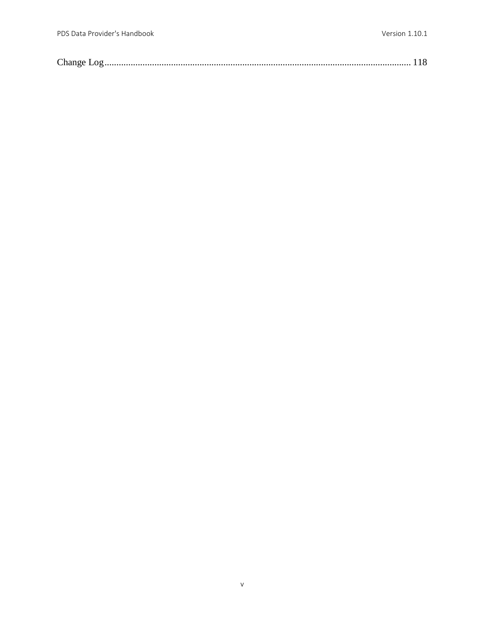|--|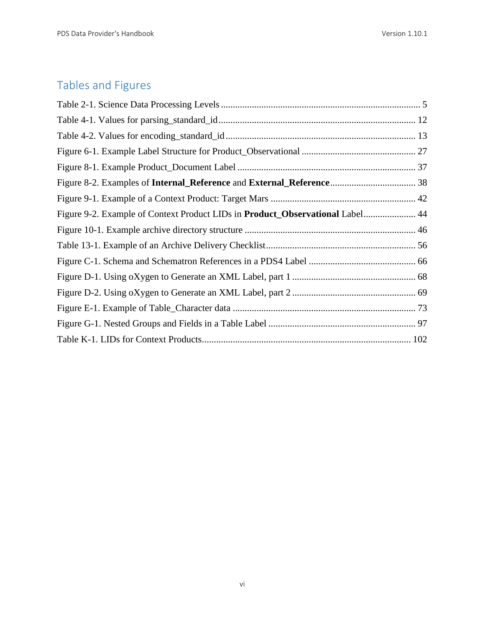## Tables and Figures

| Figure 9-2. Example of Context Product LIDs in Product_Observational Label 44 |  |
|-------------------------------------------------------------------------------|--|
|                                                                               |  |
|                                                                               |  |
|                                                                               |  |
|                                                                               |  |
|                                                                               |  |
|                                                                               |  |
|                                                                               |  |
|                                                                               |  |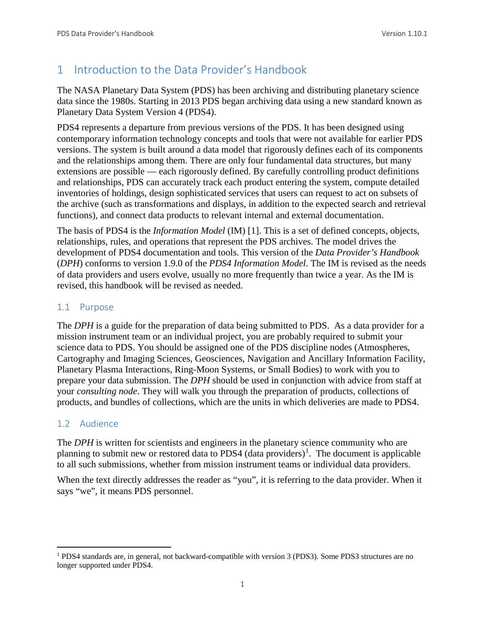### <span id="page-7-0"></span>1 Introduction to the Data Provider's Handbook

The NASA Planetary Data System (PDS) has been archiving and distributing planetary science data since the 1980s. Starting in 2013 PDS began archiving data using a new standard known as Planetary Data System Version 4 (PDS4).

PDS4 represents a departure from previous versions of the PDS. It has been designed using contemporary information technology concepts and tools that were not available for earlier PDS versions. The system is built around a data model that rigorously defines each of its components and the relationships among them. There are only four fundamental data structures, but many extensions are possible — each rigorously defined. By carefully controlling product definitions and relationships, PDS can accurately track each product entering the system, compute detailed inventories of holdings, design sophisticated services that users can request to act on subsets of the archive (such as transformations and displays, in addition to the expected search and retrieval functions), and connect data products to relevant internal and external documentation.

The basis of PDS4 is the *Information Model* (IM) [1]. This is a set of defined concepts, objects, relationships, rules, and operations that represent the PDS archives. The model drives the development of PDS4 documentation and tools. This version of the *Data Provider's Handbook* (*DPH*) conforms to version 1.9.0 of the *PDS4 Information Model*. The IM is revised as the needs of data providers and users evolve, usually no more frequently than twice a year. As the IM is revised, this handbook will be revised as needed.

#### <span id="page-7-1"></span>1.1 Purpose

The *DPH* is a guide for the preparation of data being submitted to PDS. As a data provider for a mission instrument team or an individual project, you are probably required to submit your science data to PDS. You should be assigned one of the PDS discipline nodes (Atmospheres, Cartography and Imaging Sciences, Geosciences, Navigation and Ancillary Information Facility, Planetary Plasma Interactions, Ring-Moon Systems, or Small Bodies) to work with you to prepare your data submission. The *DPH* should be used in conjunction with advice from staff at your *consulting node*. They will walk you through the preparation of products, collections of products, and bundles of collections, which are the units in which deliveries are made to PDS4.

#### <span id="page-7-2"></span>1.2 Audience

The *DPH* is written for scientists and engineers in the planetary science community who are planning to submit new or restored data to PDS4 (data providers)<sup>[1](#page-7-3)</sup>. The document is applicable to all such submissions, whether from mission instrument teams or individual data providers.

When the text directly addresses the reader as "you", it is referring to the data provider. When it says "we", it means PDS personnel.

<span id="page-7-3"></span> <sup>1</sup> PDS4 standards are, in general, not backward-compatible with version 3 (PDS3). Some PDS3 structures are no longer supported under PDS4.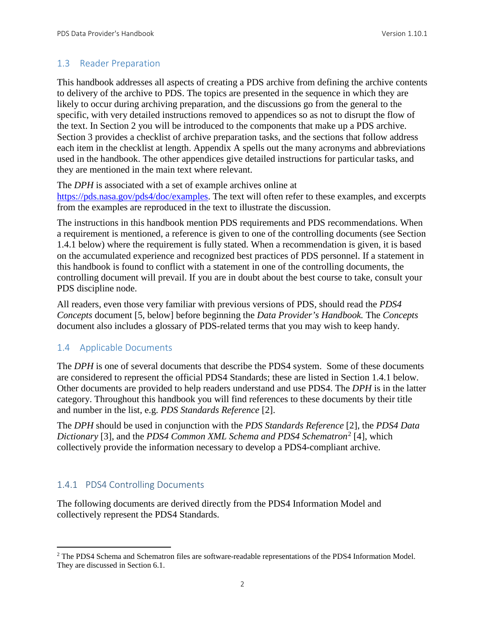#### <span id="page-8-0"></span>1.3 Reader Preparation

This handbook addresses all aspects of creating a PDS archive from defining the archive contents to delivery of the archive to PDS. The topics are presented in the sequence in which they are likely to occur during archiving preparation, and the discussions go from the general to the specific, with very detailed instructions removed to appendices so as not to disrupt the flow of the text. In Section 2 you will be introduced to the components that make up a PDS archive. Section 3 provides a checklist of archive preparation tasks, and the sections that follow address each item in the checklist at length. Appendix A spells out the many acronyms and abbreviations used in the handbook. The other appendices give detailed instructions for particular tasks, and they are mentioned in the main text where relevant.

The *DPH* is associated with a set of example archives online at [https://pds.nasa.gov/pds4/doc/examples.](https://pds.nasa.gov/pds4/doc/examples) The text will often refer to these examples, and excerpts from the examples are reproduced in the text to illustrate the discussion.

The instructions in this handbook mention PDS requirements and PDS recommendations. When a requirement is mentioned, a reference is given to one of the controlling documents (see Section 1.4.1 below) where the requirement is fully stated. When a recommendation is given, it is based on the accumulated experience and recognized best practices of PDS personnel. If a statement in this handbook is found to conflict with a statement in one of the controlling documents, the controlling document will prevail. If you are in doubt about the best course to take, consult your PDS discipline node.

All readers, even those very familiar with previous versions of PDS, should read the *PDS4 Concepts* document [5, below] before beginning the *Data Provider's Handbook.* The *Concepts* document also includes a glossary of PDS-related terms that you may wish to keep handy.

#### <span id="page-8-1"></span>1.4 Applicable Documents

The *DPH* is one of several documents that describe the PDS4 system. Some of these documents are considered to represent the official PDS4 Standards; these are listed in Section 1.4.1 below. Other documents are provided to help readers understand and use PDS4. The *DPH* is in the latter category. Throughout this handbook you will find references to these documents by their title and number in the list, e.g. *PDS Standards Reference* [2].

The *DPH* should be used in conjunction with the *PDS Standards Reference* [2], the *PDS4 Data Dictionary* [3], and the *PDS4 Common XML Schema and PDS4 Schematron*[2](#page-8-3) [4], which collectively provide the information necessary to develop a PDS4-compliant archive.

#### <span id="page-8-2"></span>1.4.1 PDS4 Controlling Documents

The following documents are derived directly from the PDS4 Information Model and collectively represent the PDS4 Standards.

<span id="page-8-3"></span><sup>&</sup>lt;sup>2</sup> The PDS4 Schema and Schematron files are software-readable representations of the PDS4 Information Model. They are discussed in Section 6.1.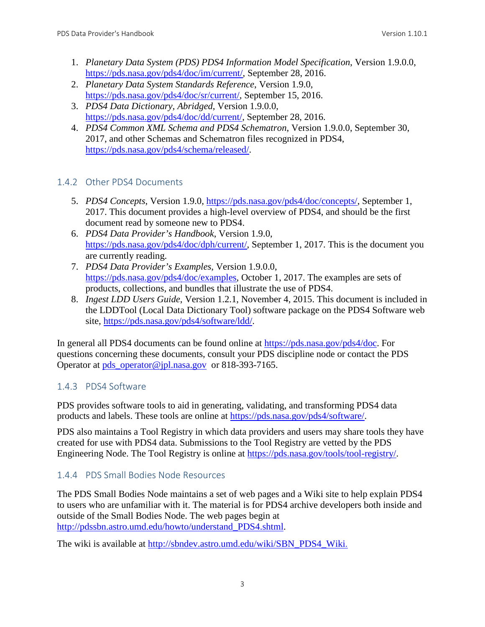- 1. *Planetary Data System (PDS) PDS4 Information Model Specification*, Version 1.9.0.0, [https://pds.nasa.gov/pds4/doc/im/current/,](https://pds.nasa.gov/pds4/doc/im/current/) September 28, 2016.
- 2. *Planetary Data System Standards Reference*, Version 1.9.0, [https://pds.nasa.gov/pds4/doc/sr/current/,](https://pds.nasa.gov/pds4/doc/sr/current/) September 15, 2016.
- 3. *PDS4 Data Dictionary, Abridged*, Version 1.9.0.0, [https://pds.nasa.gov/pds4/doc/dd/current/,](https://pds.nasa.gov/pds4/doc/dd/current/) September 28, 2016.
- 4. *PDS4 Common XML Schema and PDS4 Schematron*, Version 1.9.0.0, September 30, 2017, and other Schemas and Schematron files recognized in PDS4, [https://pds.nasa.gov/pds4/schema/released/.](https://pds.nasa.gov/pds4/schema/released/)

#### <span id="page-9-0"></span>1.4.2 Other PDS4 Documents

- 5. *PDS4 Concepts*, Version 1.9.0, [https://pds.nasa.gov/pds4/doc/concepts/,](https://pds.nasa.gov/pds4/doc/concepts/) September 1, 2017. This document provides a high-level overview of PDS4, and should be the first document read by someone new to PDS4.
- 6. *PDS4 Data Provider's Handbook*, Version 1.9.0, [https://pds.nasa.gov/pds4/doc/dph/current/,](https://pds.nasa.gov/pds4/doc/dph/current/) September 1, 2017. This is the document you are currently reading.
- 7. *PDS4 Data Provider's Examples*, Version 1.9.0.0, [https://pds.nasa.gov/pds4/doc/examples,](https://pds.nasa.gov/pds4/doc/examples) October 1, 2017. The examples are sets of products, collections, and bundles that illustrate the use of PDS4.
- 8. *Ingest LDD Users Guide*, Version 1.2.1, November 4, 2015. This document is included in the LDDTool (Local Data Dictionary Tool) software package on the PDS4 Software web site, [https://pds.nasa.gov/pds4/software/ldd/.](https://pds.nasa.gov/pds4/software/ldd/)

In general all PDS4 documents can be found online at [https://pds.nasa.gov/pds4/doc.](https://pds.nasa.gov/pds4/doc) For questions concerning these documents, consult your PDS discipline node or contact the PDS Operator at [pds\\_operator@jpl.nasa.gov](mailto:pds_operator@jpl.nasa.gov) or 818-393-7165.

#### <span id="page-9-1"></span>1.4.3 PDS4 Software

PDS provides software tools to aid in generating, validating, and transforming PDS4 data products and labels. These tools are online at [https://pds.nasa.gov/pds4/software/.](http://pds.nasa.gov/pds4/software/)

PDS also maintains a Tool Registry in which data providers and users may share tools they have created for use with PDS4 data. Submissions to the Tool Registry are vetted by the PDS Engineering Node. The Tool Registry is online at [https://pds.nasa.gov/tools/tool-registry/.](https://pds.nasa.gov/tools/tool-registry/)

#### <span id="page-9-2"></span>1.4.4 PDS Small Bodies Node Resources

The PDS Small Bodies Node maintains a set of web pages and a Wiki site to help explain PDS4 to users who are unfamiliar with it. The material is for PDS4 archive developers both inside and outside of the Small Bodies Node. The web pages begin at [http://pdssbn.astro.umd.edu/howto/understand\\_PDS4.shtml.](http://pdssbn.astro.umd.edu/howto/understand_PDS4.shtml)

The wiki is available at [http://sbndev.astro.umd.edu/wiki/SBN\\_PDS4\\_Wiki](http://sbndev.astro.umd.edu/wiki/SBN_PDS4_Wiki).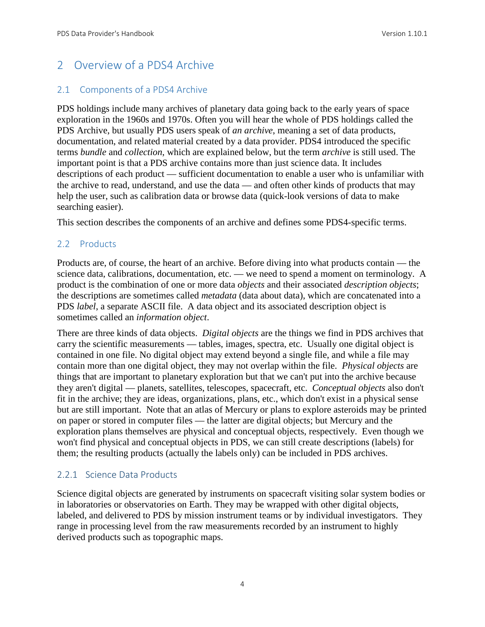## <span id="page-10-0"></span>2 Overview of a PDS4 Archive

#### <span id="page-10-1"></span>2.1 Components of a PDS4 Archive

PDS holdings include many archives of planetary data going back to the early years of space exploration in the 1960s and 1970s. Often you will hear the whole of PDS holdings called the PDS Archive, but usually PDS users speak of *an archive*, meaning a set of data products, documentation, and related material created by a data provider. PDS4 introduced the specific terms *bundle* and *collection*, which are explained below, but the term *archive* is still used. The important point is that a PDS archive contains more than just science data. It includes descriptions of each product — sufficient documentation to enable a user who is unfamiliar with the archive to read, understand, and use the data — and often other kinds of products that may help the user, such as calibration data or browse data (quick-look versions of data to make searching easier).

This section describes the components of an archive and defines some PDS4-specific terms.

#### <span id="page-10-2"></span>2.2 Products

Products are, of course, the heart of an archive. Before diving into what products contain — the science data, calibrations, documentation, etc. — we need to spend a moment on terminology. A product is the combination of one or more data *objects* and their associated *description objects*; the descriptions are sometimes called *metadata* (data about data), which are concatenated into a PDS *label*, a separate ASCII file. A data object and its associated description object is sometimes called an *information object*.

There are three kinds of data objects. *Digital objects* are the things we find in PDS archives that carry the scientific measurements — tables, images, spectra, etc. Usually one digital object is contained in one file. No digital object may extend beyond a single file, and while a file may contain more than one digital object, they may not overlap within the file. *Physical objects* are things that are important to planetary exploration but that we can't put into the archive because they aren't digital — planets, satellites, telescopes, spacecraft, etc. *Conceptual objects* also don't fit in the archive; they are ideas, organizations, plans, etc., which don't exist in a physical sense but are still important. Note that an atlas of Mercury or plans to explore asteroids may be printed on paper or stored in computer files — the latter are digital objects; but Mercury and the exploration plans themselves are physical and conceptual objects, respectively. Even though we won't find physical and conceptual objects in PDS, we can still create descriptions (labels) for them; the resulting products (actually the labels only) can be included in PDS archives.

#### <span id="page-10-3"></span>2.2.1 Science Data Products

Science digital objects are generated by instruments on spacecraft visiting solar system bodies or in laboratories or observatories on Earth. They may be wrapped with other digital objects, labeled, and delivered to PDS by mission instrument teams or by individual investigators. They range in processing level from the raw measurements recorded by an instrument to highly derived products such as topographic maps.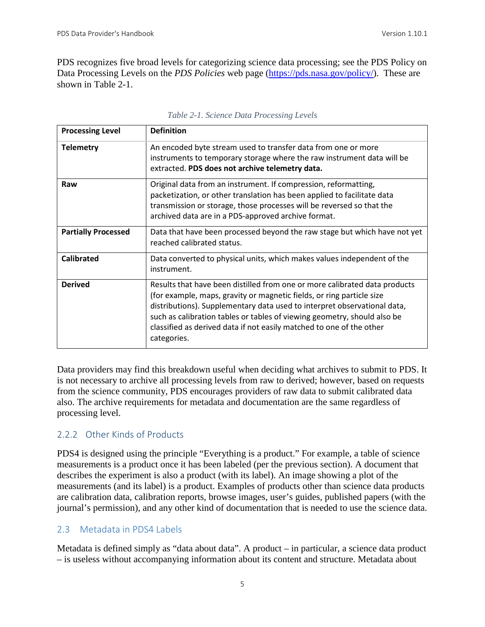PDS recognizes five broad levels for categorizing science data processing; see the PDS Policy on Data Processing Levels on the *PDS Policies* web page [\(https://pds.nasa.gov/policy/\)](http://pds.nasa.gov/policy/). These are shown in Table 2-1.

| <b>Processing Level</b>    | <b>Definition</b>                                                                                                                                                                                                                                                                                                                                                                                  |
|----------------------------|----------------------------------------------------------------------------------------------------------------------------------------------------------------------------------------------------------------------------------------------------------------------------------------------------------------------------------------------------------------------------------------------------|
| <b>Telemetry</b>           | An encoded byte stream used to transfer data from one or more<br>instruments to temporary storage where the raw instrument data will be<br>extracted. PDS does not archive telemetry data.                                                                                                                                                                                                         |
| Raw                        | Original data from an instrument. If compression, reformatting,<br>packetization, or other translation has been applied to facilitate data<br>transmission or storage, those processes will be reversed so that the<br>archived data are in a PDS-approved archive format.                                                                                                                         |
| <b>Partially Processed</b> | Data that have been processed beyond the raw stage but which have not yet<br>reached calibrated status.                                                                                                                                                                                                                                                                                            |
| <b>Calibrated</b>          | Data converted to physical units, which makes values independent of the<br>instrument.                                                                                                                                                                                                                                                                                                             |
| <b>Derived</b>             | Results that have been distilled from one or more calibrated data products<br>(for example, maps, gravity or magnetic fields, or ring particle size<br>distributions). Supplementary data used to interpret observational data,<br>such as calibration tables or tables of viewing geometry, should also be<br>classified as derived data if not easily matched to one of the other<br>categories. |

Data providers may find this breakdown useful when deciding what archives to submit to PDS. It is not necessary to archive all processing levels from raw to derived; however, based on requests from the science community, PDS encourages providers of raw data to submit calibrated data also. The archive requirements for metadata and documentation are the same regardless of processing level.

#### <span id="page-11-0"></span>2.2.2 Other Kinds of Products

PDS4 is designed using the principle "Everything is a product." For example, a table of science measurements is a product once it has been labeled (per the previous section). A document that describes the experiment is also a product (with its label). An image showing a plot of the measurements (and its label) is a product. Examples of products other than science data products are calibration data, calibration reports, browse images, user's guides, published papers (with the journal's permission), and any other kind of documentation that is needed to use the science data.

#### <span id="page-11-1"></span>2.3 Metadata in PDS4 Labels

Metadata is defined simply as "data about data". A product – in particular, a science data product – is useless without accompanying information about its content and structure. Metadata about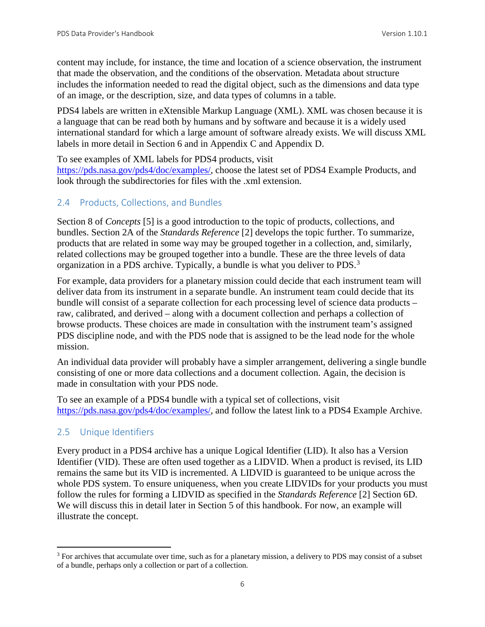content may include, for instance, the time and location of a science observation, the instrument that made the observation, and the conditions of the observation. Metadata about structure includes the information needed to read the digital object, such as the dimensions and data type of an image, or the description, size, and data types of columns in a table.

PDS4 labels are written in eXtensible Markup Language (XML). XML was chosen because it is a language that can be read both by humans and by software and because it is a widely used international standard for which a large amount of software already exists. We will discuss XML labels in more detail in Section 6 and in Appendix C and Appendix D.

To see examples of XML labels for PDS4 products, visit

[https://pds.nasa.gov/pds4/doc/examples/,](https://pds.nasa.gov/pds4/doc/examples/) choose the latest set of PDS4 Example Products, and look through the subdirectories for files with the .xml extension.

#### <span id="page-12-0"></span>2.4 Products, Collections, and Bundles

Section 8 of *Concepts* [5] is a good introduction to the topic of products, collections, and bundles. Section 2A of the *Standards Reference* [2] develops the topic further. To summarize, products that are related in some way may be grouped together in a collection, and, similarly, related collections may be grouped together into a bundle. These are the three levels of data organization in a PDS archive. Typically, a bundle is what you deliver to PDS.[3](#page-12-2)

For example, data providers for a planetary mission could decide that each instrument team will deliver data from its instrument in a separate bundle. An instrument team could decide that its bundle will consist of a separate collection for each processing level of science data products – raw, calibrated, and derived – along with a document collection and perhaps a collection of browse products. These choices are made in consultation with the instrument team's assigned PDS discipline node, and with the PDS node that is assigned to be the lead node for the whole mission.

An individual data provider will probably have a simpler arrangement, delivering a single bundle consisting of one or more data collections and a document collection. Again, the decision is made in consultation with your PDS node.

To see an example of a PDS4 bundle with a typical set of collections, visit [https://pds.nasa.gov/pds4/doc/examples/,](https://pds.nasa.gov/pds4/doc/examples/) and follow the latest link to a PDS4 Example Archive.

#### <span id="page-12-1"></span>2.5 Unique Identifiers

Every product in a PDS4 archive has a unique Logical Identifier (LID). It also has a Version Identifier (VID). These are often used together as a LIDVID. When a product is revised, its LID remains the same but its VID is incremented. A LIDVID is guaranteed to be unique across the whole PDS system. To ensure uniqueness, when you create LIDVIDs for your products you must follow the rules for forming a LIDVID as specified in the *Standards Reference* [2] Section 6D. We will discuss this in detail later in Section 5 of this handbook. For now, an example will illustrate the concept.

<span id="page-12-2"></span><sup>&</sup>lt;sup>3</sup> For archives that accumulate over time, such as for a planetary mission, a delivery to PDS may consist of a subset of a bundle, perhaps only a collection or part of a collection.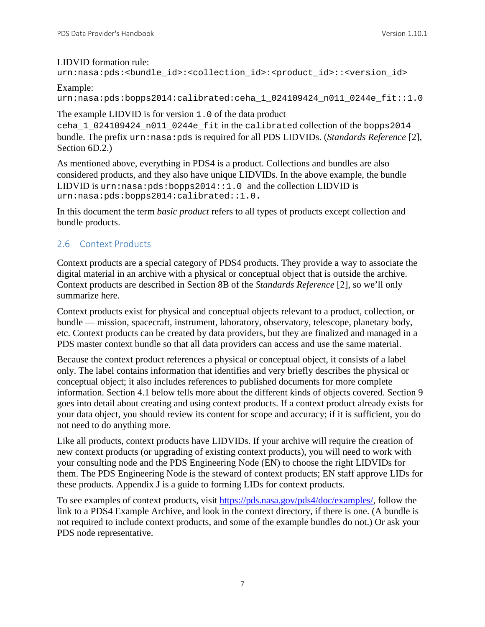#### LIDVID formation rule:

```
urn:nasa:pds:<br/>chundle_id>:<collection_id>:<product_id>::<version_id>
```
#### Example:

urn:nasa:pds:bopps2014:calibrated:ceha\_1\_024109424\_n011\_0244e\_fit::1.0

The example LIDVID is for version 1.0 of the data product

ceha\_1\_024109424\_n011\_0244e\_fit in the calibrated collection of the bopps2014 bundle. The prefix urn:nasa:pds is required for all PDS LIDVIDs. (*Standards Reference* [2], Section 6D.2.)

As mentioned above, everything in PDS4 is a product. Collections and bundles are also considered products, and they also have unique LIDVIDs. In the above example, the bundle LIDVID is  $urn: nasa: pds: bopps2014::1.0$  and the collection LIDVID is urn:nasa:pds:bopps2014:calibrated::1.0.

In this document the term *basic product* refers to all types of products except collection and bundle products.

#### <span id="page-13-0"></span>2.6 Context Products

Context products are a special category of PDS4 products. They provide a way to associate the digital material in an archive with a physical or conceptual object that is outside the archive. Context products are described in Section 8B of the *Standards Reference* [2], so we'll only summarize here.

Context products exist for physical and conceptual objects relevant to a product, collection, or bundle — mission, spacecraft, instrument, laboratory, observatory, telescope, planetary body, etc. Context products can be created by data providers, but they are finalized and managed in a PDS master context bundle so that all data providers can access and use the same material.

Because the context product references a physical or conceptual object, it consists of a label only. The label contains information that identifies and very briefly describes the physical or conceptual object; it also includes references to published documents for more complete information. Section 4.1 below tells more about the different kinds of objects covered. Section 9 goes into detail about creating and using context products. If a context product already exists for your data object, you should review its content for scope and accuracy; if it is sufficient, you do not need to do anything more.

Like all products, context products have LIDVIDs. If your archive will require the creation of new context products (or upgrading of existing context products), you will need to work with your consulting node and the PDS Engineering Node (EN) to choose the right LIDVIDs for them. The PDS Engineering Node is the steward of context products; EN staff approve LIDs for these products. Appendix J is a guide to forming LIDs for context products.

To see examples of context products, visit [https://pds.nasa.gov/pds4/doc/examples/,](https://pds.nasa.gov/pds4/doc/examples/) follow the link to a PDS4 Example Archive, and look in the context directory, if there is one. (A bundle is not required to include context products, and some of the example bundles do not.) Or ask your PDS node representative.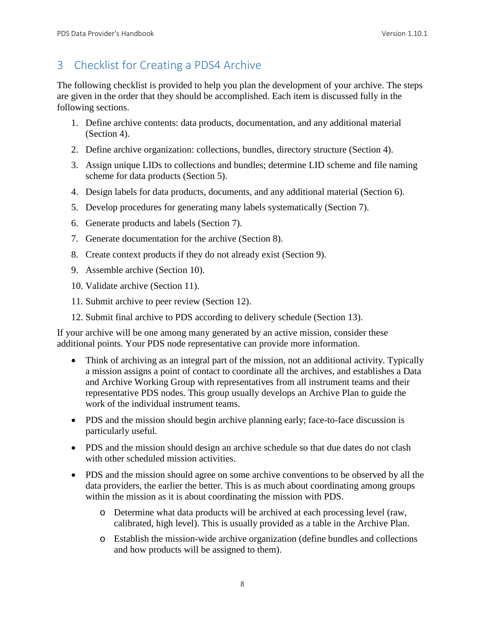## <span id="page-14-0"></span>3 Checklist for Creating a PDS4 Archive

The following checklist is provided to help you plan the development of your archive. The steps are given in the order that they should be accomplished. Each item is discussed fully in the following sections.

- 1. Define archive contents: data products, documentation, and any additional material (Section 4).
- 2. Define archive organization: collections, bundles, directory structure (Section 4).
- 3. Assign unique LIDs to collections and bundles; determine LID scheme and file naming scheme for data products (Section 5).
- 4. Design labels for data products, documents, and any additional material (Section 6).
- 5. Develop procedures for generating many labels systematically (Section 7).
- 6. Generate products and labels (Section 7).
- 7. Generate documentation for the archive (Section 8).
- 8. Create context products if they do not already exist (Section 9).
- 9. Assemble archive (Section 10).
- 10. Validate archive (Section 11).
- 11. Submit archive to peer review (Section 12).
- 12. Submit final archive to PDS according to delivery schedule (Section 13).

If your archive will be one among many generated by an active mission, consider these additional points. Your PDS node representative can provide more information.

- Think of archiving as an integral part of the mission, not an additional activity. Typically a mission assigns a point of contact to coordinate all the archives, and establishes a Data and Archive Working Group with representatives from all instrument teams and their representative PDS nodes. This group usually develops an Archive Plan to guide the work of the individual instrument teams.
- PDS and the mission should begin archive planning early; face-to-face discussion is particularly useful.
- PDS and the mission should design an archive schedule so that due dates do not clash with other scheduled mission activities.
- PDS and the mission should agree on some archive conventions to be observed by all the data providers, the earlier the better. This is as much about coordinating among groups within the mission as it is about coordinating the mission with PDS.
	- o Determine what data products will be archived at each processing level (raw, calibrated, high level). This is usually provided as a table in the Archive Plan.
	- o Establish the mission-wide archive organization (define bundles and collections and how products will be assigned to them).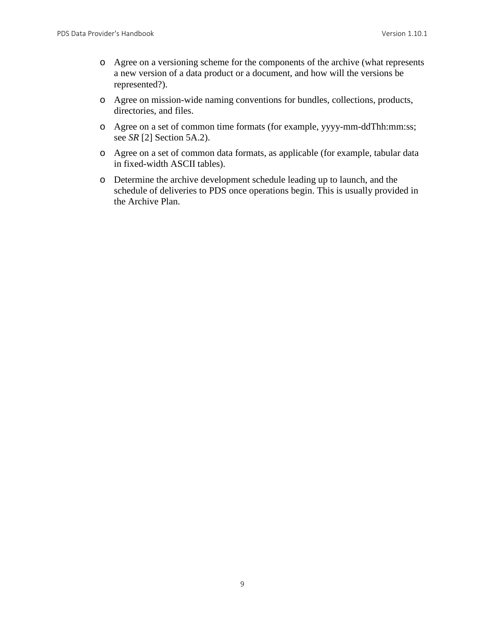- o Agree on a versioning scheme for the components of the archive (what represents a new version of a data product or a document, and how will the versions be represented?).
- o Agree on mission-wide naming conventions for bundles, collections, products, directories, and files.
- o Agree on a set of common time formats (for example, yyyy-mm-ddThh:mm:ss; see *SR* [2] Section 5A.2).
- o Agree on a set of common data formats, as applicable (for example, tabular data in fixed-width ASCII tables).
- o Determine the archive development schedule leading up to launch, and the schedule of deliveries to PDS once operations begin. This is usually provided in the Archive Plan.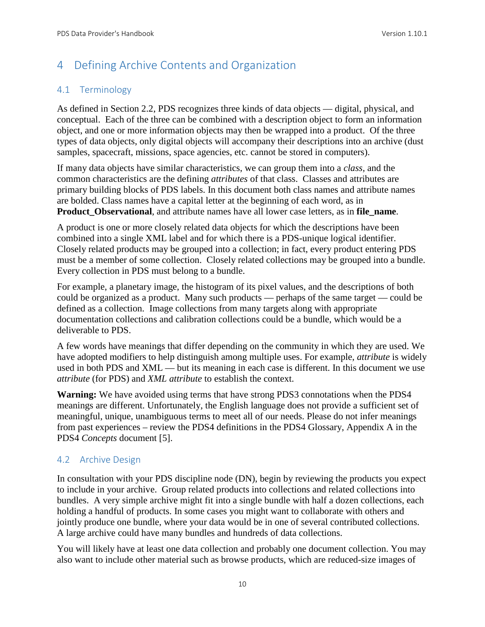## <span id="page-16-0"></span>4 Defining Archive Contents and Organization

#### <span id="page-16-1"></span>4.1 Terminology

As defined in Section 2.2, PDS recognizes three kinds of data objects — digital, physical, and conceptual. Each of the three can be combined with a description object to form an information object, and one or more information objects may then be wrapped into a product. Of the three types of data objects, only digital objects will accompany their descriptions into an archive (dust samples, spacecraft, missions, space agencies, etc. cannot be stored in computers).

If many data objects have similar characteristics, we can group them into a *class,* and the common characteristics are the defining *attributes* of that class. Classes and attributes are primary building blocks of PDS labels. In this document both class names and attribute names are bolded. Class names have a capital letter at the beginning of each word, as in **Product\_Observational**, and attribute names have all lower case letters, as in **file\_name**.

A product is one or more closely related data objects for which the descriptions have been combined into a single XML label and for which there is a PDS-unique logical identifier. Closely related products may be grouped into a collection; in fact, every product entering PDS must be a member of some collection. Closely related collections may be grouped into a bundle. Every collection in PDS must belong to a bundle.

For example, a planetary image, the histogram of its pixel values, and the descriptions of both could be organized as a product. Many such products — perhaps of the same target — could be defined as a collection. Image collections from many targets along with appropriate documentation collections and calibration collections could be a bundle, which would be a deliverable to PDS.

A few words have meanings that differ depending on the community in which they are used. We have adopted modifiers to help distinguish among multiple uses. For example, *attribute* is widely used in both PDS and XML — but its meaning in each case is different. In this document we use *attribute* (for PDS) and *XML attribute* to establish the context.

**Warning:** We have avoided using terms that have strong PDS3 connotations when the PDS4 meanings are different. Unfortunately, the English language does not provide a sufficient set of meaningful, unique, unambiguous terms to meet all of our needs. Please do not infer meanings from past experiences – review the PDS4 definitions in the PDS4 Glossary, Appendix A in the PDS4 *Concepts* document [5].

#### <span id="page-16-2"></span>4.2 Archive Design

In consultation with your PDS discipline node (DN), begin by reviewing the products you expect to include in your archive. Group related products into collections and related collections into bundles. A very simple archive might fit into a single bundle with half a dozen collections, each holding a handful of products. In some cases you might want to collaborate with others and jointly produce one bundle, where your data would be in one of several contributed collections. A large archive could have many bundles and hundreds of data collections.

You will likely have at least one data collection and probably one document collection. You may also want to include other material such as browse products, which are reduced-size images of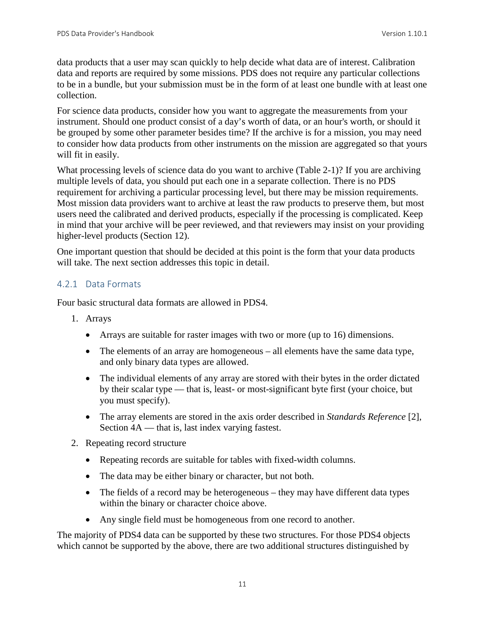data products that a user may scan quickly to help decide what data are of interest. Calibration data and reports are required by some missions. PDS does not require any particular collections to be in a bundle, but your submission must be in the form of at least one bundle with at least one collection.

For science data products, consider how you want to aggregate the measurements from your instrument. Should one product consist of a day's worth of data, or an hour's worth, or should it be grouped by some other parameter besides time? If the archive is for a mission, you may need to consider how data products from other instruments on the mission are aggregated so that yours will fit in easily.

What processing levels of science data do you want to archive (Table 2-1)? If you are archiving multiple levels of data, you should put each one in a separate collection. There is no PDS requirement for archiving a particular processing level, but there may be mission requirements. Most mission data providers want to archive at least the raw products to preserve them, but most users need the calibrated and derived products, especially if the processing is complicated. Keep in mind that your archive will be peer reviewed, and that reviewers may insist on your providing higher-level products (Section 12).

One important question that should be decided at this point is the form that your data products will take. The next section addresses this topic in detail.

#### <span id="page-17-0"></span>4.2.1 Data Formats

Four basic structural data formats are allowed in PDS4.

- 1. Arrays
	- Arrays are suitable for raster images with two or more (up to 16) dimensions.
	- The elements of an array are homogeneous all elements have the same data type, and only binary data types are allowed.
	- The individual elements of any array are stored with their bytes in the order dictated by their scalar type — that is, least- or most-significant byte first (your choice, but you must specify).
	- The array elements are stored in the axis order described in *Standards Reference* [2], Section 4A — that is, last index varying fastest.
- 2. Repeating record structure
	- Repeating records are suitable for tables with fixed-width columns.
	- The data may be either binary or character, but not both.
	- The fields of a record may be heterogeneous they may have different data types within the binary or character choice above.
	- Any single field must be homogeneous from one record to another.

The majority of PDS4 data can be supported by these two structures. For those PDS4 objects which cannot be supported by the above, there are two additional structures distinguished by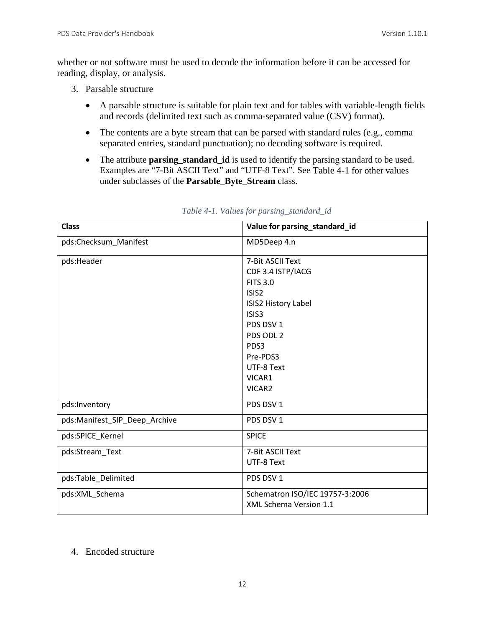whether or not software must be used to decode the information before it can be accessed for reading, display, or analysis.

- 3. Parsable structure
	- A parsable structure is suitable for plain text and for tables with variable-length fields and records (delimited text such as comma-separated value (CSV) format).
	- The contents are a byte stream that can be parsed with standard rules (e.g., comma separated entries, standard punctuation); no decoding software is required.
	- The attribute **parsing\_standard\_id** is used to identify the parsing standard to be used. Examples are "7-Bit ASCII Text" and "UTF-8 Text". See Table 4-1 for other values under subclasses of the **Parsable\_Byte\_Stream** class.

| <b>Class</b>                  | Value for parsing_standard_id   |
|-------------------------------|---------------------------------|
| pds:Checksum_Manifest         | MD5Deep 4.n                     |
| pds:Header                    | 7-Bit ASCII Text                |
|                               | CDF 3.4 ISTP/IACG               |
|                               | <b>FITS 3.0</b>                 |
|                               | ISIS <sub>2</sub>               |
|                               | ISIS2 History Label             |
|                               | ISIS3                           |
|                               | PDS DSV 1                       |
|                               | PDS ODL 2                       |
|                               | PDS3                            |
|                               | Pre-PDS3                        |
|                               | UTF-8 Text                      |
|                               | VICAR1                          |
|                               | VICAR2                          |
| pds:Inventory                 | PDS DSV 1                       |
| pds:Manifest_SIP_Deep_Archive | PDS DSV 1                       |
| pds:SPICE_Kernel              | <b>SPICE</b>                    |
| pds:Stream_Text               | 7-Bit ASCII Text                |
|                               | UTF-8 Text                      |
| pds:Table_Delimited           | PDS DSV 1                       |
| pds:XML_Schema                | Schematron ISO/IEC 19757-3:2006 |
|                               | XML Schema Version 1.1          |

#### *Table 4-1. Values for parsing\_standard\_id*

#### 4. Encoded structure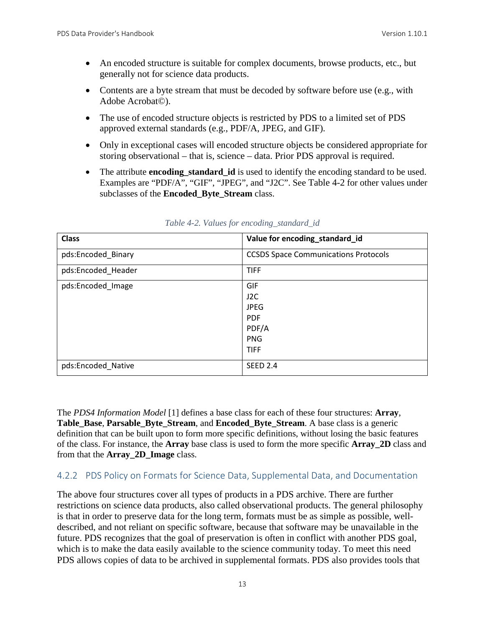- An encoded structure is suitable for complex documents, browse products, etc., but generally not for science data products.
- Contents are a byte stream that must be decoded by software before use (e.g., with Adobe Acrobat©).
- The use of encoded structure objects is restricted by PDS to a limited set of PDS approved external standards (e.g., PDF/A, JPEG, and GIF).
- Only in exceptional cases will encoded structure objects be considered appropriate for storing observational – that is, science – data. Prior PDS approval is required.
- The attribute **encoding\_standard\_id** is used to identify the encoding standard to be used. Examples are "PDF/A", "GIF", "JPEG", and "J2C". See Table 4-2 for other values under subclasses of the **Encoded\_Byte\_Stream** class.

| <b>Class</b>       | Value for encoding_standard_id              |
|--------------------|---------------------------------------------|
| pds:Encoded_Binary | <b>CCSDS Space Communications Protocols</b> |
| pds:Encoded_Header | <b>TIFF</b>                                 |
| pds:Encoded_Image  | <b>GIF</b>                                  |
|                    | J <sub>2C</sub>                             |
|                    | <b>JPEG</b>                                 |
|                    | <b>PDF</b>                                  |
|                    | PDF/A                                       |
|                    | <b>PNG</b>                                  |
|                    | <b>TIFF</b>                                 |
| pds:Encoded_Native | <b>SEED 2.4</b>                             |

*Table 4-2. Values for encoding\_standard\_id*

The *PDS4 Information Model* [1] defines a base class for each of these four structures: **Array**, **Table\_Base**, **Parsable\_Byte\_Stream**, and **Encoded\_Byte\_Stream**. A base class is a generic definition that can be built upon to form more specific definitions, without losing the basic features of the class. For instance, the **Array** base class is used to form the more specific **Array\_2D** class and from that the **Array\_2D\_Image** class.

#### <span id="page-19-0"></span>4.2.2 PDS Policy on Formats for Science Data, Supplemental Data, and Documentation

The above four structures cover all types of products in a PDS archive. There are further restrictions on science data products, also called observational products. The general philosophy is that in order to preserve data for the long term, formats must be as simple as possible, welldescribed, and not reliant on specific software, because that software may be unavailable in the future. PDS recognizes that the goal of preservation is often in conflict with another PDS goal, which is to make the data easily available to the science community today. To meet this need PDS allows copies of data to be archived in supplemental formats. PDS also provides tools that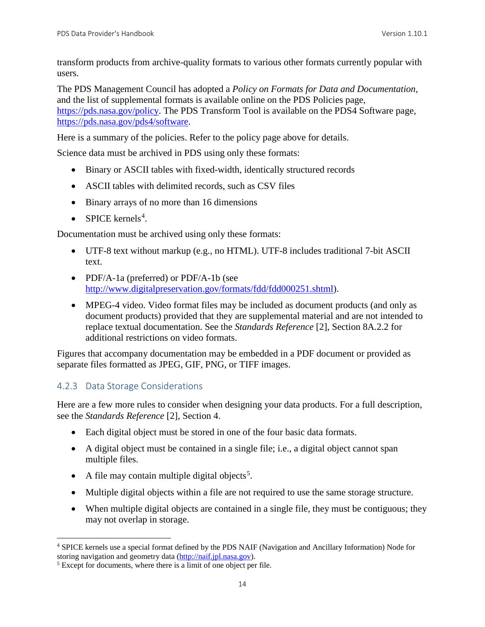transform products from archive-quality formats to various other formats currently popular with users.

The PDS Management Council has adopted a *Policy on Formats for Data and Documentation,* and the list of supplemental formats is available online on the PDS Policies page, [https://pds.nasa.gov/policy.](https://pds.nasa.gov/policy) The PDS Transform Tool is available on the PDS4 Software page, [https://pds.nasa.gov/pds4/software.](https://pds.nasa.gov/pds4/software)

Here is a summary of the policies. Refer to the policy page above for details.

Science data must be archived in PDS using only these formats:

- Binary or ASCII tables with fixed-width, identically structured records
- ASCII tables with delimited records, such as CSV files
- Binary arrays of no more than 16 dimensions
- SPICE kernels<sup>[4](#page-20-1)</sup>.

Documentation must be archived using only these formats:

- UTF-8 text without markup (e.g., no HTML). UTF-8 includes traditional 7-bit ASCII text.
- PDF/A-1a (preferred) or PDF/A-1b (see [http://www.digitalpreservation.gov/formats/fdd/fdd000251.shtml\)](http://www.digitalpreservation.gov/formats/fdd/fdd000251.shtml).
- MPEG-4 video. Video format files may be included as document products (and only as document products) provided that they are supplemental material and are not intended to replace textual documentation. See the *Standards Reference* [2], Section 8A.2.2 for additional restrictions on video formats.

Figures that accompany documentation may be embedded in a PDF document or provided as separate files formatted as JPEG, GIF, PNG, or TIFF images.

#### <span id="page-20-0"></span>4.2.3 Data Storage Considerations

Here are a few more rules to consider when designing your data products. For a full description, see the *Standards Reference* [2], Section 4.

- Each digital object must be stored in one of the four basic data formats.
- A digital object must be contained in a single file; i.e., a digital object cannot span multiple files.
- A file may contain multiple digital objects<sup>[5](#page-20-2)</sup>.
- Multiple digital objects within a file are not required to use the same storage structure.
- When multiple digital objects are contained in a single file, they must be contiguous; they may not overlap in storage.

<span id="page-20-1"></span><sup>&</sup>lt;sup>4</sup> SPICE kernels use a special format defined by the PDS NAIF (Navigation and Ancillary Information) Node for storing navigation and geometry data ( $\frac{http://nair.jpl.nasa.gov)}{http://nair.jpl.nasa.gov)}$ .

<span id="page-20-2"></span> $5$  Except for documents, where there is a limit of one object per file.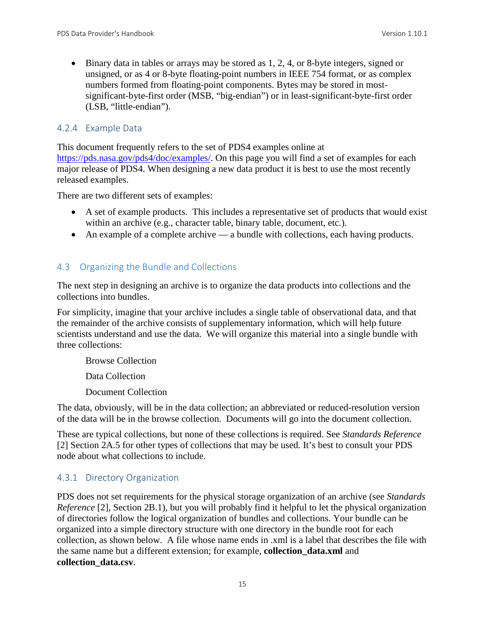• Binary data in tables or arrays may be stored as 1, 2, 4, or 8-byte integers, signed or unsigned, or as 4 or 8-byte floating-point numbers in IEEE 754 format, or as complex numbers formed from floating-point components. Bytes may be stored in mostsignificant-byte-first order (MSB, "big-endian") or in least-significant-byte-first order (LSB, "little-endian").

#### <span id="page-21-0"></span>4.2.4 Example Data

This document frequently refers to the set of PDS4 examples online at [https://pds.nasa.gov/pds4/doc/examples/.](https://pds.nasa.gov/pds4/doc/examples/) On this page you will find a set of examples for each major release of PDS4. When designing a new data product it is best to use the most recently released examples.

There are two different sets of examples:

- A set of example products. This includes a representative set of products that would exist within an archive (e.g., character table, binary table, document, etc.).
- An example of a complete archive a bundle with collections, each having products.

#### <span id="page-21-1"></span>4.3 Organizing the Bundle and Collections

The next step in designing an archive is to organize the data products into collections and the collections into bundles.

For simplicity, imagine that your archive includes a single table of observational data, and that the remainder of the archive consists of supplementary information, which will help future scientists understand and use the data. We will organize this material into a single bundle with three collections:

Browse Collection

Data Collection

Document Collection

The data, obviously, will be in the data collection; an abbreviated or reduced-resolution version of the data will be in the browse collection. Documents will go into the document collection.

These are typical collections, but none of these collections is required. See *Standards Reference* [2] Section 2A.5 for other types of collections that may be used. It's best to consult your PDS node about what collections to include.

#### <span id="page-21-2"></span>4.3.1 Directory Organization

PDS does not set requirements for the physical storage organization of an archive (see *Standards Reference* [2], Section 2B.1), but you will probably find it helpful to let the physical organization of directories follow the logical organization of bundles and collections. Your bundle can be organized into a simple directory structure with one directory in the bundle root for each collection, as shown below. A file whose name ends in .xml is a label that describes the file with the same name but a different extension; for example, **collection\_data.xml** and **collection\_data.csv**.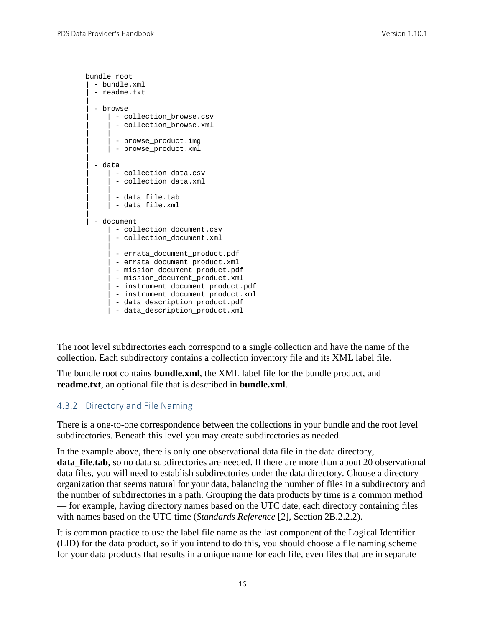```
bundle root
 | - bundle.xml
  - readme.txt
|
  - browse
     | - collection browse.csv
      - collection_browse.xml
| |
     | - browse_product.img
     | | - browse_product.xml
|
  | - data
     | - collection_data.csv
      - collection_data.xml
| |
      - data file.tab
     | - data_file.xml
|
  - document
       - collection_document.csv
       - collection_document.xml
|| || || || || ||
     | - errata document product.pdf
      | - errata_document_product.xml
      | - mission_document_product.pdf
       | - mission_document_product.xml
      - instrument_document_product.pdf
       | - instrument_document_product.xml
      - data_description_product.pdf
      | - data_description_product.xml
```
The root level subdirectories each correspond to a single collection and have the name of the collection. Each subdirectory contains a collection inventory file and its XML label file.

The bundle root contains **bundle.xml**, the XML label file for the bundle product, and **readme.txt**, an optional file that is described in **bundle.xml**.

#### <span id="page-22-0"></span>4.3.2 Directory and File Naming

There is a one-to-one correspondence between the collections in your bundle and the root level subdirectories. Beneath this level you may create subdirectories as needed.

In the example above, there is only one observational data file in the data directory, **data\_file.tab**, so no data subdirectories are needed. If there are more than about 20 observational data files, you will need to establish subdirectories under the data directory. Choose a directory organization that seems natural for your data, balancing the number of files in a subdirectory and the number of subdirectories in a path. Grouping the data products by time is a common method — for example, having directory names based on the UTC date, each directory containing files with names based on the UTC time (*Standards Reference* [2], Section 2B.2.2.2).

It is common practice to use the label file name as the last component of the Logical Identifier (LID) for the data product, so if you intend to do this, you should choose a file naming scheme for your data products that results in a unique name for each file, even files that are in separate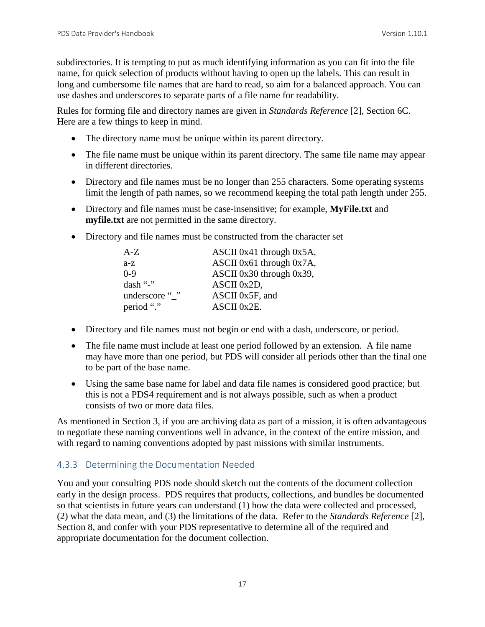subdirectories. It is tempting to put as much identifying information as you can fit into the file name, for quick selection of products without having to open up the labels. This can result in long and cumbersome file names that are hard to read, so aim for a balanced approach. You can use dashes and underscores to separate parts of a file name for readability.

Rules for forming file and directory names are given in *Standards Reference* [2], Section 6C. Here are a few things to keep in mind.

- The directory name must be unique within its parent directory.
- The file name must be unique within its parent directory. The same file name may appear in different directories.
- Directory and file names must be no longer than 255 characters. Some operating systems limit the length of path names, so we recommend keeping the total path length under 255.
- Directory and file names must be case-insensitive; for example, **MyFile.txt** and **myfile.txt** are not permitted in the same directory.
- Directory and file names must be constructed from the character set

| $A-Z$          | ASCII 0x41 through $0x5A$ ,   |
|----------------|-------------------------------|
| $a-z$          | ASCII 0x61 through $0x7A$ ,   |
| $0-9$          | ASCII $0x30$ through $0x39$ , |
| dash "-"       | ASCII 0x2D,                   |
| underscore " " | ASCII 0x5F, and               |
| period "."     | ASCII 0x2E.                   |

- Directory and file names must not begin or end with a dash, underscore, or period.
- The file name must include at least one period followed by an extension. A file name may have more than one period, but PDS will consider all periods other than the final one to be part of the base name.
- Using the same base name for label and data file names is considered good practice; but this is not a PDS4 requirement and is not always possible, such as when a product consists of two or more data files.

As mentioned in Section 3, if you are archiving data as part of a mission, it is often advantageous to negotiate these naming conventions well in advance, in the context of the entire mission, and with regard to naming conventions adopted by past missions with similar instruments.

#### <span id="page-23-0"></span>4.3.3 Determining the Documentation Needed

You and your consulting PDS node should sketch out the contents of the document collection early in the design process. PDS requires that products, collections, and bundles be documented so that scientists in future years can understand (1) how the data were collected and processed, (2) what the data mean, and (3) the limitations of the data. Refer to the *Standards Reference* [2], Section 8, and confer with your PDS representative to determine all of the required and appropriate documentation for the document collection.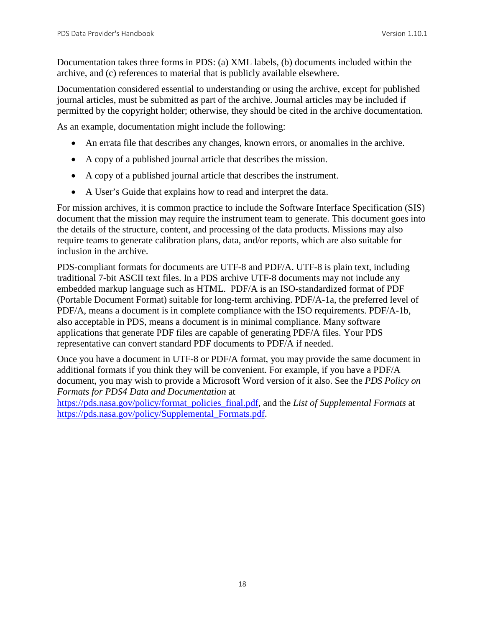Documentation takes three forms in PDS: (a) XML labels, (b) documents included within the archive, and (c) references to material that is publicly available elsewhere.

Documentation considered essential to understanding or using the archive, except for published journal articles, must be submitted as part of the archive. Journal articles may be included if permitted by the copyright holder; otherwise, they should be cited in the archive documentation.

As an example, documentation might include the following:

- An errata file that describes any changes, known errors, or anomalies in the archive.
- A copy of a published journal article that describes the mission.
- A copy of a published journal article that describes the instrument.
- A User's Guide that explains how to read and interpret the data.

For mission archives, it is common practice to include the Software Interface Specification (SIS) document that the mission may require the instrument team to generate. This document goes into the details of the structure, content, and processing of the data products. Missions may also require teams to generate calibration plans, data, and/or reports, which are also suitable for inclusion in the archive.

PDS-compliant formats for documents are UTF-8 and PDF/A. UTF-8 is plain text, including traditional 7-bit ASCII text files. In a PDS archive UTF-8 documents may not include any embedded markup language such as HTML. PDF/A is an ISO-standardized format of PDF (Portable Document Format) suitable for long-term archiving. PDF/A-1a, the preferred level of PDF/A, means a document is in complete compliance with the ISO requirements. PDF/A-1b, also acceptable in PDS, means a document is in minimal compliance. Many software applications that generate PDF files are capable of generating PDF/A files. Your PDS representative can convert standard PDF documents to PDF/A if needed.

Once you have a document in UTF-8 or PDF/A format, you may provide the same document in additional formats if you think they will be convenient. For example, if you have a PDF/A document, you may wish to provide a Microsoft Word version of it also. See the *PDS Policy on Formats for PDS4 Data and Documentation* at

[https://pds.nasa.gov/policy/format\\_policies\\_final.pdf,](https://pds.nasa.gov/policy/format_policies_final.pdf) and the *List of Supplemental Formats* at [https://pds.nasa.gov/policy/Supplemental\\_Formats.pdf.](https://pds.nasa.gov/policy/Supplemental_Formats.pdf)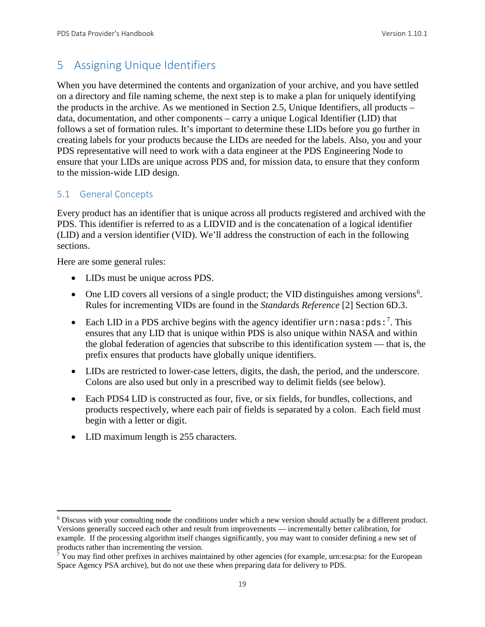## <span id="page-25-0"></span>5 Assigning Unique Identifiers

When you have determined the contents and organization of your archive, and you have settled on a directory and file naming scheme, the next step is to make a plan for uniquely identifying the products in the archive. As we mentioned in Section 2.5, Unique Identifiers, all products – data, documentation, and other components – carry a unique Logical Identifier (LID) that follows a set of formation rules. It's important to determine these LIDs before you go further in creating labels for your products because the LIDs are needed for the labels. Also, you and your PDS representative will need to work with a data engineer at the PDS Engineering Node to ensure that your LIDs are unique across PDS and, for mission data, to ensure that they conform to the mission-wide LID design.

#### <span id="page-25-1"></span>5.1 General Concepts

Every product has an identifier that is unique across all products registered and archived with the PDS. This identifier is referred to as a LIDVID and is the concatenation of a logical identifier (LID) and a version identifier (VID). We'll address the construction of each in the following sections.

Here are some general rules:

- LIDs must be unique across PDS.
- One LID covers all versions of a single product; the VID distinguishes among versions<sup>[6](#page-25-2)</sup>. Rules for incrementing VIDs are found in the *Standards Reference* [2] Section 6D.3.
- Each LID in a PDS archive begins with the agency identifier  $urn:nasa:pds:$ <sup>[7](#page-25-3)</sup>. This ensures that any LID that is unique within PDS is also unique within NASA and within the global federation of agencies that subscribe to this identification system — that is, the prefix ensures that products have globally unique identifiers.
- LIDs are restricted to lower-case letters, digits, the dash, the period, and the underscore. Colons are also used but only in a prescribed way to delimit fields (see below).
- Each PDS4 LID is constructed as four, five, or six fields, for bundles, collections, and products respectively, where each pair of fields is separated by a colon. Each field must begin with a letter or digit.
- LID maximum length is 255 characters.

<span id="page-25-2"></span> <sup>6</sup> Discuss with your consulting node the conditions under which a new version should actually be a different product. Versions generally succeed each other and result from improvements — incrementally better calibration, for example. If the processing algorithm itself changes significantly, you may want to consider defining a new set of products rather than incrementing the version.

<span id="page-25-3"></span> $7$  You may find other prefixes in archives maintained by other agencies (for example, urn:esa:psa: for the European Space Agency PSA archive), but do not use these when preparing data for delivery to PDS.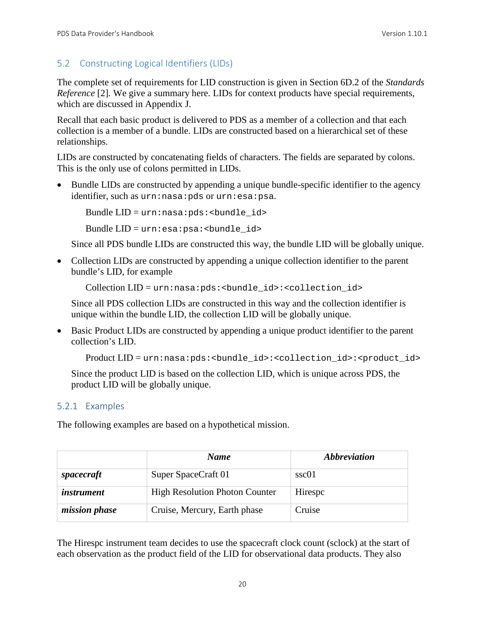#### <span id="page-26-0"></span>5.2 Constructing Logical Identifiers (LIDs)

The complete set of requirements for LID construction is given in Section 6D.2 of the *Standards Reference* [2]. We give a summary here. LIDs for context products have special requirements, which are discussed in Appendix J.

Recall that each basic product is delivered to PDS as a member of a collection and that each collection is a member of a bundle. LIDs are constructed based on a hierarchical set of these relationships.

LIDs are constructed by concatenating fields of characters. The fields are separated by colons. This is the only use of colons permitted in LIDs.

• Bundle LIDs are constructed by appending a unique bundle-specific identifier to the agency identifier, such as urn:nasa:pds or urn:esa:psa.

Bundle  $LID = urn: nasa: pds: **bundle_id**$ 

Bundle  $LID = urn: esa:psa: **bundle** id>$ 

Since all PDS bundle LIDs are constructed this way, the bundle LID will be globally unique.

• Collection LIDs are constructed by appending a unique collection identifier to the parent bundle's LID, for example

Collection LID = urn:nasa:pds:<br/>cbundle\_id>:<collection\_id>

Since all PDS collection LIDs are constructed in this way and the collection identifier is unique within the bundle LID, the collection LID will be globally unique.

• Basic Product LIDs are constructed by appending a unique product identifier to the parent collection's LID.

Product LID = urn:nasa:pds:<br/>bundle\_id>:<collection\_id>:<product\_id>

Since the product LID is based on the collection LID, which is unique across PDS, the product LID will be globally unique.

#### <span id="page-26-1"></span>5.2.1 Examples

The following examples are based on a hypothetical mission.

|                      | <b>Name</b>                           | <i><b>Abbreviation</b></i> |
|----------------------|---------------------------------------|----------------------------|
| spacecraft           | Super SpaceCraft 01                   | ssc01                      |
| <i>instrument</i>    | <b>High Resolution Photon Counter</b> | Hirespc                    |
| <i>mission phase</i> | Cruise, Mercury, Earth phase          | Cruise                     |

The Hirespc instrument team decides to use the spacecraft clock count (sclock) at the start of each observation as the product field of the LID for observational data products. They also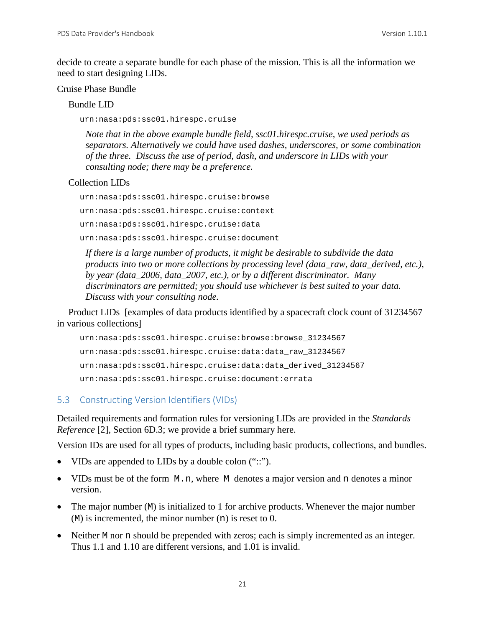decide to create a separate bundle for each phase of the mission. This is all the information we need to start designing LIDs.

#### Cruise Phase Bundle

Bundle LID

urn:nasa:pds:ssc01.hirespc.cruise

*Note that in the above example bundle field, ssc01.hirespc.cruise, we used periods as separators. Alternatively we could have used dashes, underscores, or some combination of the three. Discuss the use of period, dash, and underscore in LIDs with your consulting node; there may be a preference.*

#### Collection LIDs

urn:nasa:pds:ssc01.hirespc.cruise:browse urn:nasa:pds:ssc01.hirespc.cruise:context urn:nasa:pds:ssc01.hirespc.cruise:data urn:nasa:pds:ssc01.hirespc.cruise:document

*If there is a large number of products, it might be desirable to subdivide the data products into two or more collections by processing level (data\_raw, data\_derived, etc.), by year (data\_2006, data\_2007, etc.), or by a different discriminator. Many discriminators are permitted; you should use whichever is best suited to your data. Discuss with your consulting node.*

Product LIDs [examples of data products identified by a spacecraft clock count of 31234567 in various collections]

```
urn:nasa:pds:ssc01.hirespc.cruise:browse:browse_31234567
urn:nasa:pds:ssc01.hirespc.cruise:data:data_raw_31234567
urn:nasa:pds:ssc01.hirespc.cruise:data:data_derived_31234567
urn:nasa:pds:ssc01.hirespc.cruise:document:errata
```
#### <span id="page-27-0"></span>5.3 Constructing Version Identifiers (VIDs)

Detailed requirements and formation rules for versioning LIDs are provided in the *Standards Reference* [2]*,* Section 6D.3; we provide a brief summary here.

Version IDs are used for all types of products, including basic products, collections, and bundles.

- VIDs are appended to LIDs by a double colon ("::").
- VIDs must be of the form M.n, where M denotes a major version and n denotes a minor version.
- The major number (M) is initialized to 1 for archive products. Whenever the major number  $(M)$  is incremented, the minor number  $(n)$  is reset to 0.
- Neither M nor n should be prepended with zeros; each is simply incremented as an integer. Thus 1.1 and 1.10 are different versions, and 1.01 is invalid.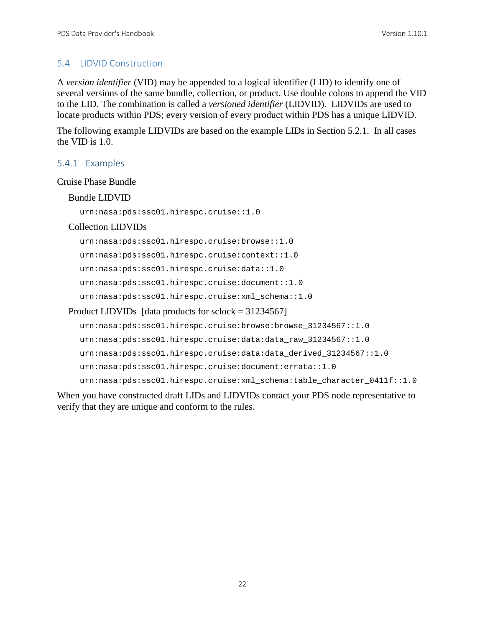#### <span id="page-28-0"></span>5.4 LIDVID Construction

A *version identifier* (VID) may be appended to a logical identifier (LID) to identify one of several versions of the same bundle, collection, or product. Use double colons to append the VID to the LID. The combination is called a *versioned identifier* (LIDVID). LIDVIDs are used to locate products within PDS; every version of every product within PDS has a unique LIDVID.

The following example LIDVIDs are based on the example LIDs in Section 5.2.1. In all cases the VID is 1.0.

#### <span id="page-28-1"></span>5.4.1 Examples

#### Cruise Phase Bundle

#### Bundle LIDVID

urn:nasa:pds:ssc01.hirespc.cruise::1.0

#### Collection LIDVIDs

urn:nasa:pds:ssc01.hirespc.cruise:browse::1.0 urn:nasa:pds:ssc01.hirespc.cruise:context::1.0 urn:nasa:pds:ssc01.hirespc.cruise:data::1.0 urn:nasa:pds:ssc01.hirespc.cruise:document::1.0 urn:nasa:pds:ssc01.hirespc.cruise:xml\_schema::1.0 Product LIDVIDs [data products for sclock = 31234567]

```
urn:nasa:pds:ssc01.hirespc.cruise:browse:browse_31234567::1.0
urn:nasa:pds:ssc01.hirespc.cruise:data:data_raw_31234567::1.0
urn:nasa:pds:ssc01.hirespc.cruise:data:data_derived_31234567::1.0
urn:nasa:pds:ssc01.hirespc.cruise:document:errata::1.0
urn:nasa:pds:ssc01.hirespc.cruise:xml schema:table character 0411f::1.0
```
When you have constructed draft LIDs and LIDVIDs contact your PDS node representative to verify that they are unique and conform to the rules.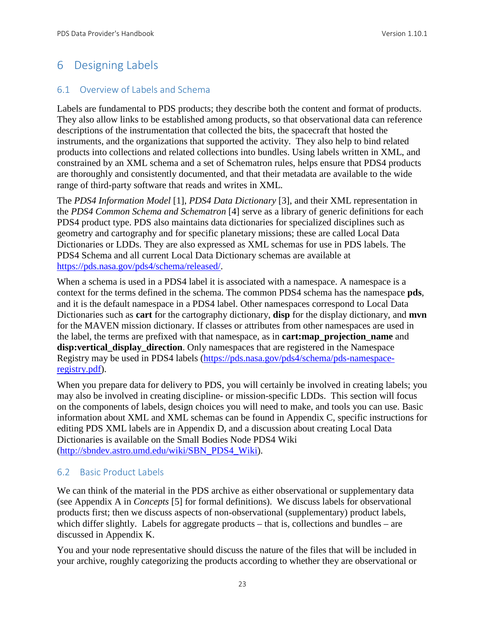## <span id="page-29-0"></span>6 Designing Labels

#### <span id="page-29-1"></span>6.1 Overview of Labels and Schema

Labels are fundamental to PDS products; they describe both the content and format of products. They also allow links to be established among products, so that observational data can reference descriptions of the instrumentation that collected the bits, the spacecraft that hosted the instruments, and the organizations that supported the activity. They also help to bind related products into collections and related collections into bundles. Using labels written in XML, and constrained by an XML schema and a set of Schematron rules, helps ensure that PDS4 products are thoroughly and consistently documented, and that their metadata are available to the wide range of third-party software that reads and writes in XML.

The *PDS4 Information Model* [1], *PDS4 Data Dictionary* [3], and their XML representation in the *PDS4 Common Schema and Schematron* [4] serve as a library of generic definitions for each PDS4 product type. PDS also maintains data dictionaries for specialized disciplines such as geometry and cartography and for specific planetary missions; these are called Local Data Dictionaries or LDDs. They are also expressed as XML schemas for use in PDS labels. The PDS4 Schema and all current Local Data Dictionary schemas are available at [https://pds.nasa.gov/pds4/schema/released/.](https://pds.nasa.gov/pds4/schema/released/)

When a schema is used in a PDS4 label it is associated with a namespace. A namespace is a context for the terms defined in the schema. The common PDS4 schema has the namespace **pds**, and it is the default namespace in a PDS4 label. Other namespaces correspond to Local Data Dictionaries such as **cart** for the cartography dictionary, **disp** for the display dictionary, and **mvn** for the MAVEN mission dictionary. If classes or attributes from other namespaces are used in the label, the terms are prefixed with that namespace, as in **cart:map\_projection\_name** and **disp:vertical\_display\_direction**. Only namespaces that are registered in the Namespace Registry may be used in PDS4 labels [\(https://pds.nasa.gov/pds4/schema/pds-namespace](https://pds.nasa.gov/pds4/schema/pds-namespace-registry.pdf)[registry.pdf\)](https://pds.nasa.gov/pds4/schema/pds-namespace-registry.pdf).

When you prepare data for delivery to PDS, you will certainly be involved in creating labels; you may also be involved in creating discipline- or mission-specific LDDs. This section will focus on the components of labels, design choices you will need to make, and tools you can use. Basic information about XML and XML schemas can be found in Appendix C, specific instructions for editing PDS XML labels are in Appendix D, and a discussion about creating Local Data Dictionaries is available on the Small Bodies Node PDS4 Wiki [\(http://sbndev.astro.umd.edu/wiki/SBN\\_PDS4\\_Wiki\)](http://sbndev.astro.umd.edu/wiki/SBN_PDS4_Wiki).

#### <span id="page-29-2"></span>6.2 Basic Product Labels

We can think of the material in the PDS archive as either observational or supplementary data (see Appendix A in *Concepts* [5] for formal definitions). We discuss labels for observational products first; then we discuss aspects of non-observational (supplementary) product labels, which differ slightly. Labels for aggregate products – that is, collections and bundles – are discussed in Appendix K.

You and your node representative should discuss the nature of the files that will be included in your archive, roughly categorizing the products according to whether they are observational or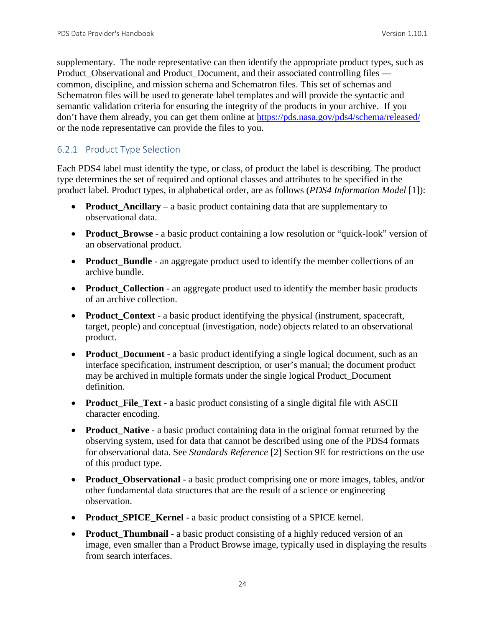supplementary. The node representative can then identify the appropriate product types, such as Product Observational and Product Document, and their associated controlling files common, discipline, and mission schema and Schematron files. This set of schemas and Schematron files will be used to generate label templates and will provide the syntactic and semantic validation criteria for ensuring the integrity of the products in your archive. If you don't have them already, you can get them online at<https://pds.nasa.gov/pds4/schema/released/> or the node representative can provide the files to you.

#### <span id="page-30-0"></span>6.2.1 Product Type Selection

Each PDS4 label must identify the type, or class, of product the label is describing. The product type determines the set of required and optional classes and attributes to be specified in the product label. Product types, in alphabetical order, are as follows (*PDS4 Information Model* [1]):

- **Product Ancillary** a basic product containing data that are supplementary to observational data.
- **Product\_Browse** a basic product containing a low resolution or "quick-look" version of an observational product.
- **Product\_Bundle** an aggregate product used to identify the member collections of an archive bundle.
- **Product Collection** an aggregate product used to identify the member basic products of an archive collection.
- **Product Context** a basic product identifying the physical (instrument, spacecraft, target, people) and conceptual (investigation, node) objects related to an observational product.
- **Product\_Document** a basic product identifying a single logical document, such as an interface specification, instrument description, or user's manual; the document product may be archived in multiple formats under the single logical Product\_Document definition.
- **Product File Text** a basic product consisting of a single digital file with ASCII character encoding.
- **Product\_Native** a basic product containing data in the original format returned by the observing system, used for data that cannot be described using one of the PDS4 formats for observational data. See *Standards Reference* [2] Section 9E for restrictions on the use of this product type.
- **Product\_Observational**  a basic product comprising one or more images, tables, and/or other fundamental data structures that are the result of a science or engineering observation.
- **Product\_SPICE\_Kernel** a basic product consisting of a SPICE kernel.
- **Product\_Thumbnail** a basic product consisting of a highly reduced version of an image, even smaller than a Product Browse image, typically used in displaying the results from search interfaces.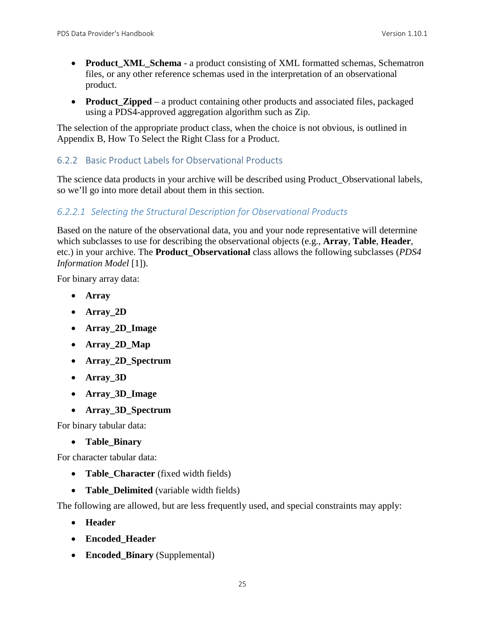- **Product\_XML\_Schema** a product consisting of XML formatted schemas, Schematron files, or any other reference schemas used in the interpretation of an observational product.
- **Product Zipped** a product containing other products and associated files, packaged using a PDS4-approved aggregation algorithm such as Zip.

The selection of the appropriate product class, when the choice is not obvious, is outlined in Appendix B, How To Select the Right Class for a Product.

#### <span id="page-31-0"></span>6.2.2 Basic Product Labels for Observational Products

The science data products in your archive will be described using Product\_Observational labels, so we'll go into more detail about them in this section.

#### *6.2.2.1 Selecting the Structural Description for Observational Products*

Based on the nature of the observational data, you and your node representative will determine which subclasses to use for describing the observational objects (e.g., **Array**, **Table**, **Header**, etc.) in your archive. The **Product\_Observational** class allows the following subclasses (*PDS4 Information Model* [1]).

For binary array data:

- **Array**
- **Array\_2D**
- **Array\_2D\_Image**
- **Array\_2D\_Map**
- **Array\_2D\_Spectrum**
- **Array\_3D**
- **Array\_3D\_Image**
- **Array\_3D\_Spectrum**

For binary tabular data:

• **Table\_Binary**

For character tabular data:

- **Table Character** (fixed width fields)
- **Table Delimited** (variable width fields)

The following are allowed, but are less frequently used, and special constraints may apply:

- **Header**
- **Encoded\_Header**
- **Encoded\_Binary** (Supplemental)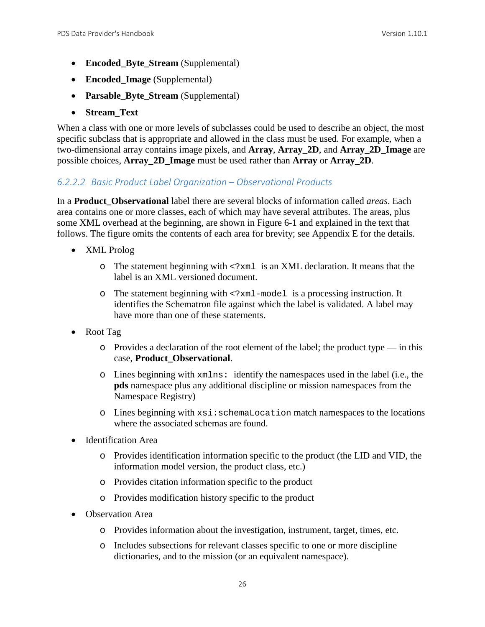- **Encoded\_Byte\_Stream** (Supplemental)
- **Encoded\_Image** (Supplemental)
- **Parsable\_Byte\_Stream** (Supplemental)
- **Stream\_Text**

When a class with one or more levels of subclasses could be used to describe an object, the most specific subclass that is appropriate and allowed in the class must be used. For example, when a two-dimensional array contains image pixels, and **Array**, **Array\_2D**, and **Array\_2D\_Image** are possible choices, **Array\_2D\_Image** must be used rather than **Array** or **Array\_2D**.

#### *6.2.2.2 Basic Product Label Organization – Observational Products*

In a **Product\_Observational** label there are several blocks of information called *areas*. Each area contains one or more classes, each of which may have several attributes. The areas, plus some XML overhead at the beginning, are shown in Figure 6-1 and explained in the text that follows. The figure omits the contents of each area for brevity; see Appendix E for the details.

- XML Prolog
	- o The statement beginning with <?xml is an XML declaration. It means that the label is an XML versioned document.
	- o The statement beginning with <?xml-model is a processing instruction. It identifies the Schematron file against which the label is validated. A label may have more than one of these statements.
- Root Tag
	- $\circ$  Provides a declaration of the root element of the label; the product type in this case, **Product\_Observational**.
	- o Lines beginning with xmlns: identify the namespaces used in the label (i.e., the **pds** namespace plus any additional discipline or mission namespaces from the Namespace Registry)
	- o Lines beginning with xsi:schemaLocation match namespaces to the locations where the associated schemas are found.
- Identification Area
	- o Provides identification information specific to the product (the LID and VID, the information model version, the product class, etc.)
	- o Provides citation information specific to the product
	- o Provides modification history specific to the product
- Observation Area
	- o Provides information about the investigation, instrument, target, times, etc.
	- o Includes subsections for relevant classes specific to one or more discipline dictionaries, and to the mission (or an equivalent namespace).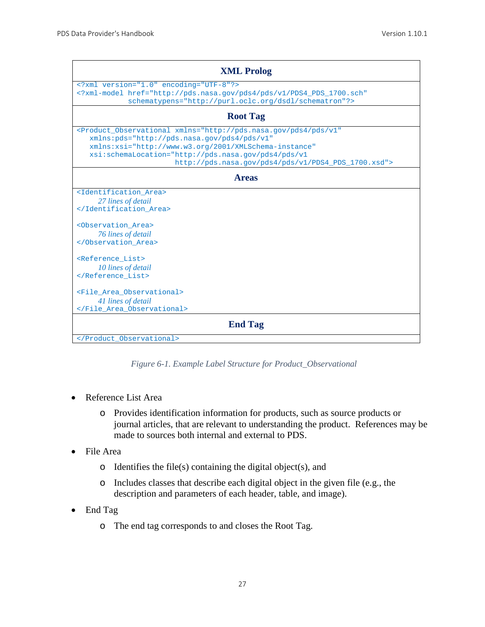| <b>XML Prolog</b>                                                                                                                                                                                                                                                                                                       |  |
|-------------------------------------------------------------------------------------------------------------------------------------------------------------------------------------------------------------------------------------------------------------------------------------------------------------------------|--|
| xml version="1.0" encoding="UTF-8"?<br>xml-model href="http://pds.nasa.qov/pds4/pds/v1/PDS4 PDS 1700.sch"<br schematypens="http://purl.oclc.org/dsdl/schematron"?>                                                                                                                                                      |  |
| <b>Root Tag</b>                                                                                                                                                                                                                                                                                                         |  |
| <product_observational <br="" xmlns="http://pds.nasa.gov/pds4/pds/v1">xmlns: pds="http://pds.nasa.qov/pds4/pds/v1"<br/>xmlns:xsi="http://www.w3.org/2001/XMLSchema-instance"<br/>xsi:schemaLocation="http://pds.nasa.qov/pds4/pds/vl<br/>http://pds.nasa.qov/pds4/pds/v1/PDS4_PDS_1700.xsd"&gt;</product_observational> |  |
| <b>Areas</b>                                                                                                                                                                                                                                                                                                            |  |
| <identification area=""><br/>27 lines of detail<br/></identification><br><observation area=""><br/>76 lines of detail<br/><br/><reference list=""><br/>10 lines of detail<br/><br/><file area="" observational=""><br/>41 lines of detail<br/></file></reference></observation>                                         |  |
| <b>End Tag</b>                                                                                                                                                                                                                                                                                                          |  |
|                                                                                                                                                                                                                                                                                                                         |  |

*Figure 6-1. Example Label Structure for Product\_Observational*

- Reference List Area
	- o Provides identification information for products, such as source products or journal articles, that are relevant to understanding the product. References may be made to sources both internal and external to PDS.
- File Area
	- $\circ$  Identifies the file(s) containing the digital object(s), and
	- o Includes classes that describe each digital object in the given file (e.g., the description and parameters of each header, table, and image).
- End Tag
	- o The end tag corresponds to and closes the Root Tag.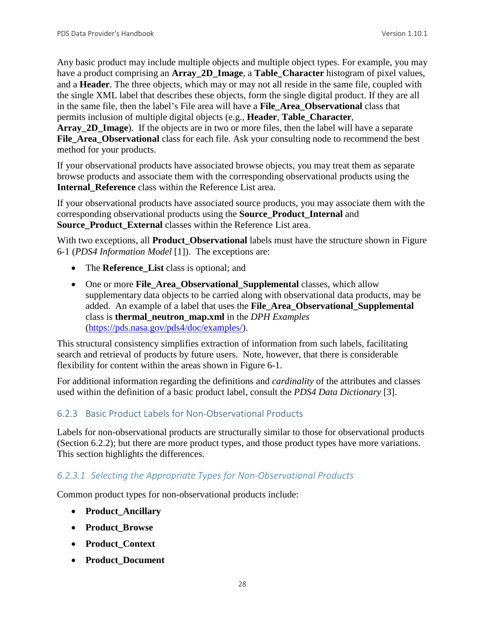Any basic product may include multiple objects and multiple object types. For example, you may have a product comprising an **Array\_2D\_Image**, a **Table\_Character** histogram of pixel values, and a **Header**. The three objects, which may or may not all reside in the same file, coupled with the single XML label that describes these objects, form the single digital product. If they are all in the same file, then the label's File area will have a **File\_Area\_Observational** class that permits inclusion of multiple digital objects (e.g., **Header**, **Table\_Character**,

Array 2D Image). If the objects are in two or more files, then the label will have a separate **File\_Area\_Observational** class for each file. Ask your consulting node to recommend the best method for your products.

If your observational products have associated browse objects, you may treat them as separate browse products and associate them with the corresponding observational products using the **Internal\_Reference** class within the Reference List area.

If your observational products have associated source products, you may associate them with the corresponding observational products using the **Source\_Product\_Internal** and **Source Product External classes within the Reference List area.** 

With two exceptions, all **Product\_Observational** labels must have the structure shown in Figure 6-1 (*PDS4 Information Model* [1]). The exceptions are:

- The **Reference** List class is optional; and
- One or more **File Area Observational Supplemental** classes, which allow supplementary data objects to be carried along with observational data products, may be added. An example of a label that uses the **File\_Area\_Observational\_Supplemental** class is **thermal\_neutron\_map.xml** in the *DPH Examples*  [\(https://pds.nasa.gov/pds4/doc/examples/\)](https://pds.nasa.gov/pds4/doc/examples/).

This structural consistency simplifies extraction of information from such labels, facilitating search and retrieval of products by future users. Note, however, that there is considerable flexibility for content within the areas shown in Figure 6-1.

For additional information regarding the definitions and *cardinality* of the attributes and classes used within the definition of a basic product label, consult the *PDS4 Data Dictionary* [3].

#### <span id="page-34-0"></span>6.2.3 Basic Product Labels for Non-Observational Products

Labels for non-observational products are structurally similar to those for observational products (Section 6.2.2); but there are more product types, and those product types have more variations. This section highlights the differences.

#### *6.2.3.1 Selecting the Appropriate Types for Non-Observational Products*

Common product types for non-observational products include:

- **Product\_Ancillary**
- **Product\_Browse**
- **Product\_Context**
- **Product\_Document**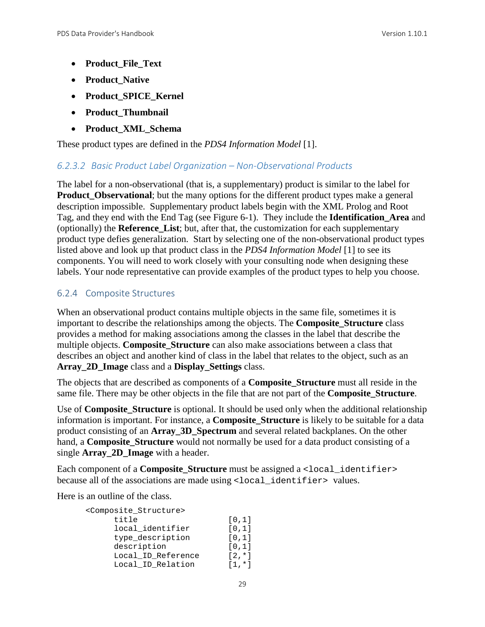- **Product\_File\_Text**
- **Product\_Native**
- **Product\_SPICE\_Kernel**
- **Product\_Thumbnail**
- **Product\_XML\_Schema**

These product types are defined in the *PDS4 Information Model* [1].

#### *6.2.3.2 Basic Product Label Organization – Non-Observational Products*

The label for a non-observational (that is, a supplementary) product is similar to the label for **Product\_Observational**; but the many options for the different product types make a general description impossible. Supplementary product labels begin with the XML Prolog and Root Tag, and they end with the End Tag (see Figure 6-1). They include the **Identification\_Area** and (optionally) the **Reference\_List**; but, after that, the customization for each supplementary product type defies generalization. Start by selecting one of the non-observational product types listed above and look up that product class in the *PDS4 Information Model* [1] to see its components. You will need to work closely with your consulting node when designing these labels. Your node representative can provide examples of the product types to help you choose.

#### <span id="page-35-0"></span>6.2.4 Composite Structures

When an observational product contains multiple objects in the same file, sometimes it is important to describe the relationships among the objects. The **Composite\_Structure** class provides a method for making associations among the classes in the label that describe the multiple objects. **Composite\_Structure** can also make associations between a class that describes an object and another kind of class in the label that relates to the object, such as an **Array\_2D\_Image** class and a **Display\_Settings** class.

The objects that are described as components of a **Composite\_Structure** must all reside in the same file. There may be other objects in the file that are not part of the **Composite\_Structure**.

Use of **Composite\_Structure** is optional. It should be used only when the additional relationship information is important. For instance, a **Composite\_Structure** is likely to be suitable for a data product consisting of an **Array\_3D\_Spectrum** and several related backplanes. On the other hand, a **Composite\_Structure** would not normally be used for a data product consisting of a single **Array\_2D\_Image** with a header.

Each component of a **Composite\_Structure** must be assigned a <local\_identifier> because all of the associations are made using <local identifier> values.

Here is an outline of the class.

| <composite structure=""></composite> |           |
|--------------------------------------|-----------|
| title                                | [0,1]     |
| local identifier                     | [0,1]     |
| type_description                     | [0,1]     |
| description                          | [0,1]     |
| Local_ID_Reference                   | $12. * 1$ |
| Local ID Relation                    | $[1, *]$  |
|                                      |           |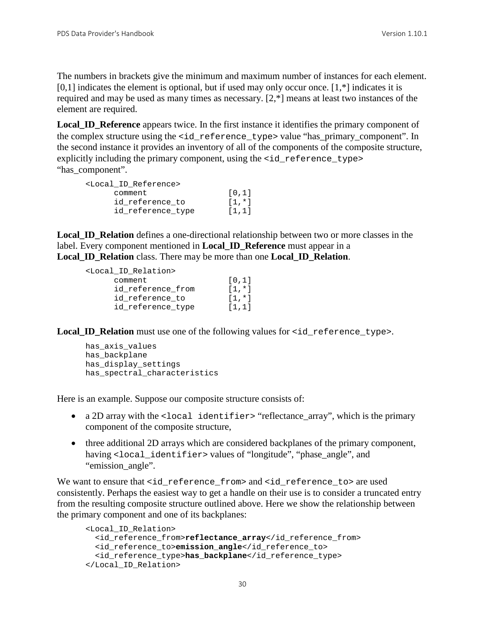The numbers in brackets give the minimum and maximum number of instances for each element.  $[0,1]$  indicates the element is optional, but if used may only occur once.  $[1, *]$  indicates it is required and may be used as many times as necessary. [2,\*] means at least two instances of the element are required.

**Local\_ID\_Reference** appears twice. In the first instance it identifies the primary component of the complex structure using the <id\_reference\_type> value "has\_primary\_component". In the second instance it provides an inventory of all of the components of the composite structure, explicitly including the primary component, using the  $\leq$  id\_reference\_type> "has\_component".

```
<Local_ID_Reference>
         \begin{array}{cc}\n\text{comment} & [0,1] \\
\text{id reference to} & [1,*]\n\end{array}id_reference_to [1,*]<br>id reference type [1,1]
          id_reference_type
```
**Local\_ID\_Relation** defines a one-directional relationship between two or more classes in the label. Every component mentioned in **Local\_ID\_Reference** must appear in a **Local\_ID\_Relation** class. There may be more than one **Local\_ID\_Relation**.

```
<Local_ID_Relation>
        \begin{align} \text{comment} & [0,1] \\ \text{id reference from} & [1,*] \end{align}id_reference_from [1,*]<br>id reference to [1,*]
        id reference to
        id_reference_type [1,1]
```
**Local ID Relation** must use one of the following values for  $\leq$  id reference type>.

```
has_axis_values
has backplane
has display settings
has_spectral_characteristics
```
Here is an example. Suppose our composite structure consists of:

- a 2D array with the <local identifier> "reflectance\_array", which is the primary component of the composite structure,
- three additional 2D arrays which are considered backplanes of the primary component, having <local\_identifier> values of "longitude", "phase\_angle", and "emission\_angle".

We want to ensure that <id\_reference\_from> and <id\_reference\_to> are used consistently. Perhaps the easiest way to get a handle on their use is to consider a truncated entry from the resulting composite structure outlined above. Here we show the relationship between the primary component and one of its backplanes:

```
<Local_ID_Relation>
   <id_reference_from>reflectance_array</id_reference_from> 
   <id_reference_to>emission_angle</id_reference_to>
   <id_reference_type>has_backplane</id_reference_type>
</Local_ID_Relation>
```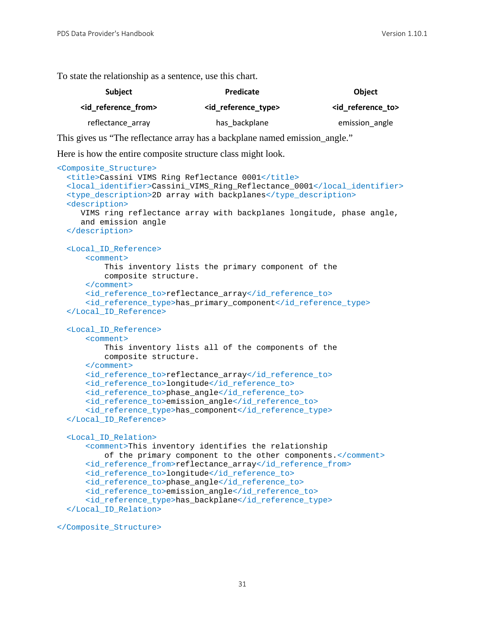To state the relationship as a sentence, use this chart.

| <b>Subject</b>                 | <b>Predicate</b>            | <b>Object</b>                |
|--------------------------------|-----------------------------|------------------------------|
| <id from="" reference=""></id> | <id reference_type=""></id> | <id reference="" to=""></id> |
| reflectance array              | has backplane               | emission angle               |

This gives us "The reflectance array has a backplane named emission\_angle."

Here is how the entire composite structure class might look.

```
<Composite_Structure>
 <title>Cassini VIMS Ring Reflectance 0001</title>
  <local_identifier>Cassini_VIMS_Ring_Reflectance_0001</local_identifier>
  <type_description>2D array with backplanes</type_description>
  <description>
     VIMS ring reflectance array with backplanes longitude, phase angle,
     and emission angle
  </description>
  <Local_ID_Reference>
       <comment>
           This inventory lists the primary component of the 
           composite structure.
       </comment>
       <id_reference_to>reflectance_array</id_reference_to>
       <id_reference_type>has_primary_component</id_reference_type>
  </Local_ID_Reference>
  <Local_ID_Reference>
       <comment>
           This inventory lists all of the components of the 
           composite structure.
       </comment>
       <id_reference_to>reflectance_array</id_reference_to>
       <id_reference_to>longitude</id_reference_to>
       <id_reference_to>phase_angle</id_reference_to>
       <id_reference_to>emission_angle</id_reference_to>
       <id_reference_type>has_component</id_reference_type>
  </Local_ID_Reference>
  <Local_ID_Relation>
       <comment>This inventory identifies the relationship
           of the primary component to the other components.</comment>
       <id_reference_from>reflectance_array</id_reference_from>
       <id_reference_to>longitude</id_reference_to>
       <id_reference_to>phase_angle</id_reference_to>
       <id_reference_to>emission_angle</id_reference_to>
       <id_reference_type>has_backplane</id_reference_type>
  </Local_ID_Relation>
```
</Composite\_Structure>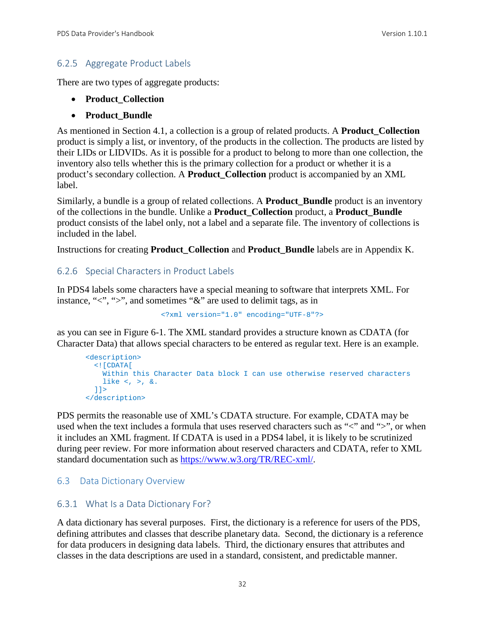#### 6.2.5 Aggregate Product Labels

There are two types of aggregate products:

- **Product\_Collection**
- **Product\_Bundle**

As mentioned in Section 4.1, a collection is a group of related products. A **Product\_Collection** product is simply a list, or inventory, of the products in the collection. The products are listed by their LIDs or LIDVIDs. As it is possible for a product to belong to more than one collection, the inventory also tells whether this is the primary collection for a product or whether it is a product's secondary collection. A **Product\_Collection** product is accompanied by an XML label.

Similarly, a bundle is a group of related collections. A **Product\_Bundle** product is an inventory of the collections in the bundle. Unlike a **Product\_Collection** product, a **Product\_Bundle** product consists of the label only, not a label and a separate file. The inventory of collections is included in the label.

Instructions for creating **Product\_Collection** and **Product\_Bundle** labels are in Appendix K.

#### 6.2.6 Special Characters in Product Labels

In PDS4 labels some characters have a special meaning to software that interprets XML. For instance, "<", ">", and sometimes "&" are used to delimit tags, as in

```
<?xml version="1.0" encoding="UTF-8"?>
```
as you can see in Figure 6-1. The XML standard provides a structure known as CDATA (for Character Data) that allows special characters to be entered as regular text. Here is an example.

```
<description>
   <![CDATA[
    Within this Character Data block I can use otherwise reserved characters 
    like \langle , \rangle, &.
  11</description>
```
PDS permits the reasonable use of XML's CDATA structure. For example, CDATA may be used when the text includes a formula that uses reserved characters such as "<" and ">", or when it includes an XML fragment. If CDATA is used in a PDS4 label, it is likely to be scrutinized during peer review. For more information about reserved characters and CDATA, refer to XML standard documentation such as [https://www.w3.org/TR/REC-xml/.](https://www.w3.org/TR/REC-xml/)

#### 6.3 Data Dictionary Overview

#### 6.3.1 What Is a Data Dictionary For?

A data dictionary has several purposes. First, the dictionary is a reference for users of the PDS, defining attributes and classes that describe planetary data. Second, the dictionary is a reference for data producers in designing data labels. Third, the dictionary ensures that attributes and classes in the data descriptions are used in a standard, consistent, and predictable manner.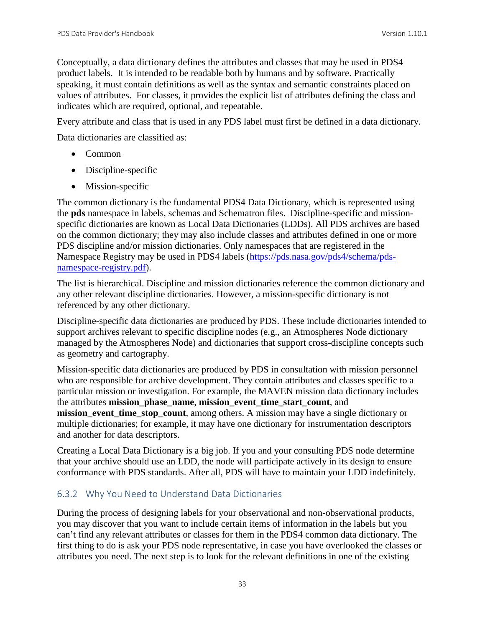Conceptually, a data dictionary defines the attributes and classes that may be used in PDS4 product labels. It is intended to be readable both by humans and by software. Practically speaking, it must contain definitions as well as the syntax and semantic constraints placed on values of attributes. For classes, it provides the explicit list of attributes defining the class and indicates which are required, optional, and repeatable.

Every attribute and class that is used in any PDS label must first be defined in a data dictionary.

Data dictionaries are classified as:

- Common
- Discipline-specific
- Mission-specific

The common dictionary is the fundamental PDS4 Data Dictionary, which is represented using the **pds** namespace in labels, schemas and Schematron files. Discipline-specific and missionspecific dictionaries are known as Local Data Dictionaries (LDDs). All PDS archives are based on the common dictionary; they may also include classes and attributes defined in one or more PDS discipline and/or mission dictionaries. Only namespaces that are registered in the Namespace Registry may be used in PDS4 labels [\(https://pds.nasa.gov/pds4/schema/pds](https://pds.nasa.gov/pds4/schema/pds-namespace-registry.pdf)[namespace-registry.pdf\)](https://pds.nasa.gov/pds4/schema/pds-namespace-registry.pdf).

The list is hierarchical. Discipline and mission dictionaries reference the common dictionary and any other relevant discipline dictionaries. However, a mission-specific dictionary is not referenced by any other dictionary.

Discipline-specific data dictionaries are produced by PDS. These include dictionaries intended to support archives relevant to specific discipline nodes (e.g., an Atmospheres Node dictionary managed by the Atmospheres Node) and dictionaries that support cross-discipline concepts such as geometry and cartography.

Mission-specific data dictionaries are produced by PDS in consultation with mission personnel who are responsible for archive development. They contain attributes and classes specific to a particular mission or investigation. For example, the MAVEN mission data dictionary includes the attributes **mission\_phase\_name**, **mission\_event\_time\_start\_count**, and **mission\_event\_time\_stop\_count**, among others. A mission may have a single dictionary or multiple dictionaries; for example, it may have one dictionary for instrumentation descriptors and another for data descriptors.

Creating a Local Data Dictionary is a big job. If you and your consulting PDS node determine that your archive should use an LDD, the node will participate actively in its design to ensure conformance with PDS standards. After all, PDS will have to maintain your LDD indefinitely.

#### 6.3.2 Why You Need to Understand Data Dictionaries

During the process of designing labels for your observational and non-observational products, you may discover that you want to include certain items of information in the labels but you can't find any relevant attributes or classes for them in the PDS4 common data dictionary. The first thing to do is ask your PDS node representative, in case you have overlooked the classes or attributes you need. The next step is to look for the relevant definitions in one of the existing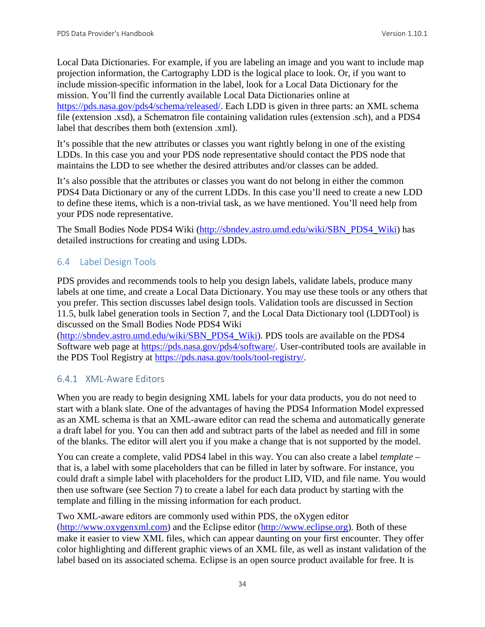Local Data Dictionaries. For example, if you are labeling an image and you want to include map projection information, the Cartography LDD is the logical place to look. Or, if you want to include mission-specific information in the label, look for a Local Data Dictionary for the mission. You'll find the currently available Local Data Dictionaries online at [https://pds.nasa.gov/pds4/schema/released/.](https://pds.nasa.gov/pds4/schema/released/) Each LDD is given in three parts: an XML schema file (extension .xsd), a Schematron file containing validation rules (extension .sch), and a PDS4 label that describes them both (extension .xml).

It's possible that the new attributes or classes you want rightly belong in one of the existing LDDs. In this case you and your PDS node representative should contact the PDS node that maintains the LDD to see whether the desired attributes and/or classes can be added.

It's also possible that the attributes or classes you want do not belong in either the common PDS4 Data Dictionary or any of the current LDDs. In this case you'll need to create a new LDD to define these items, which is a non-trivial task, as we have mentioned. You'll need help from your PDS node representative.

The Small Bodies Node PDS4 Wiki [\(http://sbndev.astro.umd.edu/wiki/SBN\\_PDS4\\_Wiki\)](http://sbndev.astro.umd.edu/wiki/SBN_PDS4_Wiki) has detailed instructions for creating and using LDDs.

# 6.4 Label Design Tools

PDS provides and recommends tools to help you design labels, validate labels, produce many labels at one time, and create a Local Data Dictionary. You may use these tools or any others that you prefer. This section discusses label design tools. Validation tools are discussed in Section 11.5, bulk label generation tools in Section 7, and the Local Data Dictionary tool (LDDTool) is discussed on the Small Bodies Node PDS4 Wiki

[\(http://sbndev.astro.umd.edu/wiki/SBN\\_PDS4\\_Wiki\)](http://sbndev.astro.umd.edu/wiki/SBN_PDS4_Wiki). PDS tools are available on the PDS4 Software web page at [https://pds.nasa.gov/pds4/software/.](https://pds.nasa.gov/pds4/software/) User-contributed tools are available in the PDS Tool Registry at [https://pds.nasa.gov/tools/tool-registry/.](https://pds.nasa.gov/tools/tool-registry/)

# 6.4.1 XML-Aware Editors

When you are ready to begin designing XML labels for your data products, you do not need to start with a blank slate. One of the advantages of having the PDS4 Information Model expressed as an XML schema is that an XML-aware editor can read the schema and automatically generate a draft label for you. You can then add and subtract parts of the label as needed and fill in some of the blanks. The editor will alert you if you make a change that is not supported by the model.

You can create a complete, valid PDS4 label in this way. You can also create a label *template* – that is, a label with some placeholders that can be filled in later by software. For instance, you could draft a simple label with placeholders for the product LID, VID, and file name. You would then use software (see Section 7) to create a label for each data product by starting with the template and filling in the missing information for each product.

Two XML-aware editors are commonly used within PDS, the oXygen editor [\(http://www.oxygenxml.com\)](http://www.oxygenxml.com/) and the Eclipse editor [\(http://www.eclipse.org\)](http://www.eclipse.org/). Both of these make it easier to view XML files, which can appear daunting on your first encounter. They offer color highlighting and different graphic views of an XML file, as well as instant validation of the label based on its associated schema. Eclipse is an open source product available for free. It is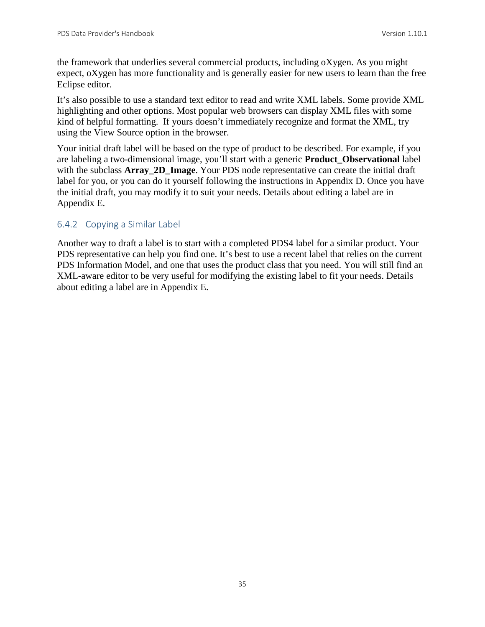the framework that underlies several commercial products, including oXygen. As you might expect, oXygen has more functionality and is generally easier for new users to learn than the free Eclipse editor.

It's also possible to use a standard text editor to read and write XML labels. Some provide XML highlighting and other options. Most popular web browsers can display XML files with some kind of helpful formatting. If yours doesn't immediately recognize and format the XML, try using the View Source option in the browser.

Your initial draft label will be based on the type of product to be described. For example, if you are labeling a two-dimensional image, you'll start with a generic **Product\_Observational** label with the subclass **Array** 2D Image. Your PDS node representative can create the initial draft label for you, or you can do it yourself following the instructions in Appendix D. Once you have the initial draft, you may modify it to suit your needs. Details about editing a label are in Appendix E.

# 6.4.2 Copying a Similar Label

Another way to draft a label is to start with a completed PDS4 label for a similar product. Your PDS representative can help you find one. It's best to use a recent label that relies on the current PDS Information Model, and one that uses the product class that you need. You will still find an XML-aware editor to be very useful for modifying the existing label to fit your needs. Details about editing a label are in Appendix E.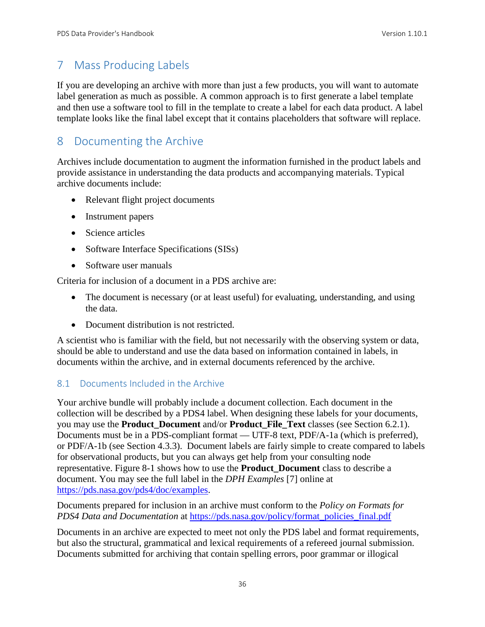# 7 Mass Producing Labels

If you are developing an archive with more than just a few products, you will want to automate label generation as much as possible. A common approach is to first generate a label template and then use a software tool to fill in the template to create a label for each data product. A label template looks like the final label except that it contains placeholders that software will replace.

# 8 Documenting the Archive

Archives include documentation to augment the information furnished in the product labels and provide assistance in understanding the data products and accompanying materials. Typical archive documents include:

- Relevant flight project documents
- Instrument papers
- Science articles
- Software Interface Specifications (SISs)
- Software user manuals

Criteria for inclusion of a document in a PDS archive are:

- The document is necessary (or at least useful) for evaluating, understanding, and using the data.
- Document distribution is not restricted.

A scientist who is familiar with the field, but not necessarily with the observing system or data, should be able to understand and use the data based on information contained in labels, in documents within the archive, and in external documents referenced by the archive.

#### 8.1 Documents Included in the Archive

Your archive bundle will probably include a document collection. Each document in the collection will be described by a PDS4 label. When designing these labels for your documents, you may use the **Product\_Document** and/or **Product\_File\_Text** classes (see Section 6.2.1). Documents must be in a PDS-compliant format — UTF-8 text, PDF/A-1a (which is preferred), or PDF/A-1b (see Section 4.3.3). Document labels are fairly simple to create compared to labels for observational products, but you can always get help from your consulting node representative. Figure 8-1 shows how to use the **Product\_Document** class to describe a document. You may see the full label in the *DPH Examples* [7] online at [https://pds.nasa.gov/pds4/doc/examples.](https://pds.nasa.gov/pds4/doc/examples)

Documents prepared for inclusion in an archive must conform to the *Policy on Formats for PDS4 Data and Documentation* at [https://pds.nasa.gov/policy/format\\_policies\\_final.pdf](http://pds.nasa.gov/policy/format_policies_final.pdf)

Documents in an archive are expected to meet not only the PDS label and format requirements, but also the structural, grammatical and lexical requirements of a refereed journal submission. Documents submitted for archiving that contain spelling errors, poor grammar or illogical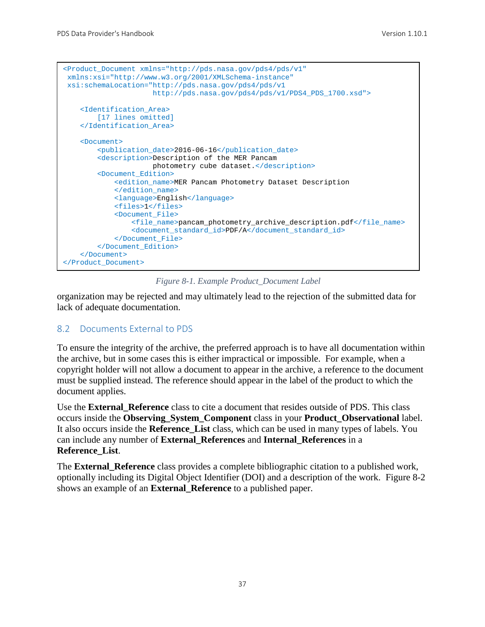```
<Product_Document xmlns="http://pds.nasa.gov/pds4/pds/v1"
xmlns:xsi="http://www.w3.org/2001/XMLSchema-instance"
xsi:schemaLocation="http://pds.nasa.gov/pds4/pds/v1 
                      http://pds.nasa.gov/pds4/pds/v1/PDS4_PDS_1700.xsd">
    <Identification_Area> 
       [17 lines omitted]
     </Identification_Area>
     <Document>
         <publication_date>2016-06-16</publication_date>
         <description>Description of the MER Pancam 
                      photometry cube dataset.</description>
         <Document_Edition>
            <edition_name>MER Pancam Photometry Dataset Description
             </edition_name>
             <language>English</language>
             <files>1</files>
             <Document_File>
                 <file_name>pancam_photometry_archive_description.pdf</file_name>
                 <document_standard_id>PDF/A</document_standard_id>
            </Document_File>
         </Document_Edition>
     </Document>
</Product_Document>
```
*Figure 8-1. Example Product\_Document Label*

organization may be rejected and may ultimately lead to the rejection of the submitted data for lack of adequate documentation.

#### 8.2 Documents External to PDS

To ensure the integrity of the archive, the preferred approach is to have all documentation within the archive, but in some cases this is either impractical or impossible. For example, when a copyright holder will not allow a document to appear in the archive, a reference to the document must be supplied instead. The reference should appear in the label of the product to which the document applies.

Use the **External\_Reference** class to cite a document that resides outside of PDS. This class occurs inside the **Observing\_System\_Component** class in your **Product\_Observational** label. It also occurs inside the **Reference\_List** class, which can be used in many types of labels. You can include any number of **External\_References** and **Internal\_References** in a **Reference\_List**.

The **External\_Reference** class provides a complete bibliographic citation to a published work, optionally including its Digital Object Identifier (DOI) and a description of the work. Figure 8-2 shows an example of an **External\_Reference** to a published paper.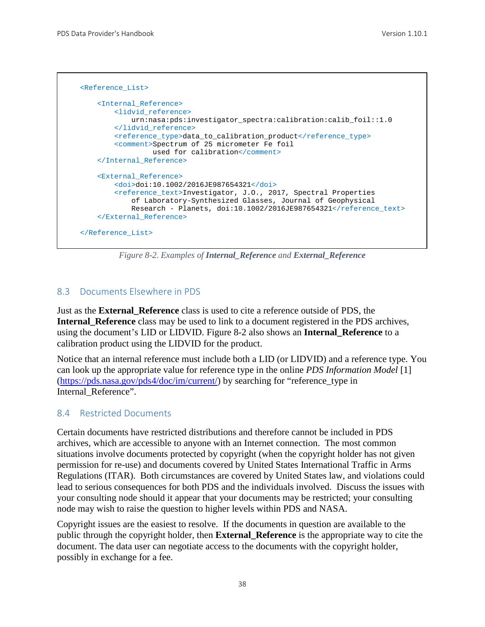```
 <Reference_List>
     <Internal_Reference>
        <lidvid_reference>
             urn:nasa:pds:investigator_spectra:calibration:calib_foil::1.0
        </lidvid_reference>
        <reference_type>data_to_calibration_product</reference_type>
        <comment>Spectrum of 25 micrometer Fe foil 
                  used for calibration</comment>
     </Internal_Reference>
     <External_Reference>
        <doi>doi:10.1002/2016JE987654321</doi>
         <reference_text>Investigator, J.O., 2017, Spectral Properties 
             of Laboratory-Synthesized Glasses, Journal of Geophysical 
            Research - Planets, doi:10.1002/2016JE987654321</reference_text>
     </External_Reference>
 </Reference_List>
```
*Figure 8-2. Examples of Internal\_Reference and External\_Reference*

#### 8.3 Documents Elsewhere in PDS

Just as the **External\_Reference** class is used to cite a reference outside of PDS, the **Internal\_Reference** class may be used to link to a document registered in the PDS archives, using the document's LID or LIDVID. Figure 8-2 also shows an **Internal\_Reference** to a calibration product using the LIDVID for the product.

Notice that an internal reference must include both a LID (or LIDVID) and a reference type. You can look up the appropriate value for reference type in the online *PDS Information Model* [1] [\(https://pds.nasa.gov/pds4/doc/im/current/\)](https://pds.nasa.gov/pds4/doc/im/current/) by searching for "reference\_type in Internal Reference".

#### 8.4 Restricted Documents

Certain documents have restricted distributions and therefore cannot be included in PDS archives, which are accessible to anyone with an Internet connection. The most common situations involve documents protected by copyright (when the copyright holder has not given permission for re-use) and documents covered by United States International Traffic in Arms Regulations (ITAR). Both circumstances are covered by United States law, and violations could lead to serious consequences for both PDS and the individuals involved. Discuss the issues with your consulting node should it appear that your documents may be restricted; your consulting node may wish to raise the question to higher levels within PDS and NASA.

Copyright issues are the easiest to resolve. If the documents in question are available to the public through the copyright holder, then **External\_Reference** is the appropriate way to cite the document. The data user can negotiate access to the documents with the copyright holder, possibly in exchange for a fee.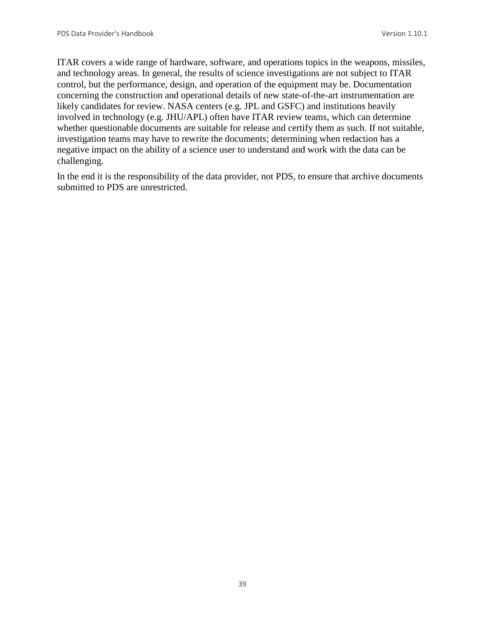ITAR covers a wide range of hardware, software, and operations topics in the weapons, missiles, and technology areas. In general, the results of science investigations are not subject to ITAR control, but the performance, design, and operation of the equipment may be. Documentation concerning the construction and operational details of new state-of-the-art instrumentation are likely candidates for review. NASA centers (e.g. JPL and GSFC) and institutions heavily involved in technology (e.g. JHU/APL) often have ITAR review teams, which can determine whether questionable documents are suitable for release and certify them as such. If not suitable, investigation teams may have to rewrite the documents; determining when redaction has a negative impact on the ability of a science user to understand and work with the data can be challenging.

In the end it is the responsibility of the data provider, not PDS, to ensure that archive documents submitted to PDS are unrestricted.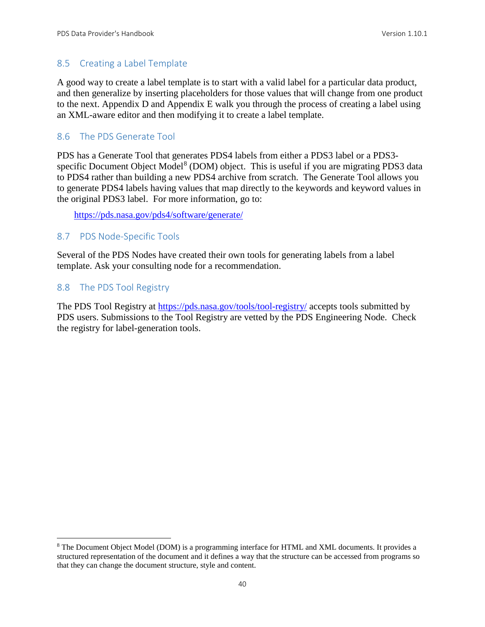#### 8.5 Creating a Label Template

A good way to create a label template is to start with a valid label for a particular data product, and then generalize by inserting placeholders for those values that will change from one product to the next. Appendix D and Appendix E walk you through the process of creating a label using an XML-aware editor and then modifying it to create a label template.

#### 8.6 The PDS Generate Tool

PDS has a Generate Tool that generates PDS4 labels from either a PDS3 label or a PDS3- specific Document Object Model<sup>[8](#page-46-0)</sup> (DOM) object. This is useful if you are migrating PDS3 data to PDS4 rather than building a new PDS4 archive from scratch. The Generate Tool allows you to generate PDS4 labels having values that map directly to the keywords and keyword values in the original PDS3 label. For more information, go to:

[https://pds.nasa.gov/pds4/software/generate/](http://pds.nasa.gov/pds4/software/generate/)

#### 8.7 PDS Node-Specific Tools

Several of the PDS Nodes have created their own tools for generating labels from a label template. Ask your consulting node for a recommendation.

#### 8.8 The PDS Tool Registry

The PDS Tool Registry at<https://pds.nasa.gov/tools/tool-registry/> accepts tools submitted by PDS users. Submissions to the Tool Registry are vetted by the PDS Engineering Node. Check the registry for label-generation tools.

<span id="page-46-0"></span> <sup>8</sup> The Document Object Model (DOM) is a programming interface for HTML and XML documents. It provides a structured representation of the document and it defines a way that the structure can be accessed from programs so that they can change the document structure, style and content.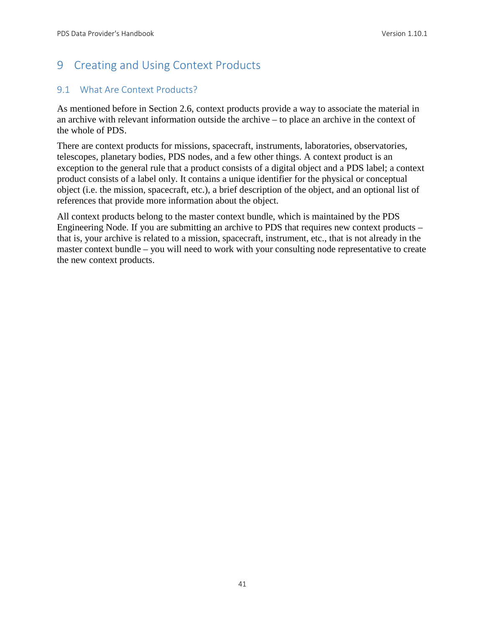# 9 Creating and Using Context Products

# 9.1 What Are Context Products?

As mentioned before in Section 2.6, context products provide a way to associate the material in an archive with relevant information outside the archive – to place an archive in the context of the whole of PDS.

There are context products for missions, spacecraft, instruments, laboratories, observatories, telescopes, planetary bodies, PDS nodes, and a few other things. A context product is an exception to the general rule that a product consists of a digital object and a PDS label; a context product consists of a label only. It contains a unique identifier for the physical or conceptual object (i.e. the mission, spacecraft, etc.), a brief description of the object, and an optional list of references that provide more information about the object.

All context products belong to the master context bundle, which is maintained by the PDS Engineering Node. If you are submitting an archive to PDS that requires new context products – that is, your archive is related to a mission, spacecraft, instrument, etc., that is not already in the master context bundle – you will need to work with your consulting node representative to create the new context products.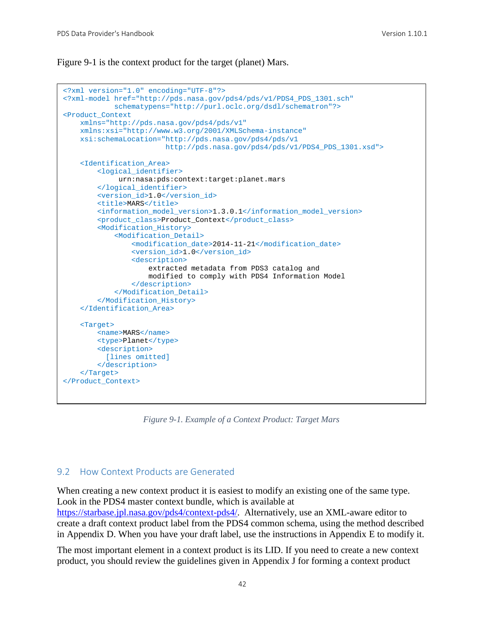Figure 9-1 is the context product for the target (planet) Mars.

```
<?xml version="1.0" encoding="UTF-8"?>
<?xml-model href="http://pds.nasa.gov/pds4/pds/v1/PDS4_PDS_1301.sch"
             schematypens="http://purl.oclc.org/dsdl/schematron"?>
<Product_Context 
    xmlns="http://pds.nasa.gov/pds4/pds/v1"
    xmlns:xsi="http://www.w3.org/2001/XMLSchema-instance"
    xsi:schemaLocation="http://pds.nasa.gov/pds4/pds/v1 
                         http://pds.nasa.gov/pds4/pds/v1/PDS4_PDS_1301.xsd">
     <Identification_Area>
         <logical_identifier>
              urn:nasa:pds:context:target:planet.mars
         </logical_identifier>
         <version_id>1.0</version_id>
        <title>MARS</title>
         <information_model_version>1.3.0.1</information_model_version>
         <product_class>Product_Context</product_class>
         <Modification_History>
             <Modification_Detail>
                 <modification_date>2014-11-21</modification_date>
                 <version_id>1.0</version_id>
                 <description>
                     extracted metadata from PDS3 catalog and
                     modified to comply with PDS4 Information Model
                 </description>
             </Modification_Detail>
         </Modification_History>
     </Identification_Area>
     <Target>
        <name>MARS</name>
         <type>Planet</type>
         <description>
          [lines omitted]
        </description>
     </Target>
</Product_Context>
```
*Figure 9-1. Example of a Context Product: Target Mars*

#### 9.2 How Context Products are Generated

When creating a new context product it is easiest to modify an existing one of the same type. Look in the PDS4 master context bundle, which is available at [https://starbase.jpl.nasa.gov/pds4/context-pds4/.](https://starbase.jpl.nasa.gov/pds4/context-pds4/) Alternatively, use an XML-aware editor to create a draft context product label from the PDS4 common schema, using the method described in Appendix D. When you have your draft label, use the instructions in Appendix E to modify it.

The most important element in a context product is its LID. If you need to create a new context product, you should review the guidelines given in Appendix J for forming a context product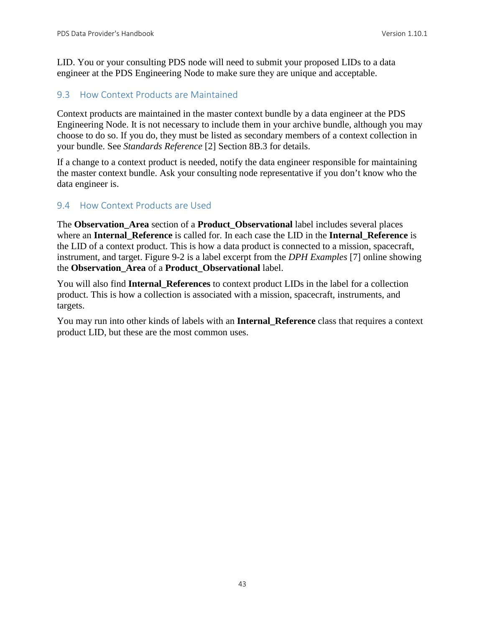LID. You or your consulting PDS node will need to submit your proposed LIDs to a data engineer at the PDS Engineering Node to make sure they are unique and acceptable.

#### 9.3 How Context Products are Maintained

Context products are maintained in the master context bundle by a data engineer at the PDS Engineering Node. It is not necessary to include them in your archive bundle, although you may choose to do so. If you do, they must be listed as secondary members of a context collection in your bundle. See *Standards Reference* [2] Section 8B.3 for details.

If a change to a context product is needed, notify the data engineer responsible for maintaining the master context bundle. Ask your consulting node representative if you don't know who the data engineer is.

#### 9.4 How Context Products are Used

The **Observation\_Area** section of a **Product\_Observational** label includes several places where an **Internal\_Reference** is called for. In each case the LID in the **Internal\_Reference** is the LID of a context product. This is how a data product is connected to a mission, spacecraft, instrument, and target. Figure 9-2 is a label excerpt from the *DPH Examples* [7] online showing the **Observation\_Area** of a **Product\_Observational** label.

You will also find **Internal\_References** to context product LIDs in the label for a collection product. This is how a collection is associated with a mission, spacecraft, instruments, and targets.

You may run into other kinds of labels with an **Internal\_Reference** class that requires a context product LID, but these are the most common uses.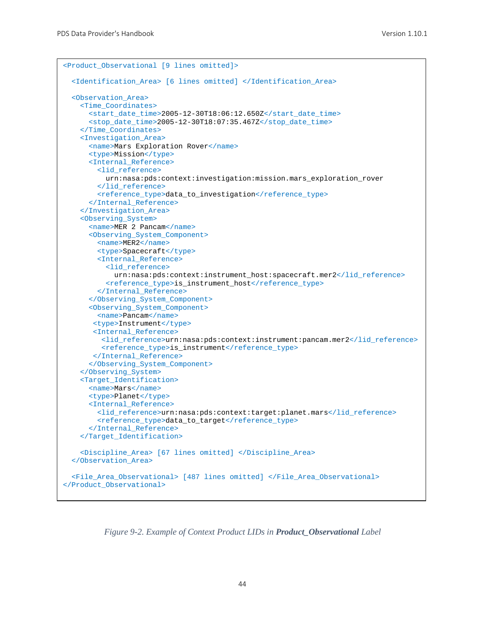```
<Product_Observational [9 lines omitted]>
   <Identification_Area> [6 lines omitted] </Identification_Area>
  <Observation_Area>
    <Time_Coordinates>
      <start_date_time>2005-12-30T18:06:12.650Z</start_date_time>
       <stop_date_time>2005-12-30T18:07:35.467Z</stop_date_time>
     </Time_Coordinates>
     <Investigation_Area>
       <name>Mars Exploration Rover</name>
       <type>Mission</type>
       <Internal_Reference>
         <lid_reference>
           urn:nasa:pds:context:investigation:mission.mars_exploration_rover
         </lid_reference>
         <reference_type>data_to_investigation</reference_type>
      </Internal_Reference>
     </Investigation_Area>
     <Observing_System>
     <name>MER 2 Pancam</name>
      <Observing_System_Component>
        <name>MER2</name>
         <type>Spacecraft</type>
         <Internal_Reference>
           <lid_reference>
             urn:nasa:pds:context:instrument_host:spacecraft.mer2</lid_reference>
           <reference_type>is_instrument_host</reference_type>
         </Internal_Reference>
       </Observing_System_Component>
       <Observing_System_Component>
         <name>Pancam</name>
        <type>Instrument</type>
        <Internal_Reference>
          <lid_reference>urn:nasa:pds:context:instrument:pancam.mer2</lid_reference>
          <reference_type>is_instrument</reference_type>
        </Internal_Reference>
       </Observing_System_Component>
     </Observing_System>
     <Target_Identification>
       <name>Mars</name>
       <type>Planet</type>
       <Internal_Reference>
         <lid_reference>urn:nasa:pds:context:target:planet.mars</lid_reference>
         <reference_type>data_to_target</reference_type>
       </Internal_Reference>
     </Target_Identification>
     <Discipline_Area> [67 lines omitted] </Discipline_Area>
   </Observation_Area>
   <File_Area_Observational> [487 lines omitted] </File_Area_Observational>
</Product_Observational>
```
*Figure 9-2. Example of Context Product LIDs in Product\_Observational Label*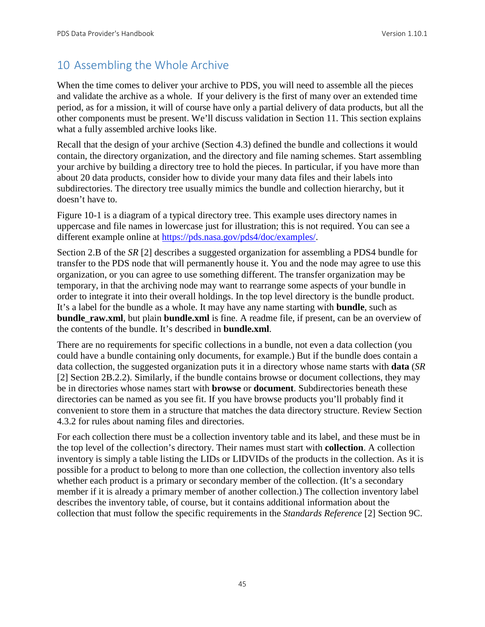# 10 Assembling the Whole Archive

When the time comes to deliver your archive to PDS, you will need to assemble all the pieces and validate the archive as a whole. If your delivery is the first of many over an extended time period, as for a mission, it will of course have only a partial delivery of data products, but all the other components must be present. We'll discuss validation in Section 11. This section explains what a fully assembled archive looks like.

Recall that the design of your archive (Section 4.3) defined the bundle and collections it would contain, the directory organization, and the directory and file naming schemes. Start assembling your archive by building a directory tree to hold the pieces. In particular, if you have more than about 20 data products, consider how to divide your many data files and their labels into subdirectories. The directory tree usually mimics the bundle and collection hierarchy, but it doesn't have to.

Figure 10-1 is a diagram of a typical directory tree. This example uses directory names in uppercase and file names in lowercase just for illustration; this is not required. You can see a different example online at [https://pds.nasa.gov/pds4/doc/examples/.](https://pds.nasa.gov/pds4/doc/examples/)

Section 2.B of the *SR* [2] describes a suggested organization for assembling a PDS4 bundle for transfer to the PDS node that will permanently house it. You and the node may agree to use this organization, or you can agree to use something different. The transfer organization may be temporary, in that the archiving node may want to rearrange some aspects of your bundle in order to integrate it into their overall holdings. In the top level directory is the bundle product. It's a label for the bundle as a whole. It may have any name starting with **bundle**, such as **bundle raw.xml**, but plain **bundle.xml** is fine. A readme file, if present, can be an overview of the contents of the bundle. It's described in **bundle.xml**.

There are no requirements for specific collections in a bundle, not even a data collection (you could have a bundle containing only documents, for example.) But if the bundle does contain a data collection, the suggested organization puts it in a directory whose name starts with **data** (*SR* [2] Section 2B.2.2). Similarly, if the bundle contains browse or document collections, they may be in directories whose names start with **browse** or **document**. Subdirectories beneath these directories can be named as you see fit. If you have browse products you'll probably find it convenient to store them in a structure that matches the data directory structure. Review Section 4.3.2 for rules about naming files and directories.

For each collection there must be a collection inventory table and its label, and these must be in the top level of the collection's directory. Their names must start with **collection**. A collection inventory is simply a table listing the LIDs or LIDVIDs of the products in the collection. As it is possible for a product to belong to more than one collection, the collection inventory also tells whether each product is a primary or secondary member of the collection. (It's a secondary member if it is already a primary member of another collection.) The collection inventory label describes the inventory table, of course, but it contains additional information about the collection that must follow the specific requirements in the *Standards Reference* [2] Section 9C.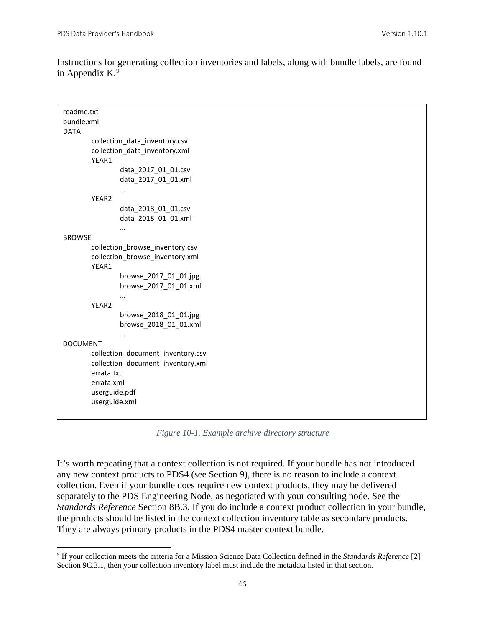Instructions for generating collection inventories and labels, along with bundle labels, are found in Appendix K. $9$ 

| readme.txt<br>bundle.xml<br><b>DATA</b>                                                                                                                 |  |  |
|---------------------------------------------------------------------------------------------------------------------------------------------------------|--|--|
| collection_data_inventory.csv<br>collection_data_inventory.xml<br>YEAR1                                                                                 |  |  |
| data_2017_01_01.csv<br>data_2017_01_01.xml                                                                                                              |  |  |
| YEAR2<br>data_2018_01_01.csv<br>data_2018_01_01.xml                                                                                                     |  |  |
| <br><b>BROWSE</b>                                                                                                                                       |  |  |
| collection_browse_inventory.csv<br>collection_browse_inventory.xml<br>YEAR1<br>browse_2017_01_01.jpg<br>browse 2017 01 01.xml<br>$\cdots$               |  |  |
| YEAR <sub>2</sub><br>browse_2018_01_01.jpg<br>browse_2018_01_01.xml                                                                                     |  |  |
| <b>DOCUMENT</b><br>collection_document_inventory.csv<br>collection_document_inventory.xml<br>errata.txt<br>errata.xml<br>userguide.pdf<br>userguide.xml |  |  |

*Figure 10-1. Example archive directory structure*

It's worth repeating that a context collection is not required. If your bundle has not introduced any new context products to PDS4 (see Section 9), there is no reason to include a context collection. Even if your bundle does require new context products, they may be delivered separately to the PDS Engineering Node, as negotiated with your consulting node. See the *Standards Reference* Section 8B.3. If you do include a context product collection in your bundle, the products should be listed in the context collection inventory table as secondary products. They are always primary products in the PDS4 master context bundle.

<span id="page-52-0"></span> <sup>9</sup> If your collection meets the criteria for a Mission Science Data Collection defined in the *Standards Reference* [2] Section 9C.3.1, then your collection inventory label must include the metadata listed in that section.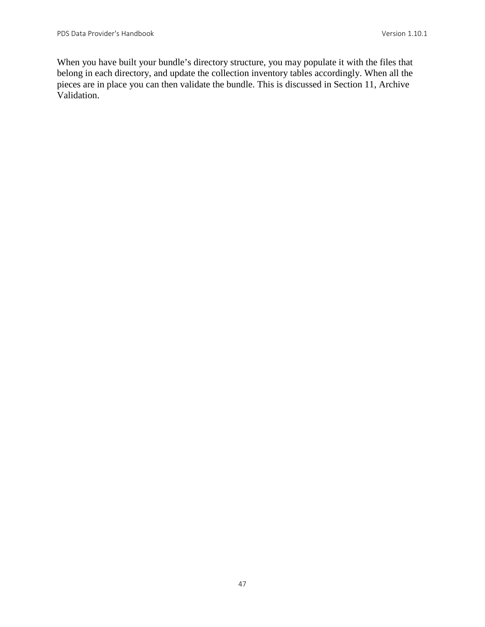When you have built your bundle's directory structure, you may populate it with the files that belong in each directory, and update the collection inventory tables accordingly. When all the pieces are in place you can then validate the bundle. This is discussed in Section 11, Archive Validation.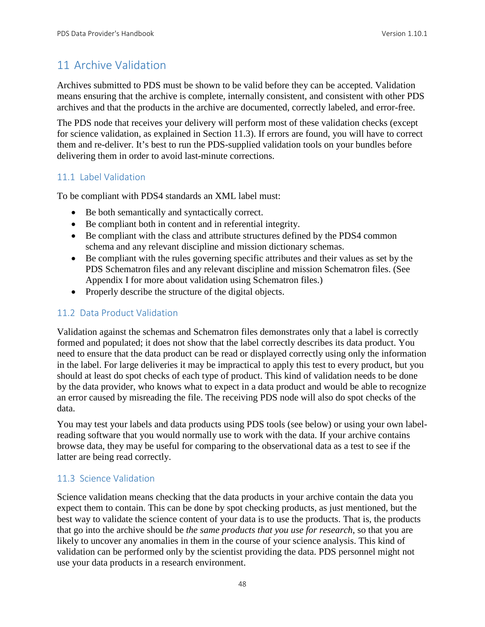# 11 Archive Validation

Archives submitted to PDS must be shown to be valid before they can be accepted. Validation means ensuring that the archive is complete, internally consistent, and consistent with other PDS archives and that the products in the archive are documented, correctly labeled, and error-free.

The PDS node that receives your delivery will perform most of these validation checks (except for science validation, as explained in Section 11.3). If errors are found, you will have to correct them and re-deliver. It's best to run the PDS-supplied validation tools on your bundles before delivering them in order to avoid last-minute corrections.

# 11.1 Label Validation

To be compliant with PDS4 standards an XML label must:

- Be both semantically and syntactically correct.
- Be compliant both in content and in referential integrity.
- Be compliant with the class and attribute structures defined by the PDS4 common schema and any relevant discipline and mission dictionary schemas.
- Be compliant with the rules governing specific attributes and their values as set by the PDS Schematron files and any relevant discipline and mission Schematron files. (See Appendix I for more about validation using Schematron files.)
- Properly describe the structure of the digital objects.

## 11.2 Data Product Validation

Validation against the schemas and Schematron files demonstrates only that a label is correctly formed and populated; it does not show that the label correctly describes its data product. You need to ensure that the data product can be read or displayed correctly using only the information in the label. For large deliveries it may be impractical to apply this test to every product, but you should at least do spot checks of each type of product. This kind of validation needs to be done by the data provider, who knows what to expect in a data product and would be able to recognize an error caused by misreading the file. The receiving PDS node will also do spot checks of the data.

You may test your labels and data products using PDS tools (see below) or using your own labelreading software that you would normally use to work with the data. If your archive contains browse data, they may be useful for comparing to the observational data as a test to see if the latter are being read correctly.

# 11.3 Science Validation

Science validation means checking that the data products in your archive contain the data you expect them to contain. This can be done by spot checking products, as just mentioned, but the best way to validate the science content of your data is to use the products. That is, the products that go into the archive should be *the same products that you use for research*, so that you are likely to uncover any anomalies in them in the course of your science analysis. This kind of validation can be performed only by the scientist providing the data. PDS personnel might not use your data products in a research environment.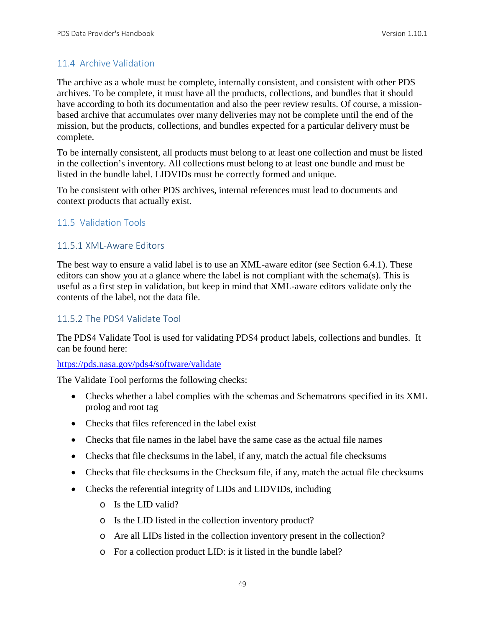#### 11.4 Archive Validation

The archive as a whole must be complete, internally consistent, and consistent with other PDS archives. To be complete, it must have all the products, collections, and bundles that it should have according to both its documentation and also the peer review results. Of course, a missionbased archive that accumulates over many deliveries may not be complete until the end of the mission, but the products, collections, and bundles expected for a particular delivery must be complete.

To be internally consistent, all products must belong to at least one collection and must be listed in the collection's inventory. All collections must belong to at least one bundle and must be listed in the bundle label. LIDVIDs must be correctly formed and unique.

To be consistent with other PDS archives, internal references must lead to documents and context products that actually exist.

#### 11.5 Validation Tools

#### 11.5.1 XML-Aware Editors

The best way to ensure a valid label is to use an XML-aware editor (see Section 6.4.1). These editors can show you at a glance where the label is not compliant with the schema(s). This is useful as a first step in validation, but keep in mind that XML-aware editors validate only the contents of the label, not the data file.

#### 11.5.2 The PDS4 Validate Tool

The PDS4 Validate Tool is used for validating PDS4 product labels, collections and bundles. It can be found here:

#### [https://pds.nasa.gov/pds4/software/validate](http://pds.nasa.gov/pds4/software/validate)

The Validate Tool performs the following checks:

- Checks whether a label complies with the schemas and Schematrons specified in its XML prolog and root tag
- Checks that files referenced in the label exist
- Checks that file names in the label have the same case as the actual file names
- Checks that file checksums in the label, if any, match the actual file checksums
- Checks that file checksums in the Checksum file, if any, match the actual file checksums
- Checks the referential integrity of LIDs and LIDVIDs, including
	- o Is the LID valid?
	- o Is the LID listed in the collection inventory product?
	- o Are all LIDs listed in the collection inventory present in the collection?
	- o For a collection product LID: is it listed in the bundle label?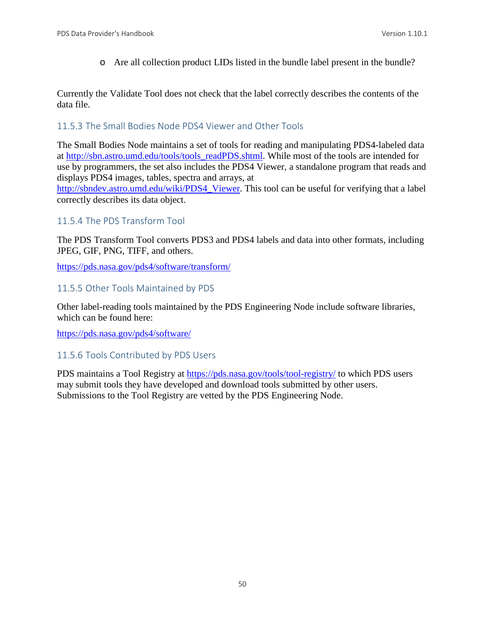o Are all collection product LIDs listed in the bundle label present in the bundle?

Currently the Validate Tool does not check that the label correctly describes the contents of the data file.

#### 11.5.3 The Small Bodies Node PDS4 Viewer and Other Tools

The Small Bodies Node maintains a set of tools for reading and manipulating PDS4-labeled data at [http://sbn.astro.umd.edu/tools/tools\\_readPDS.shtml.](http://sbn.astro.umd.edu/tools/tools_readPDS.shtml) While most of the tools are intended for use by programmers, the set also includes the PDS4 Viewer, a standalone program that reads and displays PDS4 images, tables, spectra and arrays, at

[http://sbndev.astro.umd.edu/wiki/PDS4\\_Viewer.](http://sbndev.astro.umd.edu/wiki/PDS4_Viewer) This tool can be useful for verifying that a label correctly describes its data object.

## 11.5.4 The PDS Transform Tool

The PDS Transform Tool converts PDS3 and PDS4 labels and data into other formats, including JPEG, GIF, PNG, TIFF, and others.

<https://pds.nasa.gov/pds4/software/transform/>

#### 11.5.5 Other Tools Maintained by PDS

Other label-reading tools maintained by the PDS Engineering Node include software libraries, which can be found here:

[https://pds.nasa.gov/pds4/software/](http://pds.nasa.gov/pds4/software/)

# 11.5.6 Tools Contributed by PDS Users

PDS maintains a Tool Registry at<https://pds.nasa.gov/tools/tool-registry/> to which PDS users may submit tools they have developed and download tools submitted by other users. Submissions to the Tool Registry are vetted by the PDS Engineering Node.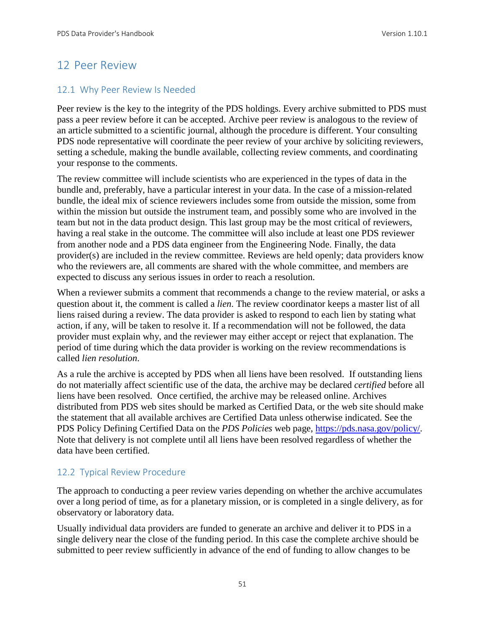# 12 Peer Review

## 12.1 Why Peer Review Is Needed

Peer review is the key to the integrity of the PDS holdings. Every archive submitted to PDS must pass a peer review before it can be accepted. Archive peer review is analogous to the review of an article submitted to a scientific journal, although the procedure is different. Your consulting PDS node representative will coordinate the peer review of your archive by soliciting reviewers, setting a schedule, making the bundle available, collecting review comments, and coordinating your response to the comments.

The review committee will include scientists who are experienced in the types of data in the bundle and, preferably, have a particular interest in your data. In the case of a mission-related bundle, the ideal mix of science reviewers includes some from outside the mission, some from within the mission but outside the instrument team, and possibly some who are involved in the team but not in the data product design. This last group may be the most critical of reviewers, having a real stake in the outcome. The committee will also include at least one PDS reviewer from another node and a PDS data engineer from the Engineering Node. Finally, the data provider(s) are included in the review committee. Reviews are held openly; data providers know who the reviewers are, all comments are shared with the whole committee, and members are expected to discuss any serious issues in order to reach a resolution.

When a reviewer submits a comment that recommends a change to the review material, or asks a question about it, the comment is called a *lien*. The review coordinator keeps a master list of all liens raised during a review. The data provider is asked to respond to each lien by stating what action, if any, will be taken to resolve it. If a recommendation will not be followed, the data provider must explain why, and the reviewer may either accept or reject that explanation. The period of time during which the data provider is working on the review recommendations is called *lien resolution*.

As a rule the archive is accepted by PDS when all liens have been resolved. If outstanding liens do not materially affect scientific use of the data, the archive may be declared *certified* before all liens have been resolved. Once certified, the archive may be released online. Archives distributed from PDS web sites should be marked as Certified Data, or the web site should make the statement that all available archives are Certified Data unless otherwise indicated. See the PDS Policy Defining Certified Data on the *PDS Policies* web page, [https://pds.nasa.gov/policy/.](https://pds.nasa.gov/policy/) Note that delivery is not complete until all liens have been resolved regardless of whether the data have been certified.

# 12.2 Typical Review Procedure

The approach to conducting a peer review varies depending on whether the archive accumulates over a long period of time, as for a planetary mission, or is completed in a single delivery, as for observatory or laboratory data.

Usually individual data providers are funded to generate an archive and deliver it to PDS in a single delivery near the close of the funding period. In this case the complete archive should be submitted to peer review sufficiently in advance of the end of funding to allow changes to be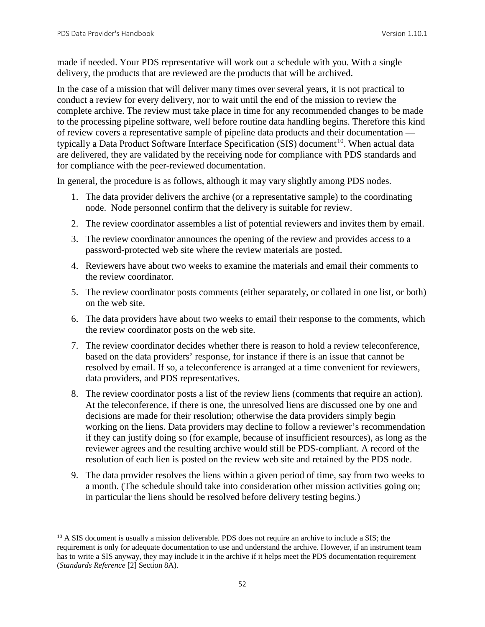made if needed. Your PDS representative will work out a schedule with you. With a single delivery, the products that are reviewed are the products that will be archived.

In the case of a mission that will deliver many times over several years, it is not practical to conduct a review for every delivery, nor to wait until the end of the mission to review the complete archive. The review must take place in time for any recommended changes to be made to the processing pipeline software, well before routine data handling begins. Therefore this kind of review covers a representative sample of pipeline data products and their documentation typically a Data Product Software Interface Specification (SIS) document<sup>10</sup>. When actual data are delivered, they are validated by the receiving node for compliance with PDS standards and for compliance with the peer-reviewed documentation.

In general, the procedure is as follows, although it may vary slightly among PDS nodes.

- 1. The data provider delivers the archive (or a representative sample) to the coordinating node. Node personnel confirm that the delivery is suitable for review.
- 2. The review coordinator assembles a list of potential reviewers and invites them by email.
- 3. The review coordinator announces the opening of the review and provides access to a password-protected web site where the review materials are posted.
- 4. Reviewers have about two weeks to examine the materials and email their comments to the review coordinator.
- 5. The review coordinator posts comments (either separately, or collated in one list, or both) on the web site.
- 6. The data providers have about two weeks to email their response to the comments, which the review coordinator posts on the web site.
- 7. The review coordinator decides whether there is reason to hold a review teleconference, based on the data providers' response, for instance if there is an issue that cannot be resolved by email. If so, a teleconference is arranged at a time convenient for reviewers, data providers, and PDS representatives.
- 8. The review coordinator posts a list of the review liens (comments that require an action). At the teleconference, if there is one, the unresolved liens are discussed one by one and decisions are made for their resolution; otherwise the data providers simply begin working on the liens. Data providers may decline to follow a reviewer's recommendation if they can justify doing so (for example, because of insufficient resources), as long as the reviewer agrees and the resulting archive would still be PDS-compliant. A record of the resolution of each lien is posted on the review web site and retained by the PDS node.
- 9. The data provider resolves the liens within a given period of time, say from two weeks to a month. (The schedule should take into consideration other mission activities going on; in particular the liens should be resolved before delivery testing begins.)

<span id="page-58-0"></span><sup>&</sup>lt;sup>10</sup> A SIS document is usually a mission deliverable. PDS does not require an archive to include a SIS; the requirement is only for adequate documentation to use and understand the archive. However, if an instrument team has to write a SIS anyway, they may include it in the archive if it helps meet the PDS documentation requirement (*Standards Reference* [2] Section 8A).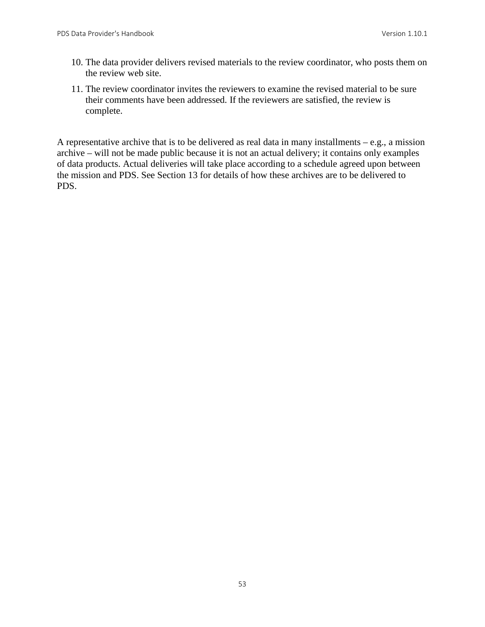- 10. The data provider delivers revised materials to the review coordinator, who posts them on the review web site.
- 11. The review coordinator invites the reviewers to examine the revised material to be sure their comments have been addressed. If the reviewers are satisfied, the review is complete.

A representative archive that is to be delivered as real data in many installments  $-e.g.,$  a mission archive – will not be made public because it is not an actual delivery; it contains only examples of data products. Actual deliveries will take place according to a schedule agreed upon between the mission and PDS. See Section 13 for details of how these archives are to be delivered to PDS.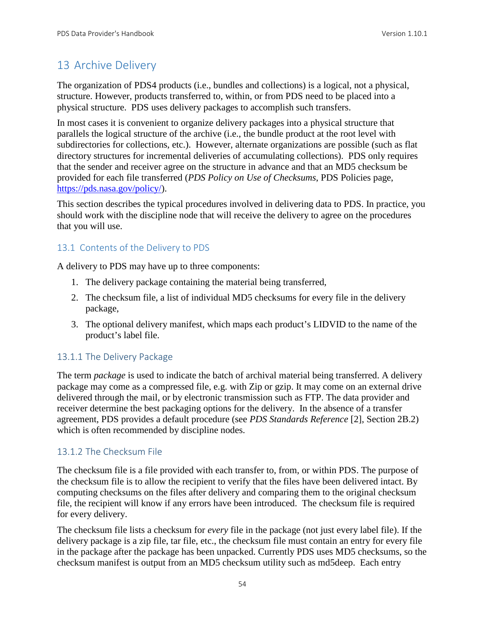# 13 Archive Delivery

The organization of PDS4 products (i.e., bundles and collections) is a logical, not a physical, structure. However, products transferred to, within, or from PDS need to be placed into a physical structure. PDS uses delivery packages to accomplish such transfers.

In most cases it is convenient to organize delivery packages into a physical structure that parallels the logical structure of the archive (i.e., the bundle product at the root level with subdirectories for collections, etc.). However, alternate organizations are possible (such as flat directory structures for incremental deliveries of accumulating collections). PDS only requires that the sender and receiver agree on the structure in advance and that an MD5 checksum be provided for each file transferred (*PDS Policy on Use of Checksums*, PDS Policies page, [https://pds.nasa.gov/policy/\)](http://pds.nasa.gov/policy/).

This section describes the typical procedures involved in delivering data to PDS. In practice, you should work with the discipline node that will receive the delivery to agree on the procedures that you will use.

## 13.1 Contents of the Delivery to PDS

A delivery to PDS may have up to three components:

- 1. The delivery package containing the material being transferred,
- 2. The checksum file, a list of individual MD5 checksums for every file in the delivery package,
- 3. The optional delivery manifest, which maps each product's LIDVID to the name of the product's label file.

#### 13.1.1 The Delivery Package

The term *package* is used to indicate the batch of archival material being transferred. A delivery package may come as a compressed file, e.g. with Zip or gzip. It may come on an external drive delivered through the mail, or by electronic transmission such as FTP. The data provider and receiver determine the best packaging options for the delivery. In the absence of a transfer agreement, PDS provides a default procedure (see *PDS Standards Reference* [2], Section 2B.2) which is often recommended by discipline nodes.

#### 13.1.2 The Checksum File

The checksum file is a file provided with each transfer to, from, or within PDS. The purpose of the checksum file is to allow the recipient to verify that the files have been delivered intact. By computing checksums on the files after delivery and comparing them to the original checksum file, the recipient will know if any errors have been introduced. The checksum file is required for every delivery.

The checksum file lists a checksum for *every* file in the package (not just every label file). If the delivery package is a zip file, tar file, etc., the checksum file must contain an entry for every file in the package after the package has been unpacked. Currently PDS uses MD5 checksums, so the checksum manifest is output from an MD5 checksum utility such as md5deep. Each entry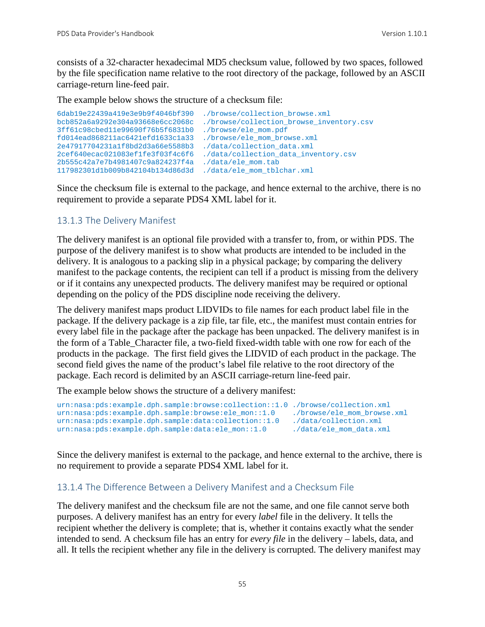consists of a 32-character hexadecimal MD5 checksum value, followed by two spaces, followed by the file specification name relative to the root directory of the package, followed by an ASCII carriage-return line-feed pair.

The example below shows the structure of a checksum file:

```
6dab19e22439a419e3e9b9f4046bf390 ./browse/collection_browse.xml
                                        ./browse/collection_browse_inventory.csv<br>./browse/ele_mom.pdf
3ff61c98cbed11e99690f76b5f6831b0 ./browse/ele_mom.pdf
fd014ead868211ac6421efd1633c1a33 ./browse/ele_mom_browse.xml
2e47917704231a1f8bd2d3a66e5588b3<br>2cef640ecac021083ef1fe3f03f4c6f6
                                        ./data/collection_data_inventory.csv<br>./data/ele mom.tab
2b555c42a7e7b4981407c9a824237f4a
117982301d1b009b842104b134d86d3d ./data/ele_mom_tblchar.xml
```
Since the checksum file is external to the package, and hence external to the archive, there is no requirement to provide a separate PDS4 XML label for it.

#### 13.1.3 The Delivery Manifest

The delivery manifest is an optional file provided with a transfer to, from, or within PDS. The purpose of the delivery manifest is to show what products are intended to be included in the delivery. It is analogous to a packing slip in a physical package; by comparing the delivery manifest to the package contents, the recipient can tell if a product is missing from the delivery or if it contains any unexpected products. The delivery manifest may be required or optional depending on the policy of the PDS discipline node receiving the delivery.

The delivery manifest maps product LIDVIDs to file names for each product label file in the package. If the delivery package is a zip file, tar file, etc., the manifest must contain entries for every label file in the package after the package has been unpacked. The delivery manifest is in the form of a Table\_Character file, a two-field fixed-width table with one row for each of the products in the package. The first field gives the LIDVID of each product in the package. The second field gives the name of the product's label file relative to the root directory of the package. Each record is delimited by an ASCII carriage-return line-feed pair.

The example below shows the structure of a delivery manifest:

```
urn:nasa:pds:example.dph.sample:browse:collection::1.0 ./browse/collection.xml<br>urn:nasa:pds:example.dph.sample:browse:ele_mon::1.0 ./browse/ele_mom_browse.xml
urn:nasa:pds:example.dph.sample:browse:ele_mon::1.0 ./browse/ele_mom_brow<br>urn:nasa:pds:example.dph.sample:data:collection::1.0 ./data/collection.xml
urn:nasa:pds:example.dph.sample:data:collection::1.0 ./data/collection.xml<br>urn:nasa:pds:example.dph.sample:data:ele_mon::1.0 ./data/ele_mom_data.xml
urn:nasa:pds:example.dph.sample:data:ele_mon::1.0
```
Since the delivery manifest is external to the package, and hence external to the archive, there is no requirement to provide a separate PDS4 XML label for it.

#### 13.1.4 The Difference Between a Delivery Manifest and a Checksum File

The delivery manifest and the checksum file are not the same, and one file cannot serve both purposes. A delivery manifest has an entry for every *label* file in the delivery. It tells the recipient whether the delivery is complete; that is, whether it contains exactly what the sender intended to send. A checksum file has an entry for *every file* in the delivery – labels, data, and all. It tells the recipient whether any file in the delivery is corrupted. The delivery manifest may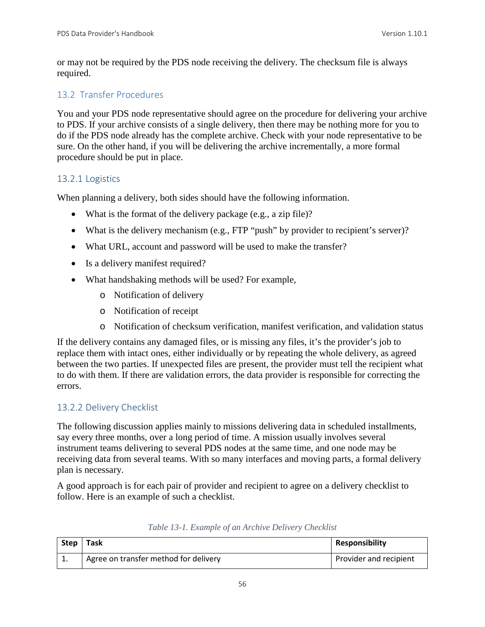or may not be required by the PDS node receiving the delivery. The checksum file is always required.

#### 13.2 Transfer Procedures

You and your PDS node representative should agree on the procedure for delivering your archive to PDS. If your archive consists of a single delivery, then there may be nothing more for you to do if the PDS node already has the complete archive. Check with your node representative to be sure. On the other hand, if you will be delivering the archive incrementally, a more formal procedure should be put in place.

#### 13.2.1 Logistics

When planning a delivery, both sides should have the following information.

- What is the format of the delivery package (e.g., a zip file)?
- What is the delivery mechanism (e.g., FTP "push" by provider to recipient's server)?
- What URL, account and password will be used to make the transfer?
- Is a delivery manifest required?
- What handshaking methods will be used? For example,
	- o Notification of delivery
	- o Notification of receipt
	- o Notification of checksum verification, manifest verification, and validation status

If the delivery contains any damaged files, or is missing any files, it's the provider's job to replace them with intact ones, either individually or by repeating the whole delivery, as agreed between the two parties. If unexpected files are present, the provider must tell the recipient what to do with them. If there are validation errors, the data provider is responsible for correcting the errors.

# 13.2.2 Delivery Checklist

The following discussion applies mainly to missions delivering data in scheduled installments, say every three months, over a long period of time. A mission usually involves several instrument teams delivering to several PDS nodes at the same time, and one node may be receiving data from several teams. With so many interfaces and moving parts, a formal delivery plan is necessary.

A good approach is for each pair of provider and recipient to agree on a delivery checklist to follow. Here is an example of such a checklist.

| Step     | Task                                  | <b>Responsibility</b>  |
|----------|---------------------------------------|------------------------|
| <b>.</b> | Agree on transfer method for delivery | Provider and recipient |

| Table 13-1. Example of an Archive Delivery Checklist |  |  |  |  |  |
|------------------------------------------------------|--|--|--|--|--|
|------------------------------------------------------|--|--|--|--|--|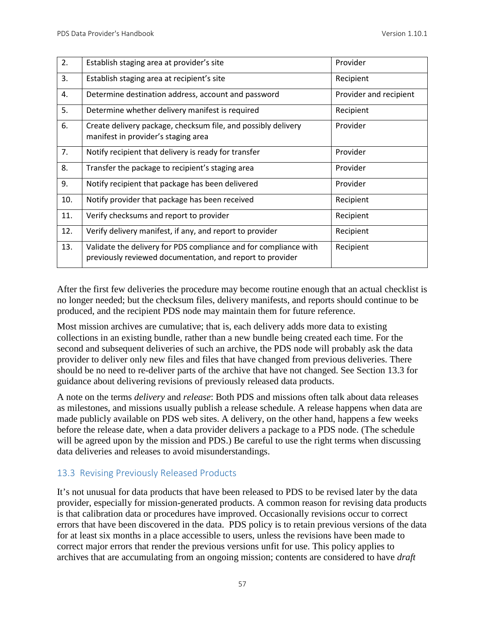| 2.  | Establish staging area at provider's site                                                                                     | Provider               |
|-----|-------------------------------------------------------------------------------------------------------------------------------|------------------------|
| 3.  | Establish staging area at recipient's site                                                                                    | Recipient              |
| 4.  | Determine destination address, account and password                                                                           | Provider and recipient |
| 5.  | Determine whether delivery manifest is required                                                                               | Recipient              |
| 6.  | Create delivery package, checksum file, and possibly delivery<br>manifest in provider's staging area                          | Provider               |
| 7.  | Notify recipient that delivery is ready for transfer                                                                          | Provider               |
| 8.  | Transfer the package to recipient's staging area                                                                              | Provider               |
| 9.  | Notify recipient that package has been delivered                                                                              | Provider               |
| 10. | Notify provider that package has been received                                                                                | Recipient              |
| 11. | Verify checksums and report to provider                                                                                       | Recipient              |
| 12. | Verify delivery manifest, if any, and report to provider                                                                      | Recipient              |
| 13. | Validate the delivery for PDS compliance and for compliance with<br>previously reviewed documentation, and report to provider | Recipient              |

After the first few deliveries the procedure may become routine enough that an actual checklist is no longer needed; but the checksum files, delivery manifests, and reports should continue to be produced, and the recipient PDS node may maintain them for future reference.

Most mission archives are cumulative; that is, each delivery adds more data to existing collections in an existing bundle, rather than a new bundle being created each time. For the second and subsequent deliveries of such an archive, the PDS node will probably ask the data provider to deliver only new files and files that have changed from previous deliveries. There should be no need to re-deliver parts of the archive that have not changed. See Section 13.3 for guidance about delivering revisions of previously released data products.

A note on the terms *delivery* and *release*: Both PDS and missions often talk about data releases as milestones, and missions usually publish a release schedule. A release happens when data are made publicly available on PDS web sites. A delivery, on the other hand, happens a few weeks before the release date, when a data provider delivers a package to a PDS node. (The schedule will be agreed upon by the mission and PDS.) Be careful to use the right terms when discussing data deliveries and releases to avoid misunderstandings.

#### 13.3 Revising Previously Released Products

It's not unusual for data products that have been released to PDS to be revised later by the data provider, especially for mission-generated products. A common reason for revising data products is that calibration data or procedures have improved. Occasionally revisions occur to correct errors that have been discovered in the data. PDS policy is to retain previous versions of the data for at least six months in a place accessible to users, unless the revisions have been made to correct major errors that render the previous versions unfit for use. This policy applies to archives that are accumulating from an ongoing mission; contents are considered to have *draft*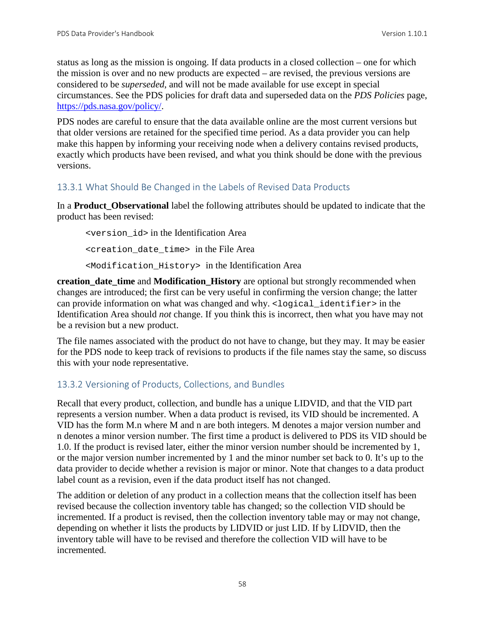status as long as the mission is ongoing. If data products in a closed collection – one for which the mission is over and no new products are expected – are revised, the previous versions are considered to be *superseded*, and will not be made available for use except in special circumstances. See the PDS policies for draft data and superseded data on the *PDS Policies* page, [https://pds.nasa.gov/policy/.](https://pds.nasa.gov/policy/)

PDS nodes are careful to ensure that the data available online are the most current versions but that older versions are retained for the specified time period. As a data provider you can help make this happen by informing your receiving node when a delivery contains revised products, exactly which products have been revised, and what you think should be done with the previous versions.

#### 13.3.1 What Should Be Changed in the Labels of Revised Data Products

In a **Product\_Observational** label the following attributes should be updated to indicate that the product has been revised:

<version\_id> in the Identification Area <creation\_date\_time> in the File Area <Modification\_History> in the Identification Area

**creation\_date\_time** and **Modification\_History** are optional but strongly recommended when changes are introduced; the first can be very useful in confirming the version change; the latter can provide information on what was changed and why. <logical identifier> in the Identification Area should *not* change. If you think this is incorrect, then what you have may not be a revision but a new product.

The file names associated with the product do not have to change, but they may. It may be easier for the PDS node to keep track of revisions to products if the file names stay the same, so discuss this with your node representative.

#### 13.3.2 Versioning of Products, Collections, and Bundles

Recall that every product, collection, and bundle has a unique LIDVID, and that the VID part represents a version number. When a data product is revised, its VID should be incremented. A VID has the form M.n where M and n are both integers. M denotes a major version number and n denotes a minor version number. The first time a product is delivered to PDS its VID should be 1.0. If the product is revised later, either the minor version number should be incremented by 1, or the major version number incremented by 1 and the minor number set back to 0. It's up to the data provider to decide whether a revision is major or minor. Note that changes to a data product label count as a revision, even if the data product itself has not changed.

The addition or deletion of any product in a collection means that the collection itself has been revised because the collection inventory table has changed; so the collection VID should be incremented. If a product is revised, then the collection inventory table may or may not change, depending on whether it lists the products by LIDVID or just LID. If by LIDVID, then the inventory table will have to be revised and therefore the collection VID will have to be incremented.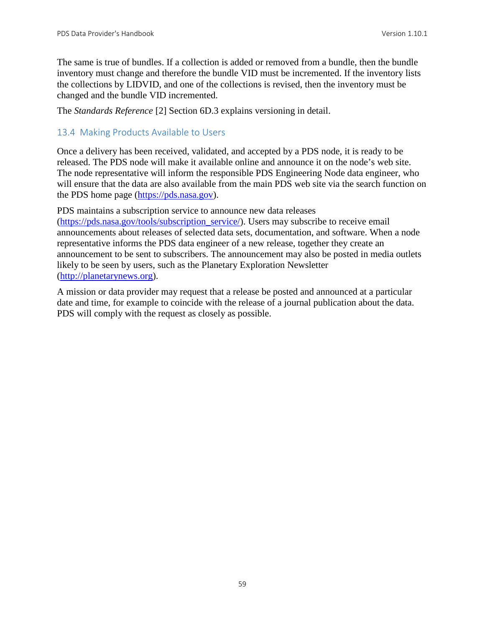The same is true of bundles. If a collection is added or removed from a bundle, then the bundle inventory must change and therefore the bundle VID must be incremented. If the inventory lists the collections by LIDVID, and one of the collections is revised, then the inventory must be changed and the bundle VID incremented.

The *Standards Reference* [2] Section 6D.3 explains versioning in detail.

#### 13.4 Making Products Available to Users

Once a delivery has been received, validated, and accepted by a PDS node, it is ready to be released. The PDS node will make it available online and announce it on the node's web site. The node representative will inform the responsible PDS Engineering Node data engineer, who will ensure that the data are also available from the main PDS web site via the search function on the PDS home page [\(https://pds.nasa.gov\)](http://pds.nasa.gov/).

PDS maintains a subscription service to announce new data releases [\(https://pds.nasa.gov/tools/subscription\\_service/\)](http://pds.nasa.gov/tools/subscription_service/). Users may subscribe to receive email announcements about releases of selected data sets, documentation, and software. When a node representative informs the PDS data engineer of a new release, together they create an announcement to be sent to subscribers. The announcement may also be posted in media outlets likely to be seen by users, such as the Planetary Exploration Newsletter [\(http://planetarynews.org\)](http://planetarynews.org/).

A mission or data provider may request that a release be posted and announced at a particular date and time, for example to coincide with the release of a journal publication about the data. PDS will comply with the request as closely as possible.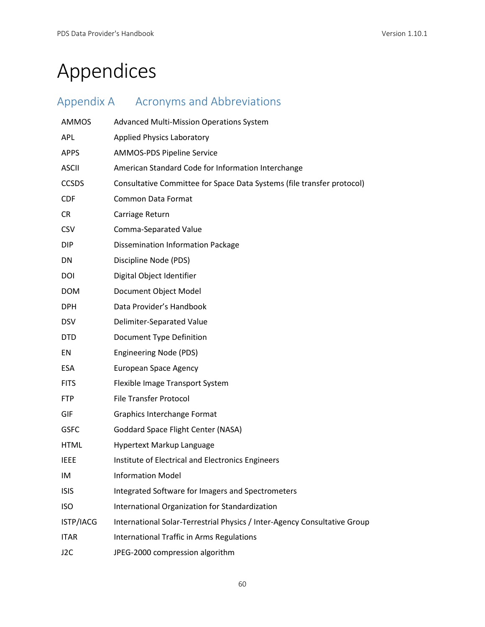# Appendices

| Appendix A       | <b>Acronyms and Abbreviations</b>                                         |
|------------------|---------------------------------------------------------------------------|
| <b>AMMOS</b>     | <b>Advanced Multi-Mission Operations System</b>                           |
| <b>APL</b>       | <b>Applied Physics Laboratory</b>                                         |
| <b>APPS</b>      | AMMOS-PDS Pipeline Service                                                |
| <b>ASCII</b>     | American Standard Code for Information Interchange                        |
| <b>CCSDS</b>     | Consultative Committee for Space Data Systems (file transfer protocol)    |
| <b>CDF</b>       | <b>Common Data Format</b>                                                 |
| <b>CR</b>        | Carriage Return                                                           |
| <b>CSV</b>       | Comma-Separated Value                                                     |
| <b>DIP</b>       | <b>Dissemination Information Package</b>                                  |
| DN               | Discipline Node (PDS)                                                     |
| DOI              | Digital Object Identifier                                                 |
| <b>DOM</b>       | Document Object Model                                                     |
| <b>DPH</b>       | Data Provider's Handbook                                                  |
| <b>DSV</b>       | Delimiter-Separated Value                                                 |
| <b>DTD</b>       | Document Type Definition                                                  |
| EN               | <b>Engineering Node (PDS)</b>                                             |
| <b>ESA</b>       | <b>European Space Agency</b>                                              |
| <b>FITS</b>      | Flexible Image Transport System                                           |
| <b>FTP</b>       | <b>File Transfer Protocol</b>                                             |
| GIF              | Graphics Interchange Format                                               |
| <b>GSFC</b>      | Goddard Space Flight Center (NASA)                                        |
| <b>HTML</b>      | Hypertext Markup Language                                                 |
| <b>IEEE</b>      | Institute of Electrical and Electronics Engineers                         |
| IM               | <b>Information Model</b>                                                  |
| <b>ISIS</b>      | Integrated Software for Imagers and Spectrometers                         |
| <b>ISO</b>       | International Organization for Standardization                            |
| ISTP/IACG        | International Solar-Terrestrial Physics / Inter-Agency Consultative Group |
| <b>ITAR</b>      | <b>International Traffic in Arms Regulations</b>                          |
| J <sub>2</sub> C | JPEG-2000 compression algorithm                                           |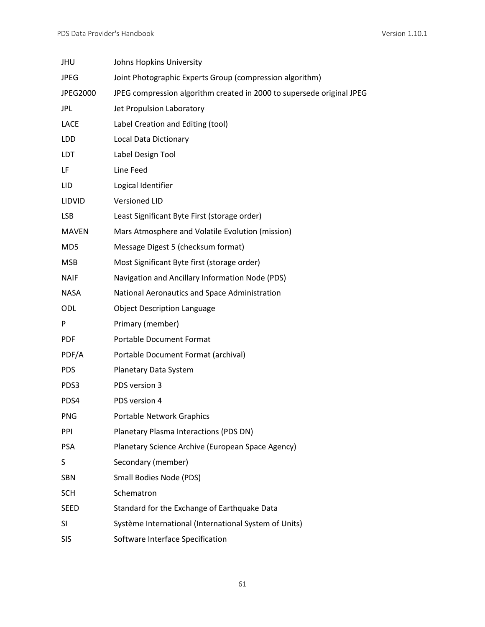| <b>JHU</b>      | Johns Hopkins University                                              |
|-----------------|-----------------------------------------------------------------------|
| <b>JPEG</b>     | Joint Photographic Experts Group (compression algorithm)              |
| JPEG2000        | JPEG compression algorithm created in 2000 to supersede original JPEG |
| <b>JPL</b>      | Jet Propulsion Laboratory                                             |
| <b>LACE</b>     | Label Creation and Editing (tool)                                     |
| LDD             | Local Data Dictionary                                                 |
| <b>LDT</b>      | Label Design Tool                                                     |
| LF              | Line Feed                                                             |
| LID.            | Logical Identifier                                                    |
| LIDVID          | <b>Versioned LID</b>                                                  |
| <b>LSB</b>      | Least Significant Byte First (storage order)                          |
| <b>MAVEN</b>    | Mars Atmosphere and Volatile Evolution (mission)                      |
| MD <sub>5</sub> | Message Digest 5 (checksum format)                                    |
| <b>MSB</b>      | Most Significant Byte first (storage order)                           |
| <b>NAIF</b>     | Navigation and Ancillary Information Node (PDS)                       |
| <b>NASA</b>     | National Aeronautics and Space Administration                         |
| ODL             | <b>Object Description Language</b>                                    |
| P               | Primary (member)                                                      |
| <b>PDF</b>      | <b>Portable Document Format</b>                                       |
| PDF/A           | Portable Document Format (archival)                                   |
| <b>PDS</b>      | Planetary Data System                                                 |
| PDS3            | PDS version 3                                                         |
| PDS4            | PDS version 4                                                         |
| <b>PNG</b>      | Portable Network Graphics                                             |
| PPI             | Planetary Plasma Interactions (PDS DN)                                |
| <b>PSA</b>      | Planetary Science Archive (European Space Agency)                     |
| S               | Secondary (member)                                                    |
| <b>SBN</b>      | Small Bodies Node (PDS)                                               |
| <b>SCH</b>      | Schematron                                                            |
| <b>SEED</b>     | Standard for the Exchange of Earthquake Data                          |
| <b>SI</b>       | Système International (International System of Units)                 |
| <b>SIS</b>      | Software Interface Specification                                      |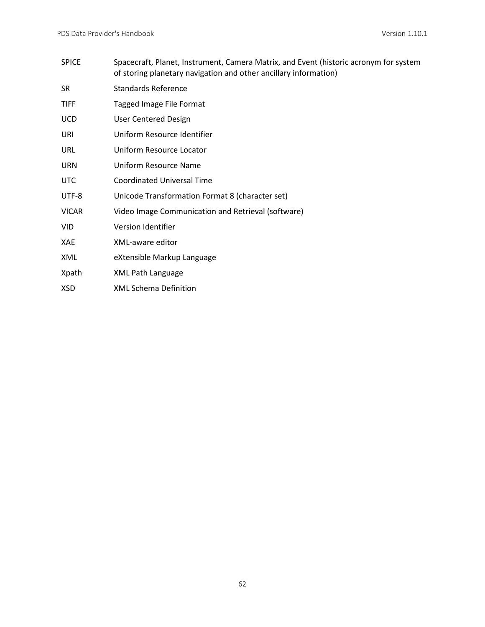SPICE Spacecraft, Planet, Instrument, Camera Matrix, and Event (historic acronym for system of storing planetary navigation and other ancillary information) SR Standards Reference TIFF Tagged Image File Format UCD User Centered Design URI Uniform Resource Identifier URL Uniform Resource Locator URN Uniform Resource Name UTC Coordinated Universal Time UTF-8 Unicode Transformation Format 8 (character set) VICAR Video Image Communication and Retrieval (software) VID Version Identifier XAE XML-aware editor XML eXtensible Markup Language Xpath XML Path Language XSD XML Schema Definition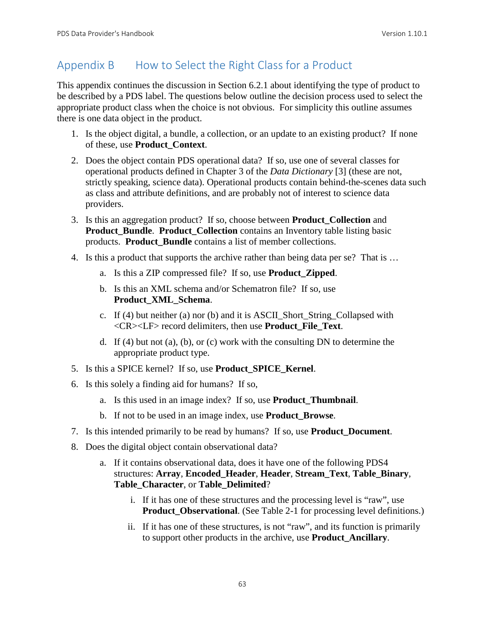# Appendix B How to Select the Right Class for a Product

This appendix continues the discussion in Section 6.2.1 about identifying the type of product to be described by a PDS label. The questions below outline the decision process used to select the appropriate product class when the choice is not obvious. For simplicity this outline assumes there is one data object in the product.

- 1. Is the object digital, a bundle, a collection, or an update to an existing product? If none of these, use **Product\_Context**.
- 2. Does the object contain PDS operational data? If so, use one of several classes for operational products defined in Chapter 3 of the *Data Dictionary* [3] (these are not, strictly speaking, science data). Operational products contain behind-the-scenes data such as class and attribute definitions, and are probably not of interest to science data providers.
- 3. Is this an aggregation product? If so, choose between **Product\_Collection** and **Product\_Bundle**. **Product\_Collection** contains an Inventory table listing basic products. **Product\_Bundle** contains a list of member collections.
- 4. Is this a product that supports the archive rather than being data per se? That is …
	- a. Is this a ZIP compressed file? If so, use **Product\_Zipped**.
	- b. Is this an XML schema and/or Schematron file? If so, use **Product\_XML\_Schema**.
	- c. If (4) but neither (a) nor (b) and it is ASCII\_Short\_String\_Collapsed with <CR><LF> record delimiters, then use **Product\_File\_Text**.
	- d. If (4) but not (a), (b), or (c) work with the consulting DN to determine the appropriate product type.
- 5. Is this a SPICE kernel? If so, use **Product\_SPICE\_Kernel**.
- 6. Is this solely a finding aid for humans? If so,
	- a. Is this used in an image index? If so, use **Product\_Thumbnail**.
	- b. If not to be used in an image index, use **Product\_Browse**.
- 7. Is this intended primarily to be read by humans? If so, use **Product\_Document**.
- 8. Does the digital object contain observational data?
	- a. If it contains observational data, does it have one of the following PDS4 structures: **Array**, **Encoded\_Header**, **Header**, **Stream\_Text**, **Table\_Binary**, **Table\_Character**, or **Table\_Delimited**?
		- i. If it has one of these structures and the processing level is "raw", use **Product Observational.** (See Table 2-1 for processing level definitions.)
		- ii. If it has one of these structures, is not "raw", and its function is primarily to support other products in the archive, use **Product\_Ancillary**.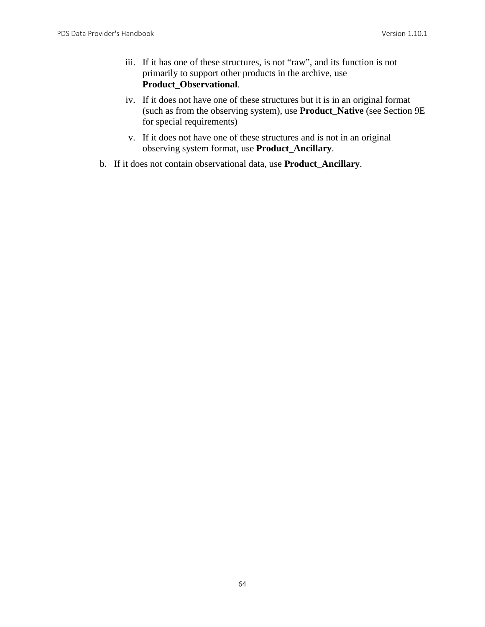- iii. If it has one of these structures, is not "raw", and its function is not primarily to support other products in the archive, use **Product\_Observational**.
- iv. If it does not have one of these structures but it is in an original format (such as from the observing system), use **Product\_Native** (see Section 9E for special requirements)
- v. If it does not have one of these structures and is not in an original observing system format, use **Product\_Ancillary**.
- b. If it does not contain observational data, use **Product\_Ancillary**.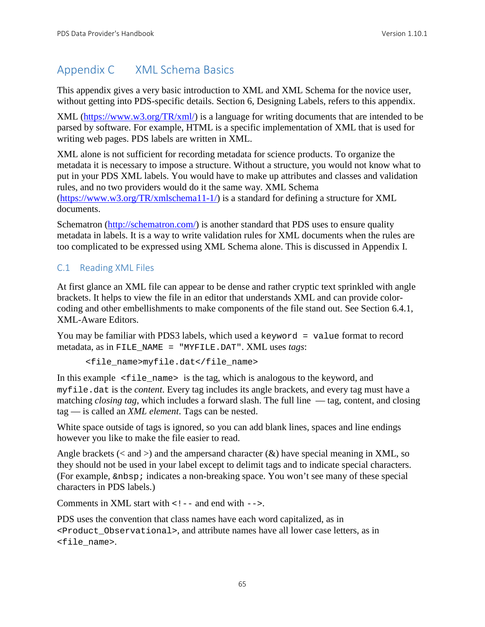# Appendix C XML Schema Basics

This appendix gives a very basic introduction to XML and XML Schema for the novice user, without getting into PDS-specific details. Section 6, Designing Labels, refers to this appendix.

XML [\(https://www.w3.org/TR/xml/\)](https://www.w3.org/TR/xml/) is a language for writing documents that are intended to be parsed by software. For example, HTML is a specific implementation of XML that is used for writing web pages. PDS labels are written in XML.

XML alone is not sufficient for recording metadata for science products. To organize the metadata it is necessary to impose a structure. Without a structure, you would not know what to put in your PDS XML labels. You would have to make up attributes and classes and validation rules, and no two providers would do it the same way. XML Schema [\(https://www.w3.org/TR/xmlschema11-1/\)](https://www.w3.org/TR/xmlschema11-1/) is a standard for defining a structure for XML documents.

Schematron [\(http://schematron.com/\)](http://schematron.com/) is another standard that PDS uses to ensure quality metadata in labels. It is a way to write validation rules for XML documents when the rules are too complicated to be expressed using XML Schema alone. This is discussed in Appendix I.

# C.1 Reading XML Files

At first glance an XML file can appear to be dense and rather cryptic text sprinkled with angle brackets. It helps to view the file in an editor that understands XML and can provide colorcoding and other embellishments to make components of the file stand out. See Section 6.4.1, XML-Aware Editors.

You may be familiar with PDS3 labels, which used a keyword = value format to record metadata, as in FILE\_NAME = "MYFILE.DAT". XML uses *tags*:

<file\_name>myfile.dat</file\_name>

In this example  $\le$  file\_name> is the tag, which is analogous to the keyword, and myfile.dat is the *content*. Every tag includes its angle brackets, and every tag must have a matching *closing tag*, which includes a forward slash. The full line — tag, content, and closing tag — is called an *XML element*. Tags can be nested.

White space outside of tags is ignored, so you can add blank lines, spaces and line endings however you like to make the file easier to read.

Angle brackets ( $\lt$  and  $\gt$ ) and the ampersand character ( $\&$ ) have special meaning in XML, so they should not be used in your label except to delimit tags and to indicate special characters. (For example,  $\epsilon$ nbsp; indicates a non-breaking space. You won't see many of these special characters in PDS labels.)

Comments in XML start with  $\lt$ ! -- and end with  $\lt$  ->.

PDS uses the convention that class names have each word capitalized, as in <Product\_Observational>, and attribute names have all lower case letters, as in <file\_name>.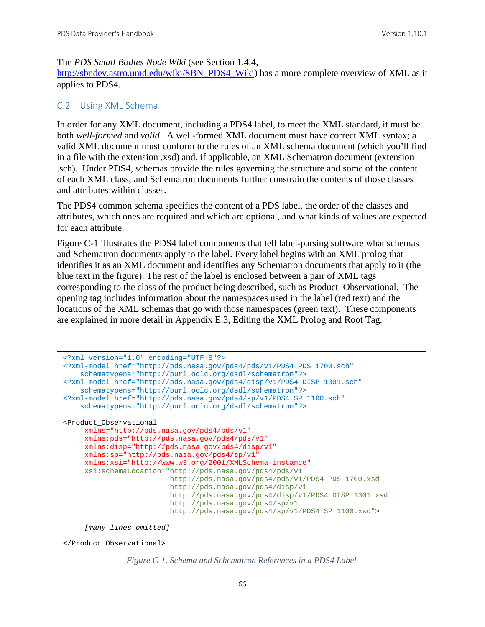#### The *PDS Small Bodies Node Wiki* (see Section 1.4.4,

[http://sbndev.astro.umd.edu/wiki/SBN\\_PDS4\\_Wiki\)](http://sbndev.astro.umd.edu/wiki/SBN_PDS4_Wiki) has a more complete overview of XML as it applies to PDS4.

#### C.2 Using XML Schema

In order for any XML document, including a PDS4 label, to meet the XML standard, it must be both *well-formed* and *valid*. A well-formed XML document must have correct XML syntax; a valid XML document must conform to the rules of an XML schema document (which you'll find in a file with the extension .xsd) and, if applicable, an XML Schematron document (extension .sch). Under PDS4, schemas provide the rules governing the structure and some of the content of each XML class, and Schematron documents further constrain the contents of those classes and attributes within classes.

The PDS4 common schema specifies the content of a PDS label, the order of the classes and attributes, which ones are required and which are optional, and what kinds of values are expected for each attribute.

Figure C-1 illustrates the PDS4 label components that tell label-parsing software what schemas and Schematron documents apply to the label. Every label begins with an XML prolog that identifies it as an XML document and identifies any Schematron documents that apply to it (the blue text in the figure). The rest of the label is enclosed between a pair of XML tags corresponding to the class of the product being described, such as Product\_Observational. The opening tag includes information about the namespaces used in the label (red text) and the locations of the XML schemas that go with those namespaces (green text). These components are explained in more detail in Appendix E.3, Editing the XML Prolog and Root Tag.

```
<?xml version="1.0" encoding="UTF-8"?>
<?xml-model href="http://pds.nasa.gov/pds4/pds/v1/PDS4_PDS_1700.sch"
    schematypens="http://purl.oclc.org/dsdl/schematron"?>
<?xml-model href="http://pds.nasa.gov/pds4/disp/v1/PDS4_DISP_1301.sch" 
    schematypens="http://purl.oclc.org/dsdl/schematron"?>
<?xml-model href="http://pds.nasa.gov/pds4/sp/v1/PDS4_SP_1100.sch" 
    schematypens="http://purl.oclc.org/dsdl/schematron"?>
<Product_Observational 
     xmlns="http://pds.nasa.gov/pds4/pds/v1"
      xmlns:pds="http://pds.nasa.gov/pds4/pds/v1"
      xmlns:disp="http://pds.nasa.gov/pds4/disp/v1"
      xmlns:sp="http://pds.nasa.gov/pds4/sp/v1"
     xmlns:xsi="http://www.w3.org/2001/XMLSchema-instance"
      xsi:schemaLocation="http://pds.nasa.gov/pds4/pds/v1
                          http://pds.nasa.gov/pds4/pds/v1/PDS4_PDS_1700.xsd 
                         http://pds.nasa.gov/pds4/disp/v1 
                         http://pds.nasa.gov/pds4/disp/v1/PDS4_DISP_1301.xsd
                         http://pds.nasa.gov/pds4/sp/v1 
                         http://pds.nasa.gov/pds4/sp/v1/PDS4_SP_1100.xsd">
      [many lines omitted]
</Product_Observational>
```
*Figure C-1. Schema and Schematron References in a PDS4 Label*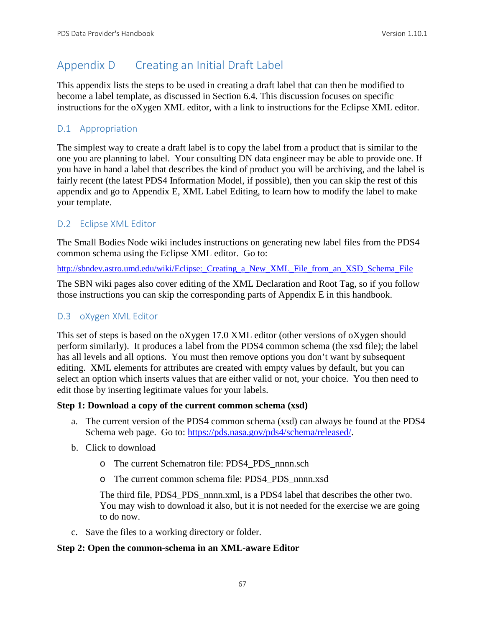# Appendix D Creating an Initial Draft Label

This appendix lists the steps to be used in creating a draft label that can then be modified to become a label template, as discussed in Section 6.4. This discussion focuses on specific instructions for the oXygen XML editor, with a link to instructions for the Eclipse XML editor.

## D.1 Appropriation

The simplest way to create a draft label is to copy the label from a product that is similar to the one you are planning to label. Your consulting DN data engineer may be able to provide one. If you have in hand a label that describes the kind of product you will be archiving, and the label is fairly recent (the latest PDS4 Information Model, if possible), then you can skip the rest of this appendix and go to Appendix E, XML Label Editing, to learn how to modify the label to make your template.

## D.2 Eclipse XML Editor

The Small Bodies Node wiki includes instructions on generating new label files from the PDS4 common schema using the Eclipse XML editor. Go to:

http://sbndev.astro.umd.edu/wiki/Eclipse: Creating a New\_XML\_File\_from\_an\_XSD\_Schema\_File

The SBN wiki pages also cover editing of the XML Declaration and Root Tag, so if you follow those instructions you can skip the corresponding parts of Appendix E in this handbook.

## D.3 oXygen XML Editor

This set of steps is based on the oXygen 17.0 XML editor (other versions of oXygen should perform similarly). It produces a label from the PDS4 common schema (the xsd file); the label has all levels and all options. You must then remove options you don't want by subsequent editing. XML elements for attributes are created with empty values by default, but you can select an option which inserts values that are either valid or not, your choice. You then need to edit those by inserting legitimate values for your labels.

### **Step 1: Download a copy of the current common schema (xsd)**

- a. The current version of the PDS4 common schema (xsd) can always be found at the PDS4 Schema web page. Go to: [https://pds.nasa.gov/pds4/schema/released/.](https://pds.nasa.gov/pds4/schema/released/)
- b. Click to download
	- o The current Schematron file: PDS4\_PDS\_nnnn.sch
	- o The current common schema file: PDS4\_PDS\_nnnn.xsd

The third file, PDS4\_PDS\_nnnn.xml, is a PDS4 label that describes the other two. You may wish to download it also, but it is not needed for the exercise we are going to do now.

c. Save the files to a working directory or folder.

#### **Step 2: Open the common-schema in an XML-aware Editor**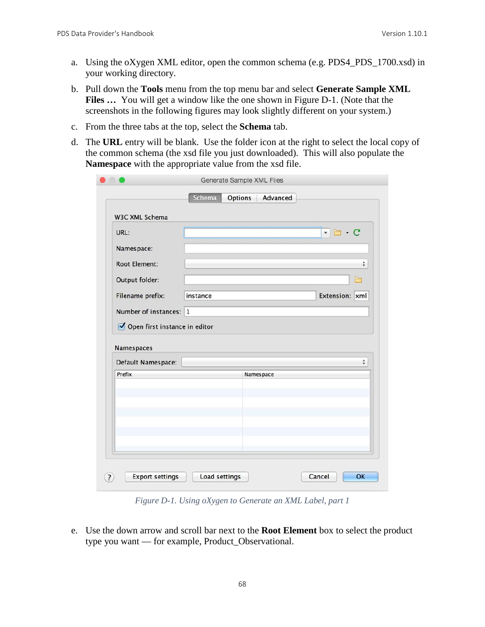- a. Using the oXygen XML editor, open the common schema (e.g. PDS4\_PDS\_1700.xsd) in your working directory.
- b. Pull down the **Tools** menu from the top menu bar and select **Generate Sample XML Files ...** You will get a window like the one shown in Figure D-1. (Note that the screenshots in the following figures may look slightly different on your system.)
- c. From the three tabs at the top, select the **Schema** tab.
- d. The **URL** entry will be blank. Use the folder icon at the right to select the local copy of the common schema (the xsd file you just downloaded). This will also populate the **Namespace** with the appropriate value from the xsd file.

| URL:                             |           | $\cdot c$<br>$\overline{\mathbf v}$ |
|----------------------------------|-----------|-------------------------------------|
| Namespace:                       |           |                                     |
| <b>Root Element:</b>             |           | $\hat{\mathbf{v}}$                  |
| Output folder:                   |           | Բ                                   |
| Filename prefix:                 | instance  | Extension: xml                      |
| Number of instances: 1           |           |                                     |
|                                  |           |                                     |
| Open first instance in editor    |           |                                     |
|                                  |           |                                     |
| Namespaces<br>Default Namespace: |           | ÷                                   |
| Prefix                           | Namespace |                                     |
|                                  |           |                                     |
|                                  |           |                                     |
|                                  |           |                                     |

*Figure D-1. Using oXygen to Generate an XML Label, part 1*

e. Use the down arrow and scroll bar next to the **Root Element** box to select the product type you want — for example, Product\_Observational.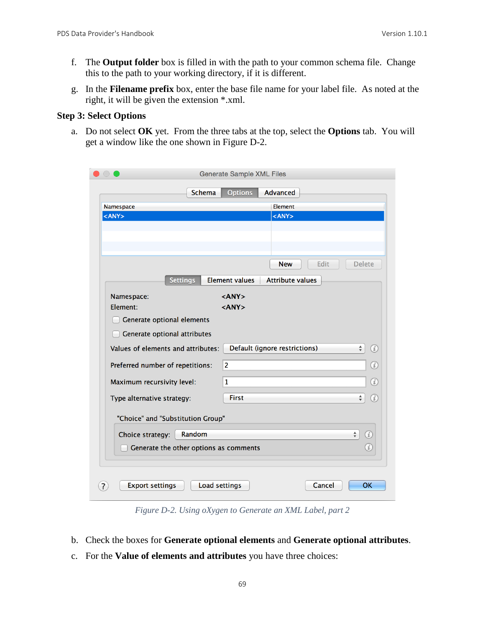- f. The **Output folder** box is filled in with the path to your common schema file. Change this to the path to your working directory, if it is different.
- g. In the **Filename prefix** box, enter the base file name for your label file. As noted at the right, it will be given the extension \*.xml.

#### **Step 3: Select Options**

a. Do not select **OK** yet. From the three tabs at the top, select the **Options** tab. You will get a window like the one shown in Figure D-2.

| <b>Schema</b><br><b>Options</b><br><b>Advanced</b><br>Element<br>Namespace<br>$<$ ANY $>$<br>$<$ ANY $>$<br><b>Delete</b><br>Edit<br><b>New</b><br><b>Settings</b><br>Element values<br><b>Attribute values</b><br>$<$ ANY $>$<br>Namespace:<br>Element:<br>$<$ ANY $>$<br>Generate optional elements<br>Generate optional attributes<br>Default (ignore restrictions)<br>Values of elements and attributes:<br>$\frac{1}{\sqrt{2}}$<br>(i)<br>$\overline{2}$<br>$\circledi$<br>Preferred number of repetitions:<br>(i)<br>Maximum recursivity level:<br>$\mathbf{1}$<br><b>First</b><br>$\frac{4}{7}$<br>$\left( i\right)$<br>Type alternative strategy:<br>"Choice" and "Substitution Group"<br>$\frac{4}{7}$<br>Random<br>$\left( i\right)$<br>Choice strategy:<br>$\left( i\right)$<br>Generate the other options as comments<br>Load settings<br>OK<br><b>Export settings</b><br>Cancel |  | <b>Generate Sample XML Files</b> |  |
|----------------------------------------------------------------------------------------------------------------------------------------------------------------------------------------------------------------------------------------------------------------------------------------------------------------------------------------------------------------------------------------------------------------------------------------------------------------------------------------------------------------------------------------------------------------------------------------------------------------------------------------------------------------------------------------------------------------------------------------------------------------------------------------------------------------------------------------------------------------------------------------------|--|----------------------------------|--|
|                                                                                                                                                                                                                                                                                                                                                                                                                                                                                                                                                                                                                                                                                                                                                                                                                                                                                              |  |                                  |  |
|                                                                                                                                                                                                                                                                                                                                                                                                                                                                                                                                                                                                                                                                                                                                                                                                                                                                                              |  |                                  |  |
|                                                                                                                                                                                                                                                                                                                                                                                                                                                                                                                                                                                                                                                                                                                                                                                                                                                                                              |  |                                  |  |
|                                                                                                                                                                                                                                                                                                                                                                                                                                                                                                                                                                                                                                                                                                                                                                                                                                                                                              |  |                                  |  |
|                                                                                                                                                                                                                                                                                                                                                                                                                                                                                                                                                                                                                                                                                                                                                                                                                                                                                              |  |                                  |  |
|                                                                                                                                                                                                                                                                                                                                                                                                                                                                                                                                                                                                                                                                                                                                                                                                                                                                                              |  |                                  |  |
|                                                                                                                                                                                                                                                                                                                                                                                                                                                                                                                                                                                                                                                                                                                                                                                                                                                                                              |  |                                  |  |
|                                                                                                                                                                                                                                                                                                                                                                                                                                                                                                                                                                                                                                                                                                                                                                                                                                                                                              |  |                                  |  |
|                                                                                                                                                                                                                                                                                                                                                                                                                                                                                                                                                                                                                                                                                                                                                                                                                                                                                              |  |                                  |  |
|                                                                                                                                                                                                                                                                                                                                                                                                                                                                                                                                                                                                                                                                                                                                                                                                                                                                                              |  |                                  |  |
|                                                                                                                                                                                                                                                                                                                                                                                                                                                                                                                                                                                                                                                                                                                                                                                                                                                                                              |  |                                  |  |
|                                                                                                                                                                                                                                                                                                                                                                                                                                                                                                                                                                                                                                                                                                                                                                                                                                                                                              |  |                                  |  |
|                                                                                                                                                                                                                                                                                                                                                                                                                                                                                                                                                                                                                                                                                                                                                                                                                                                                                              |  |                                  |  |
|                                                                                                                                                                                                                                                                                                                                                                                                                                                                                                                                                                                                                                                                                                                                                                                                                                                                                              |  |                                  |  |
|                                                                                                                                                                                                                                                                                                                                                                                                                                                                                                                                                                                                                                                                                                                                                                                                                                                                                              |  |                                  |  |
|                                                                                                                                                                                                                                                                                                                                                                                                                                                                                                                                                                                                                                                                                                                                                                                                                                                                                              |  |                                  |  |
|                                                                                                                                                                                                                                                                                                                                                                                                                                                                                                                                                                                                                                                                                                                                                                                                                                                                                              |  |                                  |  |
|                                                                                                                                                                                                                                                                                                                                                                                                                                                                                                                                                                                                                                                                                                                                                                                                                                                                                              |  |                                  |  |
|                                                                                                                                                                                                                                                                                                                                                                                                                                                                                                                                                                                                                                                                                                                                                                                                                                                                                              |  |                                  |  |
|                                                                                                                                                                                                                                                                                                                                                                                                                                                                                                                                                                                                                                                                                                                                                                                                                                                                                              |  |                                  |  |
|                                                                                                                                                                                                                                                                                                                                                                                                                                                                                                                                                                                                                                                                                                                                                                                                                                                                                              |  |                                  |  |
|                                                                                                                                                                                                                                                                                                                                                                                                                                                                                                                                                                                                                                                                                                                                                                                                                                                                                              |  |                                  |  |
|                                                                                                                                                                                                                                                                                                                                                                                                                                                                                                                                                                                                                                                                                                                                                                                                                                                                                              |  |                                  |  |
|                                                                                                                                                                                                                                                                                                                                                                                                                                                                                                                                                                                                                                                                                                                                                                                                                                                                                              |  |                                  |  |
|                                                                                                                                                                                                                                                                                                                                                                                                                                                                                                                                                                                                                                                                                                                                                                                                                                                                                              |  |                                  |  |
|                                                                                                                                                                                                                                                                                                                                                                                                                                                                                                                                                                                                                                                                                                                                                                                                                                                                                              |  |                                  |  |

*Figure D-2. Using oXygen to Generate an XML Label, part 2*

- b. Check the boxes for **Generate optional elements** and **Generate optional attributes**.
- c. For the **Value of elements and attributes** you have three choices: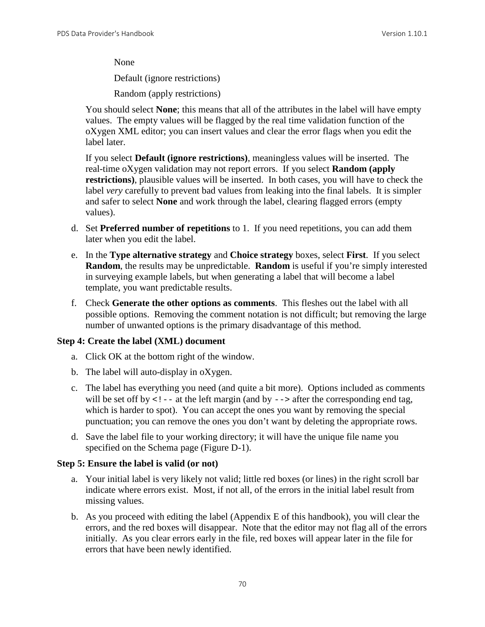None

Default (ignore restrictions)

Random (apply restrictions)

You should select **None**; this means that all of the attributes in the label will have empty values. The empty values will be flagged by the real time validation function of the oXygen XML editor; you can insert values and clear the error flags when you edit the label later.

If you select **Default (ignore restrictions)**, meaningless values will be inserted. The real-time oXygen validation may not report errors. If you select **Random (apply restrictions)**, plausible values will be inserted. In both cases, you will have to check the label *very* carefully to prevent bad values from leaking into the final labels. It is simpler and safer to select **None** and work through the label, clearing flagged errors (empty values).

- d. Set **Preferred number of repetitions** to 1. If you need repetitions, you can add them later when you edit the label.
- e. In the **Type alternative strategy** and **Choice strategy** boxes, select **First**. If you select **Random**, the results may be unpredictable. **Random** is useful if you're simply interested in surveying example labels, but when generating a label that will become a label template, you want predictable results.
- f. Check **Generate the other options as comments**. This fleshes out the label with all possible options. Removing the comment notation is not difficult; but removing the large number of unwanted options is the primary disadvantage of this method.

#### **Step 4: Create the label (XML) document**

- a. Click OK at the bottom right of the window.
- b. The label will auto-display in oXygen.
- c. The label has everything you need (and quite a bit more). Options included as comments will be set off by  $\lt!$ ! -- at the left margin (and by --> after the corresponding end tag, which is harder to spot). You can accept the ones you want by removing the special punctuation; you can remove the ones you don't want by deleting the appropriate rows.
- d. Save the label file to your working directory; it will have the unique file name you specified on the Schema page (Figure D-1).

#### **Step 5: Ensure the label is valid (or not)**

- a. Your initial label is very likely not valid; little red boxes (or lines) in the right scroll bar indicate where errors exist. Most, if not all, of the errors in the initial label result from missing values.
- b. As you proceed with editing the label (Appendix E of this handbook), you will clear the errors, and the red boxes will disappear. Note that the editor may not flag all of the errors initially. As you clear errors early in the file, red boxes will appear later in the file for errors that have been newly identified.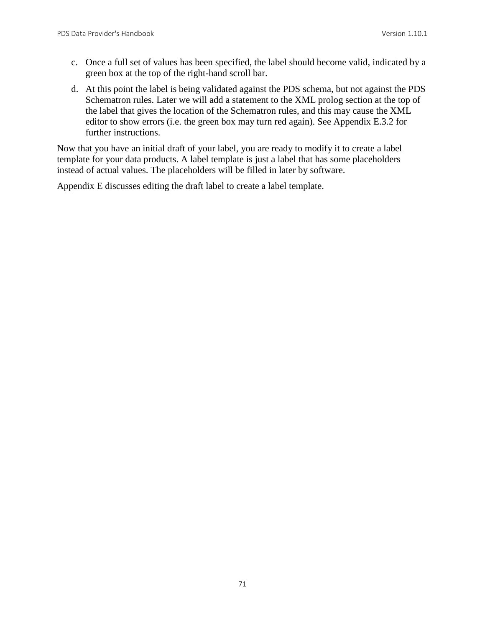- c. Once a full set of values has been specified, the label should become valid, indicated by a green box at the top of the right-hand scroll bar.
- d. At this point the label is being validated against the PDS schema, but not against the PDS Schematron rules. Later we will add a statement to the XML prolog section at the top of the label that gives the location of the Schematron rules, and this may cause the XML editor to show errors (i.e. the green box may turn red again). See Appendix E.3.2 for further instructions.

Now that you have an initial draft of your label, you are ready to modify it to create a label template for your data products. A label template is just a label that has some placeholders instead of actual values. The placeholders will be filled in later by software.

Appendix E discusses editing the draft label to create a label template.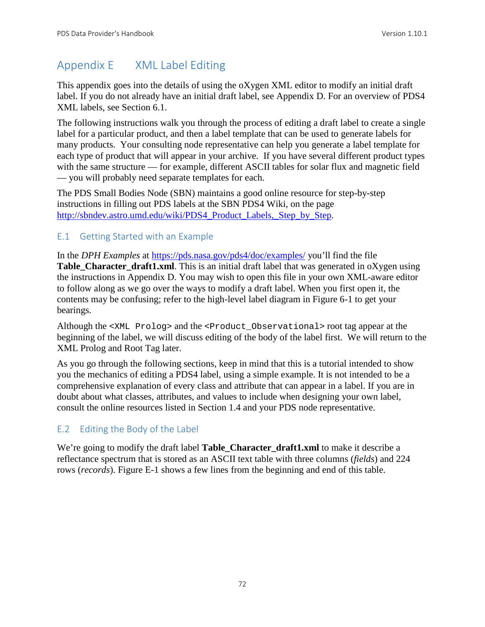# Appendix E XML Label Editing

This appendix goes into the details of using the oXygen XML editor to modify an initial draft label. If you do not already have an initial draft label, see Appendix D. For an overview of PDS4 XML labels, see Section 6.1.

The following instructions walk you through the process of editing a draft label to create a single label for a particular product, and then a label template that can be used to generate labels for many products. Your consulting node representative can help you generate a label template for each type of product that will appear in your archive. If you have several different product types with the same structure — for example, different ASCII tables for solar flux and magnetic field — you will probably need separate templates for each.

The PDS Small Bodies Node (SBN) maintains a good online resource for step-by-step instructions in filling out PDS labels at the SBN PDS4 Wiki, on the page [http://sbndev.astro.umd.edu/wiki/PDS4\\_Product\\_Labels,\\_Step\\_by\\_Step.](http://sbndev.astro.umd.edu/wiki/PDS4_Product_Labels,_Step_by_Step)

## E.1 Getting Started with an Example

In the *DPH Examples* at<https://pds.nasa.gov/pds4/doc/examples/> you'll find the file **Table Character draft1.xml**. This is an initial draft label that was generated in oXygen using the instructions in Appendix D. You may wish to open this file in your own XML-aware editor to follow along as we go over the ways to modify a draft label. When you first open it, the contents may be confusing; refer to the high-level label diagram in Figure 6-1 to get your bearings.

Although the <XML Prolog> and the <Product\_Observational> root tag appear at the beginning of the label, we will discuss editing of the body of the label first. We will return to the XML Prolog and Root Tag later.

As you go through the following sections, keep in mind that this is a tutorial intended to show you the mechanics of editing a PDS4 label, using a simple example. It is not intended to be a comprehensive explanation of every class and attribute that can appear in a label. If you are in doubt about what classes, attributes, and values to include when designing your own label, consult the online resources listed in Section 1.4 and your PDS node representative.

# E.2 Editing the Body of the Label

We're going to modify the draft label **Table\_Character\_draft1.xml** to make it describe a reflectance spectrum that is stored as an ASCII text table with three columns (*fields*) and 224 rows (*records*). Figure E-1 shows a few lines from the beginning and end of this table.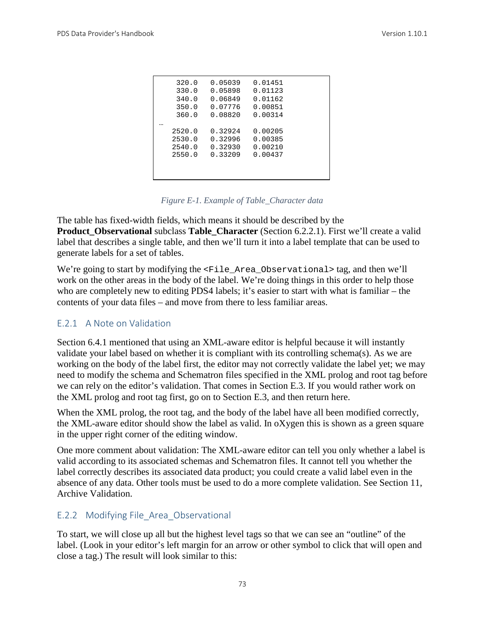| 320.0  | 0.05039 | 0.01451 |  |
|--------|---------|---------|--|
| 330.0  | 0.05898 | 0.01123 |  |
| 340.0  | 0.06849 | 0.01162 |  |
| 350.0  | 0.07776 | 0.00851 |  |
| 360.0  | 0.08820 | 0.00314 |  |
|        |         |         |  |
| 2520.0 | 0.32924 | 0.00205 |  |
| 2530.0 | 0.32996 | 0.00385 |  |
| 2540.0 | 0.32930 | 0.00210 |  |
| 2550.0 | 0.33209 | 0.00437 |  |
|        |         |         |  |
|        |         |         |  |
|        |         |         |  |

*Figure E-1. Example of Table\_Character data*

The table has fixed-width fields, which means it should be described by the **Product\_Observational** subclass **Table\_Character** (Section 6.2.2.1). First we'll create a valid label that describes a single table, and then we'll turn it into a label template that can be used to generate labels for a set of tables.

We're going to start by modifying the <File\_Area\_Observational> tag, and then we'll work on the other areas in the body of the label. We're doing things in this order to help those who are completely new to editing PDS4 labels; it's easier to start with what is familiar – the contents of your data files – and move from there to less familiar areas.

#### E.2.1 A Note on Validation

Section 6.4.1 mentioned that using an XML-aware editor is helpful because it will instantly validate your label based on whether it is compliant with its controlling schema(s). As we are working on the body of the label first, the editor may not correctly validate the label yet; we may need to modify the schema and Schematron files specified in the XML prolog and root tag before we can rely on the editor's validation. That comes in Section E.3. If you would rather work on the XML prolog and root tag first, go on to Section E.3, and then return here.

When the XML prolog, the root tag, and the body of the label have all been modified correctly, the XML-aware editor should show the label as valid. In oXygen this is shown as a green square in the upper right corner of the editing window.

One more comment about validation: The XML-aware editor can tell you only whether a label is valid according to its associated schemas and Schematron files. It cannot tell you whether the label correctly describes its associated data product; you could create a valid label even in the absence of any data. Other tools must be used to do a more complete validation. See Section 11, Archive Validation.

### E.2.2 Modifying File\_Area\_Observational

To start, we will close up all but the highest level tags so that we can see an "outline" of the label. (Look in your editor's left margin for an arrow or other symbol to click that will open and close a tag.) The result will look similar to this: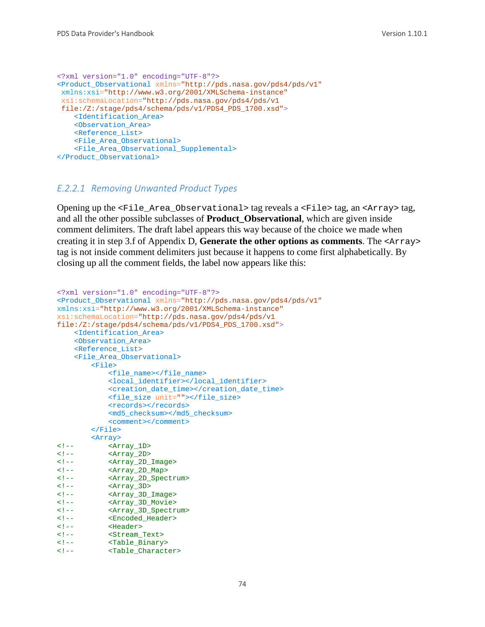```
<?xml version="1.0" encoding="UTF-8"?>
<Product_Observational xmlns="http://pds.nasa.gov/pds4/pds/v1"
xmlns:xsi="http://www.w3.org/2001/XMLSchema-instance"
 xsi:schemaLocation="http://pds.nasa.gov/pds4/pds/v1 
file:/Z:/stage/pds4/schema/pds/v1/PDS4_PDS_1700.xsd">
     <Identification_Area>
     <Observation_Area>
     <Reference_List>
     <File_Area_Observational>
     <File_Area_Observational_Supplemental>
</Product_Observational>
```
#### *E.2.2.1 Removing Unwanted Product Types*

Opening up the <File\_Area\_Observational> tag reveals a <File> tag, an <Array> tag, and all the other possible subclasses of **Product\_Observational**, which are given inside comment delimiters. The draft label appears this way because of the choice we made when creating it in step 3.f of Appendix D, **Generate the other options as comments**. The <Array> tag is not inside comment delimiters just because it happens to come first alphabetically. By closing up all the comment fields, the label now appears like this:

```
<?xml version="1.0" encoding="UTF-8"?>
<Product_Observational xmlns="http://pds.nasa.gov/pds4/pds/v1"
xmlns:xsi="http://www.w3.org/2001/XMLSchema-instance"
xsi:schemaLocation="http://pds.nasa.gov/pds4/pds/v1 
file:/Z:/stage/pds4/schema/pds/v1/PDS4_PDS_1700.xsd">
     <Identification_Area>
     <Observation_Area>
     <Reference_List>
     <File_Area_Observational>
         <File>
             <file_name></file_name>
             <local_identifier></local_identifier>
             <creation_date_time></creation_date_time>
             <file_size unit=""></file_size>
            <records></records>
             <md5_checksum></md5_checksum>
             <comment></comment>
         </File>
 <Array>
<!-- <Array_1D><br><!-- <Array 2D>
<!-- <Array_2D><br><!-- <Array_2D
<!-- <Array_2D_Image><br><!-- <Array_2D_Map>
<!-- <Array_2D_Map><br><!-- <Array_2D_Spec
<!-- <Array_2D_Spectrum><br><!-- <Array_3D>
<!-- <Array_3D>
<!-- <Array_3D_Image>
<!-- <Array_3D_Movie>
<!-- <Array_3D_Spectrum>
<!-- <Encoded_Header>
<!-- <Header>
<!-- <Stream_Text>
<!-- <Table_Binary>
           <Table_Character>
```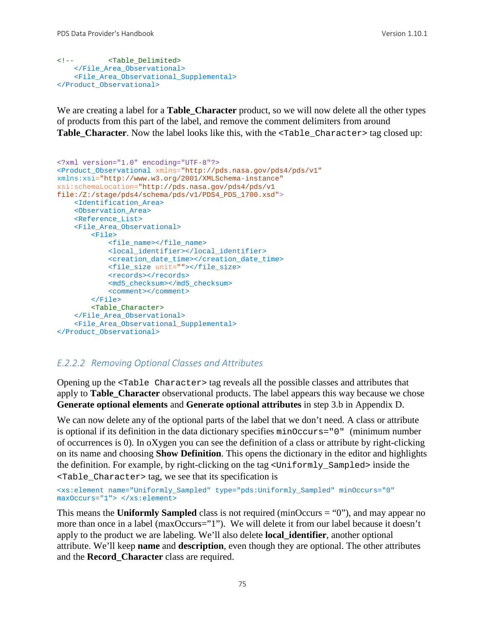```
<!-- <Table_Delimited>
    </File_Area_Observational>
    <File_Area_Observational_Supplemental>
</Product_Observational>
```
We are creating a label for a **Table\_Character** product, so we will now delete all the other types of products from this part of the label, and remove the comment delimiters from around Table\_Character. Now the label looks like this, with the <Table\_Character> tag closed up:

```
<?xml version="1.0" encoding="UTF-8"?>
<Product_Observational xmlns="http://pds.nasa.gov/pds4/pds/v1"
xmlns:xsi="http://www.w3.org/2001/XMLSchema-instance"
xsi:schemaLocation="http://pds.nasa.gov/pds4/pds/v1 
file:/Z:/stage/pds4/schema/pds/v1/PDS4_PDS_1700.xsd">
     <Identification_Area>
     <Observation_Area>
    <Reference_List>
    <File_Area_Observational>
         <File>
             <file_name></file_name>
             <local_identifier></local_identifier>
             <creation_date_time></creation_date_time>
             <file_size unit=""></file_size>
            <records></records>
             <md5_checksum></md5_checksum>
             <comment></comment>
         </File>
        <Table_Character>
     </File_Area_Observational>
     <File_Area_Observational_Supplemental>
</Product_Observational>
```
#### *E.2.2.2 Removing Optional Classes and Attributes*

Opening up the <Table Character> tag reveals all the possible classes and attributes that apply to **Table\_Character** observational products. The label appears this way because we chose **Generate optional elements** and **Generate optional attributes** in step 3.b in Appendix D.

We can now delete any of the optional parts of the label that we don't need. A class or attribute is optional if its definition in the data dictionary specifies minOccurs="0" (minimum number of occurrences is 0). In oXygen you can see the definition of a class or attribute by right-clicking on its name and choosing **Show Definition**. This opens the dictionary in the editor and highlights the definition. For example, by right-clicking on the tag <Uniformly\_Sampled> inside the <Table\_Character> tag, we see that its specification is

```
<xs:element name="Uniformly_Sampled" type="pds:Uniformly_Sampled" minOccurs="0" 
maxOccurs="1"> </xs:element>
```
This means the **Uniformly Sampled** class is not required (minOccurs = "0"), and may appear no more than once in a label (maxOccurs="1"). We will delete it from our label because it doesn't apply to the product we are labeling. We'll also delete **local\_identifier**, another optional attribute. We'll keep **name** and **description**, even though they are optional. The other attributes and the **Record\_Character** class are required.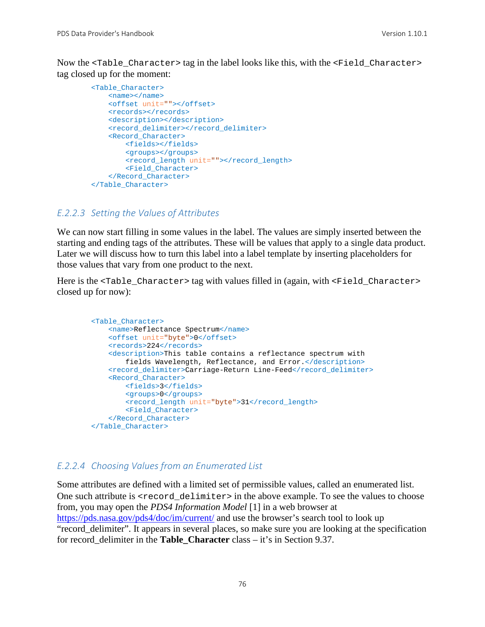Now the <Table\_Character> tag in the label looks like this, with the <Field\_Character> tag closed up for the moment:

```
 <Table_Character>
     <name></name>
     <offset unit=""></offset>
    <records></records>
     <description></description>
    <record_delimiter></record_delimiter>
     <Record_Character>
         <fields></fields>
         <groups></groups>
         <record_length unit=""></record_length>
         <Field_Character>
     </Record_Character>
 </Table_Character>
```
#### *E.2.2.3 Setting the Values of Attributes*

We can now start filling in some values in the label. The values are simply inserted between the starting and ending tags of the attributes. These will be values that apply to a single data product. Later we will discuss how to turn this label into a label template by inserting placeholders for those values that vary from one product to the next.

Here is the <Table\_Character> tag with values filled in (again, with <Field\_Character> closed up for now):

```
 <Table_Character>
     <name>Reflectance Spectrum</name>
     <offset unit="byte">0</offset>
     <records>224</records>
     <description>This table contains a reflectance spectrum with 
         fields Wavelength, Reflectance, and Error.</description>
    <record_delimiter>Carriage-Return Line-Feed</record_delimiter>
     <Record_Character>
         <fields>3</fields>
         <groups>0</groups>
         <record_length unit="byte">31</record_length>
         <Field_Character>
     </Record_Character>
 </Table_Character>
```
#### *E.2.2.4 Choosing Values from an Enumerated List*

Some attributes are defined with a limited set of permissible values, called an enumerated list. One such attribute is <record\_delimiter> in the above example. To see the values to choose from, you may open the *PDS4 Information Model* [1] in a web browser at <https://pds.nasa.gov/pds4/doc/im/current/> and use the browser's search tool to look up "record\_delimiter". It appears in several places, so make sure you are looking at the specification for record\_delimiter in the **Table\_Character** class – it's in Section 9.37.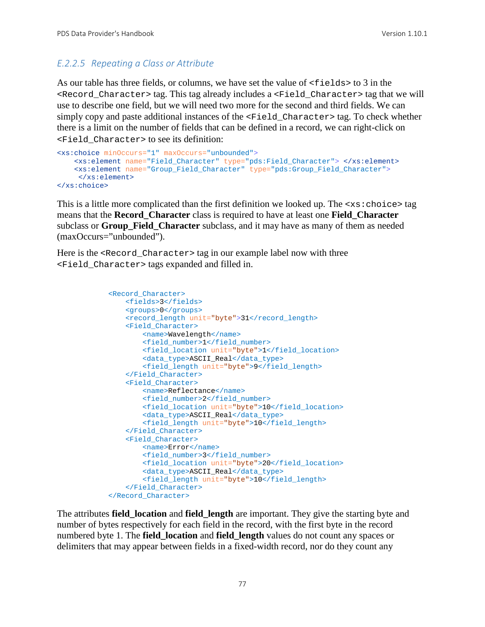# *E.2.2.5 Repeating a Class or Attribute*

As our table has three fields, or columns, we have set the value of  $\le$  fields  $>$  to 3 in the <Record\_Character> tag. This tag already includes a <Field\_Character> tag that we will use to describe one field, but we will need two more for the second and third fields. We can simply copy and paste additional instances of the <Field\_Character> tag. To check whether there is a limit on the number of fields that can be defined in a record, we can right-click on <Field\_Character> to see its definition:

```
<xs:choice minOccurs="1" maxOccurs="unbounded">
     <xs:element name="Field_Character" type="pds:Field_Character"> </xs:element>
     <xs:element name="Group_Field_Character" type="pds:Group_Field_Character">
     </xs:element>
</xs:choice>
```
This is a little more complicated than the first definition we looked up. The  $\langle x \cdot s : \text{choice} \rangle$  tag means that the **Record\_Character** class is required to have at least one **Field\_Character** subclass or **Group\_Field\_Character** subclass, and it may have as many of them as needed (maxOccurs="unbounded").

Here is the <Record Character> tag in our example label now with three <Field\_Character> tags expanded and filled in.

```
 <Record_Character>
    <fields>3</fields>
    <groups>0</groups>
   <record_length unit="byte">31</record_length>
    <Field_Character>
         <name>Wavelength</name>
        <field_number>1</field_number>
        <field_location unit="byte">1</field_location>
         <data_type>ASCII_Real</data_type>
         <field_length unit="byte">9</field_length>
     </Field_Character>
     <Field_Character>
         <name>Reflectance</name>
        <field_number>2</field_number>
         <field_location unit="byte">10</field_location>
        <data_type>ASCII_Real</data_type>
         <field_length unit="byte">10</field_length>
     </Field_Character>
     <Field_Character>
         <name>Error</name>
        <field_number>3</field_number>
        <field_location unit="byte">20</field_location>
         <data_type>ASCII_Real</data_type>
        <field_length unit="byte">10</field_length>
     </Field_Character>
 </Record_Character>
```
The attributes **field\_location** and **field\_length** are important. They give the starting byte and number of bytes respectively for each field in the record, with the first byte in the record numbered byte 1. The **field\_location** and **field\_length** values do not count any spaces or delimiters that may appear between fields in a fixed-width record, nor do they count any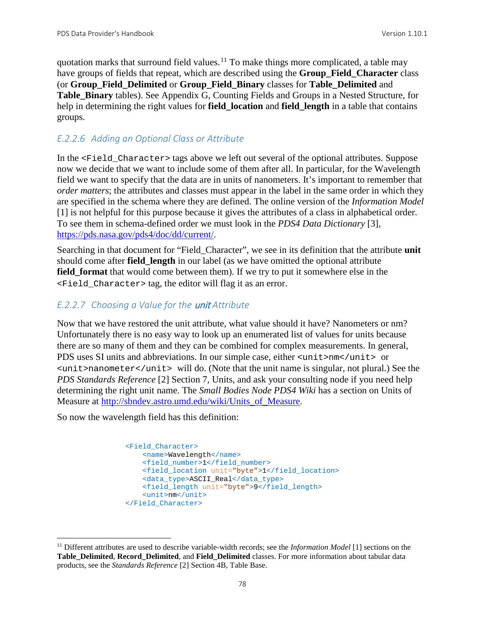quotation marks that surround field values.<sup>[11](#page-84-0)</sup> To make things more complicated, a table may have groups of fields that repeat, which are described using the **Group\_Field\_Character** class (or **Group\_Field\_Delimited** or **Group\_Field\_Binary** classes for **Table\_Delimited** and **Table\_Binary** tables). See Appendix G, Counting Fields and Groups in a Nested Structure, for help in determining the right values for **field\_location** and **field\_length** in a table that contains groups.

# *E.2.2.6 Adding an Optional Class or Attribute*

In the  $\le$ Field Character> tags above we left out several of the optional attributes. Suppose now we decide that we want to include some of them after all. In particular, for the Wavelength field we want to specify that the data are in units of nanometers. It's important to remember that *order matters*; the attributes and classes must appear in the label in the same order in which they are specified in the schema where they are defined. The online version of the *Information Model* [1] is not helpful for this purpose because it gives the attributes of a class in alphabetical order. To see them in schema-defined order we must look in the *PDS4 Data Dictionary* [3], [https://pds.nasa.gov/pds4/doc/dd/current/.](https://pds.nasa.gov/pds4/doc/dd/current/)

Searching in that document for "Field\_Character", we see in its definition that the attribute **unit** should come after **field length** in our label (as we have omitted the optional attribute **field\_format** that would come between them). If we try to put it somewhere else in the <Field\_Character> tag, the editor will flag it as an error.

# *E.2.2.7 Choosing a Value for the* unit *Attribute*

Now that we have restored the unit attribute, what value should it have? Nanometers or nm? Unfortunately there is no easy way to look up an enumerated list of values for units because there are so many of them and they can be combined for complex measurements. In general, PDS uses SI units and abbreviations. In our simple case, either <unit>nm</unit> or  $\frac{1}{\sqrt{1-\frac{1}{\sqrt{1-\frac{1}{\sqrt{1-\frac{1}{\sqrt{1-\frac{1}{\sqrt{1-\frac{1}{\sqrt{1-\frac{1}{\sqrt{1-\frac{1}{\sqrt{1-\frac{1}{\sqrt{1-\frac{1}{\sqrt{1-\frac{1}{\sqrt{1-\frac{1}{\sqrt{1-\frac{1}{\sqrt{1-\frac{1}{\sqrt{1-\frac{1}{\sqrt{1-\frac{1}{\sqrt{1-\frac{1}{\sqrt{1-\frac{1}{\sqrt{1-\frac{1}{\sqrt{1-\frac{1}{\sqrt{1-\frac{1}{\sqrt{1-\frac{1}{\sqrt{1-\frac{1}{\sqrt{1-\frac{1}{\sqrt{1-\frac{1$ *PDS Standards Reference* [2] Section 7, Units, and ask your consulting node if you need help determining the right unit name. The *Small Bodies Node PDS4 Wiki* has a section on Units of Measure at [http://sbndev.astro.umd.edu/wiki/Units\\_of\\_Measure.](http://sbndev.astro.umd.edu/wiki/Units_of_Measure)

So now the wavelength field has this definition:

```
 <Field_Character>
     <name>Wavelength</name>
    <field_number>1</field_number>
    <field_location unit="byte">1</field_location>
     <data_type>ASCII_Real</data_type>
    <field_length unit="byte">9</field_length>
     <unit>nm</unit>
 </Field_Character>
```
<span id="page-84-0"></span> <sup>11</sup> Different attributes are used to describe variable-width records; see the *Information Model* [1] sections on the **Table\_Delimited**, **Record\_Delimited**, and **Field\_Delimited** classes. For more information about tabular data products, see the *Standards Reference* [2] Section 4B, Table Base.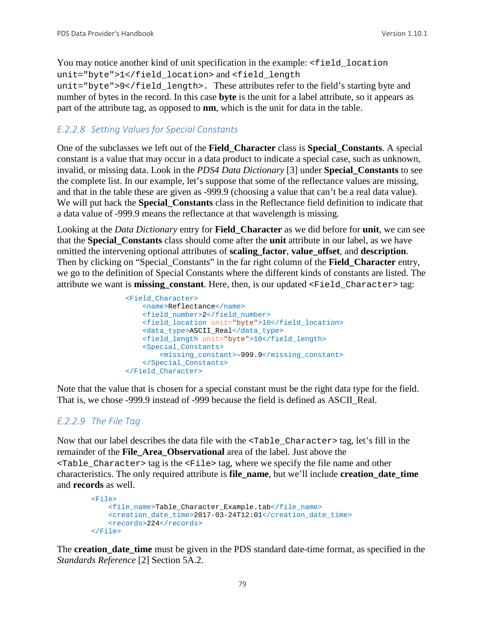You may notice another kind of unit specification in the example:  $\le$  field\_location unit="byte">1</field\_location> and <field\_length unit="byte">9</field\_length>. These attributes refer to the field's starting byte and number of bytes in the record. In this case **byte** is the unit for a label attribute, so it appears as part of the attribute tag, as opposed to **nm**, which is the unit for data in the table.

### *E.2.2.8 Setting Values for Special Constants*

One of the subclasses we left out of the **Field\_Character** class is **Special\_Constants**. A special constant is a value that may occur in a data product to indicate a special case, such as unknown, invalid, or missing data. Look in the *PDS4 Data Dictionary* [3] under **Special\_Constants** to see the complete list. In our example, let's suppose that some of the reflectance values are missing, and that in the table these are given as -999.9 (choosing a value that can't be a real data value). We will put back the **Special\_Constants** class in the Reflectance field definition to indicate that a data value of -999.9 means the reflectance at that wavelength is missing.

Looking at the *Data Dictionary* entry for **Field\_Character** as we did before for **unit**, we can see that the **Special\_Constants** class should come after the **unit** attribute in our label, as we have omitted the intervening optional attributes of **scaling\_factor**, **value\_offset**, and **description**. Then by clicking on "Special\_Constants" in the far right column of the **Field\_Character** entry, we go to the definition of Special Constants where the different kinds of constants are listed. The attribute we want is **missing\_constant**. Here, then, is our updated <Field\_Character> tag:

```
 <Field_Character>
     <name>Reflectance</name>
    <field_number>2</field_number>
    <field_location unit="byte">10</field_location>
    <data_type>ASCII_Real</data_type>
     <field_length unit="byte">10</field_length>
     <Special_Constants>
         <missing_constant>-999.9</missing_constant>
     </Special_Constants>
 </Field_Character>
```
Note that the value that is chosen for a special constant must be the right data type for the field. That is, we chose -999.9 instead of -999 because the field is defined as ASCII\_Real.

#### *E.2.2.9 The File Tag*

Now that our label describes the data file with the <Table\_Character> tag, let's fill in the remainder of the **File\_Area\_Observational** area of the label. Just above the  $\epsilon$ Table Character> tag is the  $\epsilon$ File> tag, where we specify the file name and other characteristics. The only required attribute is **file\_name**, but we'll include **creation\_date\_time** and **records** as well.

```
 <File>
     <file_name>Table_Character_Example.tab</file_name>
     <creation_date_time>2017-03-24T12:01</creation_date_time>
     <records>224</records>
 </File>
```
The **creation date time** must be given in the PDS standard date-time format, as specified in the *Standards Reference* [2] Section 5A.2.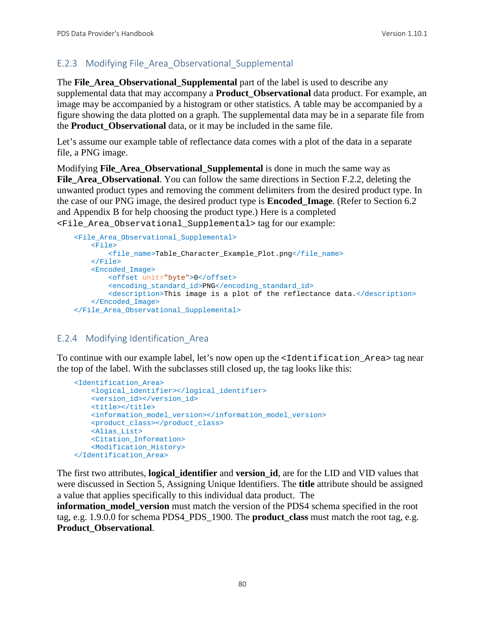### E.2.3 Modifying File\_Area\_Observational\_Supplemental

The **File\_Area\_Observational\_Supplemental** part of the label is used to describe any supplemental data that may accompany a **Product\_Observational** data product. For example, an image may be accompanied by a histogram or other statistics. A table may be accompanied by a figure showing the data plotted on a graph. The supplemental data may be in a separate file from the **Product\_Observational** data, or it may be included in the same file.

Let's assume our example table of reflectance data comes with a plot of the data in a separate file, a PNG image.

Modifying **File\_Area\_Observational\_Supplemental** is done in much the same way as File Area Observational. You can follow the same directions in Section F.2.2, deleting the unwanted product types and removing the comment delimiters from the desired product type. In the case of our PNG image, the desired product type is **Encoded\_Image**. (Refer to Section 6.2 and Appendix B for help choosing the product type.) Here is a completed <File\_Area\_Observational\_Supplemental> tag for our example:

```
 <File_Area_Observational_Supplemental>
    <sub>Fi1e</sub></sub>
         <file_name>Table_Character_Example_Plot.png</file_name>
     </File>
     <Encoded_Image>
         <offset unit="byte">0</offset>
         <encoding_standard_id>PNG</encoding_standard_id>
         <description>This image is a plot of the reflectance data.</description>
     </Encoded_Image>
 </File_Area_Observational_Supplemental>
```
#### E.2.4 Modifying Identification\_Area

To continue with our example label, let's now open up the <Identification Area> tag near the top of the label. With the subclasses still closed up, the tag looks like this:

```
 <Identification_Area>
    <logical_identifier></logical_identifier>
    <version_id></version_id>
    <title></title>
    <information_model_version></information_model_version>
    <product_class></product_class>
    <Alias_List>
    <Citation_Information>
    <Modification_History>
 </Identification_Area>
```
The first two attributes, **logical\_identifier** and **version\_id**, are for the LID and VID values that were discussed in Section [5, Assigning Unique Identifiers.](#page-25-0) The **title** attribute should be assigned a value that applies specifically to this individual data product. The

**information\_model\_version** must match the version of the PDS4 schema specified in the root tag, e.g. 1.9.0.0 for schema PDS4\_PDS\_1900. The **product\_class** must match the root tag, e.g. **Product\_Observational**.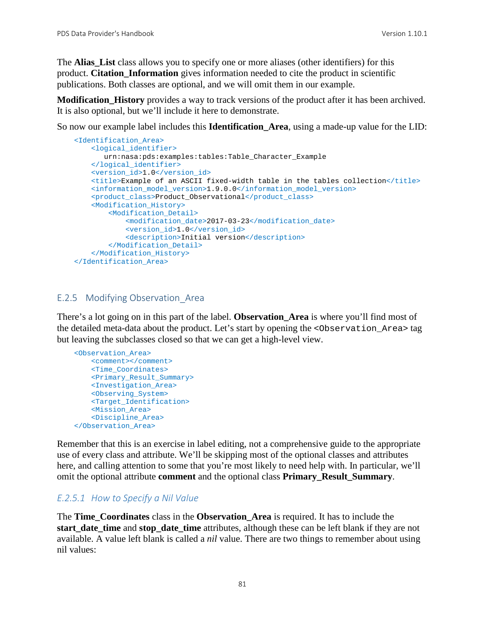The **Alias** List class allows you to specify one or more aliases (other identifiers) for this product. **Citation\_Information** gives information needed to cite the product in scientific publications. Both classes are optional, and we will omit them in our example.

**Modification\_History** provides a way to track versions of the product after it has been archived. It is also optional, but we'll include it here to demonstrate.

So now our example label includes this **Identification\_Area**, using a made-up value for the LID:

```
 <Identification_Area>
    <logical_identifier>
       urn:nasa:pds:examples:tables:Table_Character_Example
    </logical_identifier>
    <version_id>1.0</version_id>
    <title>Example of an ASCII fixed-width table in the tables collection</title>
    <information_model_version>1.9.0.0</information_model_version>
    <product_class>Product_Observational</product_class>
     <Modification_History>
         <Modification_Detail>
             <modification_date>2017-03-23</modification_date>
             <version_id>1.0</version_id>
           <description>Initial version</description>
         </Modification_Detail>
    </Modification_History>
 </Identification_Area>
```
#### E.2.5 Modifying Observation\_Area

There's a lot going on in this part of the label. **Observation\_Area** is where you'll find most of the detailed meta-data about the product. Let's start by opening the <Observation\_Area> tag but leaving the subclasses closed so that we can get a high-level view.

```
 <Observation_Area>
     <comment></comment>
     <Time_Coordinates>
     <Primary_Result_Summary>
    <Investigation_Area>
    <Observing_System>
    <Target_Identification>
    <Mission_Area>
     <Discipline_Area>
 </Observation_Area>
```
Remember that this is an exercise in label editing, not a comprehensive guide to the appropriate use of every class and attribute. We'll be skipping most of the optional classes and attributes here, and calling attention to some that you're most likely to need help with. In particular, we'll omit the optional attribute **comment** and the optional class **Primary\_Result\_Summary**.

#### *E.2.5.1 How to Specify a Nil Value*

The **Time\_Coordinates** class in the **Observation\_Area** is required. It has to include the **start** date time and **stop** date time attributes, although these can be left blank if they are not available. A value left blank is called a *nil* value. There are two things to remember about using nil values: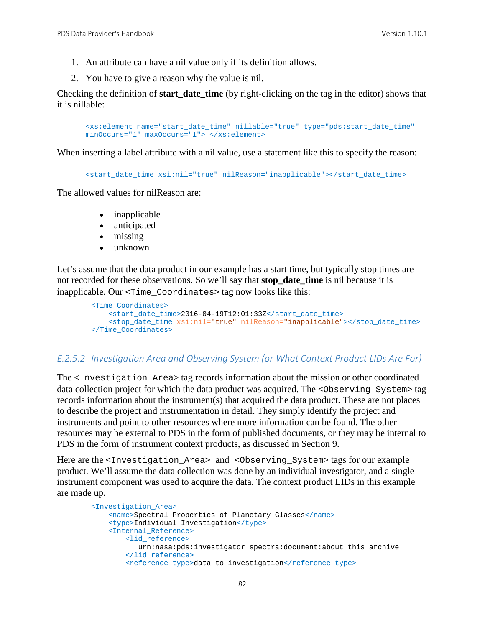- 1. An attribute can have a nil value only if its definition allows.
- 2. You have to give a reason why the value is nil.

Checking the definition of **start\_date\_time** (by right-clicking on the tag in the editor) shows that it is nillable:

```
<xs:element name="start_date_time" nillable="true" type="pds:start_date_time" 
minOccurs="1" maxOccurs="1"> </xs:element>
```
When inserting a label attribute with a nil value, use a statement like this to specify the reason:

<start\_date\_time xsi:nil="true" nilReason="inapplicable"></start\_date\_time>

The allowed values for nilReason are:

- inapplicable
- anticipated
- missing
- unknown

Let's assume that the data product in our example has a start time, but typically stop times are not recorded for these observations. So we'll say that **stop\_date\_time** is nil because it is inapplicable. Our <Time\_Coordinates> tag now looks like this:

```
 <Time_Coordinates>
    <start_date_time>2016-04-19T12:01:33Z</start_date_time>
     <stop_date_time xsi:nil="true" nilReason="inapplicable"></stop_date_time>
 </Time_Coordinates>
```
#### *E.2.5.2 Investigation Area and Observing System (or What Context Product LIDs Are For)*

The <Investigation Area> tag records information about the mission or other coordinated data collection project for which the data product was acquired. The <Observing\_System> tag records information about the instrument(s) that acquired the data product. These are not places to describe the project and instrumentation in detail. They simply identify the project and instruments and point to other resources where more information can be found. The other resources may be external to PDS in the form of published documents, or they may be internal to PDS in the form of instrument context products, as discussed in Section 9.

Here are the <Investigation\_Area> and <Observing\_System> tags for our example product. We'll assume the data collection was done by an individual investigator, and a single instrument component was used to acquire the data. The context product LIDs in this example are made up.

```
 <Investigation_Area>
     <name>Spectral Properties of Planetary Glasses</name>
     <type>Individual Investigation</type>
     <Internal_Reference>
         <lid_reference>
            urn:nasa:pds:investigator_spectra:document:about_this_archive
         </lid_reference>
         <reference_type>data_to_investigation</reference_type>
```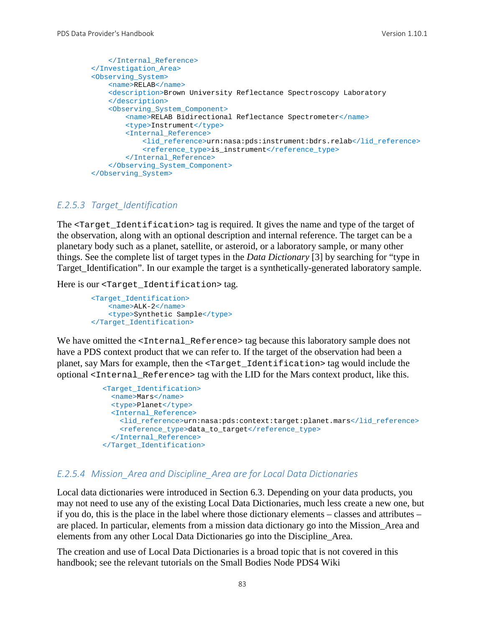```
 </Internal_Reference>
 </Investigation_Area>
 <Observing_System>
    <name>RELAB</name>
     <description>Brown University Reflectance Spectroscopy Laboratory
     </description>
     <Observing_System_Component>
         <name>RELAB Bidirectional Reflectance Spectrometer</name>
         <type>Instrument</type>
         <Internal_Reference>
             <lid_reference>urn:nasa:pds:instrument:bdrs.relab</lid_reference>
            <reference_type>is_instrument</reference_type>
        </Internal_Reference>
     </Observing_System_Component>
 </Observing_System>
```
#### *E.2.5.3 Target\_Identification*

The <Target\_Identification> tag is required. It gives the name and type of the target of the observation, along with an optional description and internal reference. The target can be a planetary body such as a planet, satellite, or asteroid, or a laboratory sample, or many other things. See the complete list of target types in the *Data Dictionary* [3] by searching for "type in Target\_Identification". In our example the target is a synthetically-generated laboratory sample.

Here is our <Target\_Identification> tag.

```
 <Target_Identification>
    <name>ALK-2</name>
     <type>Synthetic Sample</type>
 </Target_Identification>
```
We have omitted the <Internal\_Reference> tag because this laboratory sample does not have a PDS context product that we can refer to. If the target of the observation had been a planet, say Mars for example, then the <Target\_Identification> tag would include the optional <Internal\_Reference> tag with the LID for the Mars context product, like this.

```
 <Target_Identification>
   <name>Mars</name>
   <type>Planet</type>
   <Internal_Reference>
    <lid_reference>urn:nasa:pds:context:target:planet.mars</lid_reference>
    <reference_type>data_to_target</reference_type>
   </Internal_Reference>
 </Target_Identification>
```
#### *E.2.5.4 Mission\_Area and Discipline\_Area are for Local Data Dictionaries*

Local data dictionaries were introduced in Section 6.3. Depending on your data products, you may not need to use any of the existing Local Data Dictionaries, much less create a new one, but if you do, this is the place in the label where those dictionary elements – classes and attributes – are placed. In particular, elements from a mission data dictionary go into the Mission\_Area and elements from any other Local Data Dictionaries go into the Discipline\_Area.

The creation and use of Local Data Dictionaries is a broad topic that is not covered in this handbook; see the relevant tutorials on the Small Bodies Node PDS4 Wiki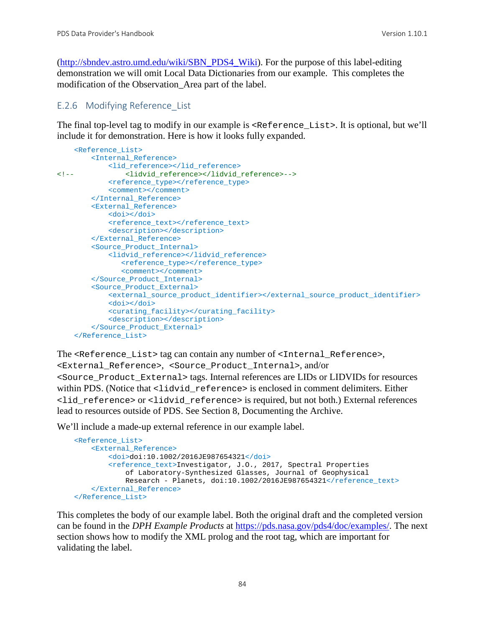[\(http://sbndev.astro.umd.edu/wiki/SBN\\_PDS4\\_Wiki\)](http://sbndev.astro.umd.edu/wiki/SBN_PDS4_Wiki). For the purpose of this label-editing demonstration we will omit Local Data Dictionaries from our example. This completes the modification of the Observation\_Area part of the label.

#### E.2.6 Modifying Reference\_List

The final top-level tag to modify in our example is <Reference\_List>. It is optional, but we'll include it for demonstration. Here is how it looks fully expanded.

```
 <Reference_List>
         <Internal_Reference>
<lid_reference></lid_reference>>>>>>><lidyid
                <!-- <lidvid_reference></lidvid_reference>-->
             <reference_type></reference_type>
             <comment></comment>
         </Internal_Reference>
         <External_Reference>
             <doi></doi>
            <reference_text></reference_text>
             <description></description>
         </External_Reference>
         <Source_Product_Internal>
             <lidvid_reference></lidvid_reference>
               <reference_type></reference_type>
                <comment></comment>
         </Source_Product_Internal>
         <Source_Product_External>
             <external_source_product_identifier></external_source_product_identifier>
             <doi></doi>
             <curating_facility></curating_facility>
             <description></description>
         </Source_Product_External>
     </Reference_List>
```
The <Reference\_List> tag can contain any number of <Internal\_Reference>,

<External\_Reference>, <Source\_Product\_Internal>, and/or <Source\_Product\_External> tags. Internal references are LIDs or LIDVIDs for resources within PDS. (Notice that  $\langle$ lidvid\_reference> is enclosed in comment delimiters. Either <lid\_reference> or <lidvid\_reference> is required, but not both.) External references lead to resources outside of PDS. See Section 8, Documenting the Archive.

We'll include a made-up external reference in our example label.

```
 <Reference_List>
     <External_Reference>
         <doi>doi:10.1002/2016JE987654321</doi>
         <reference_text>Investigator, J.O., 2017, Spectral Properties 
             of Laboratory-Synthesized Glasses, Journal of Geophysical 
            Research - Planets, doi:10.1002/2016JE987654321</reference_text>
     </External_Reference>
 </Reference_List>
```
This completes the body of our example label. Both the original draft and the completed version can be found in the *DPH Example Products* at [https://pds.nasa.gov/pds4/doc/examples/.](https://pds.nasa.gov/pds4/doc/examples/) The next section shows how to modify the XML prolog and the root tag, which are important for validating the label.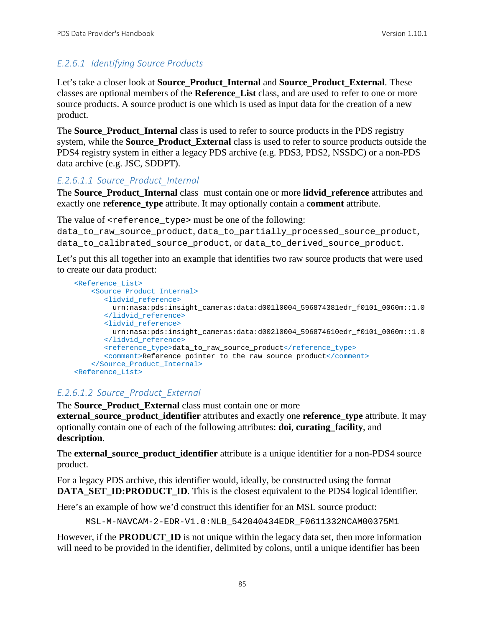## *E.2.6.1 Identifying Source Products*

Let's take a closer look at **Source\_Product\_Internal** and **Source\_Product\_External**. These classes are optional members of the **Reference\_List** class, and are used to refer to one or more source products. A source product is one which is used as input data for the creation of a new product.

The **Source\_Product\_Internal** class is used to refer to source products in the PDS registry system, while the **Source Product External** class is used to refer to source products outside the PDS4 registry system in either a legacy PDS archive (e.g. PDS3, PDS2, NSSDC) or a non-PDS data archive (e.g. JSC, SDDPT).

#### *E.2.6.1.1 Source\_Product\_Internal*

The **Source\_Product\_Internal** class must contain one or more **lidvid\_reference** attributes and exactly one **reference\_type** attribute. It may optionally contain a **comment** attribute.

The value of  $\leq$  reference\_type> must be one of the following:

data to raw source product, data to partially processed source product, data\_to\_calibrated\_source\_product, or data\_to\_derived\_source\_product.

Let's put this all together into an example that identifies two raw source products that were used to create our data product:

```
 <Reference_List>
    <Source_Product_Internal>
       <lidvid_reference>
         urn:nasa:pds:insight_cameras:data:d001l0004_596874381edr_f0101_0060m::1.0
       </lidvid_reference>
       <lidvid_reference>
         urn:nasa:pds:insight_cameras:data:d002l0004_596874610edr_f0101_0060m::1.0
        </lidvid_reference>
      <reference_type>data_to_raw_source_product</reference_type>
       <comment>Reference pointer to the raw source product</comment>
    </Source_Product_Internal>
 <Reference_List>
```
#### *E.2.6.1.2 Source\_Product\_External*

The **Source Product External** class must contain one or more **external source product identifier** attributes and exactly one **reference** type attribute. It may optionally contain one of each of the following attributes: **doi**, **curating\_facility**, and **description**.

The **external source product identifier** attribute is a unique identifier for a non-PDS4 source product.

For a legacy PDS archive, this identifier would, ideally, be constructed using the format **DATA\_SET\_ID:PRODUCT\_ID.** This is the closest equivalent to the PDS4 logical identifier.

Here's an example of how we'd construct this identifier for an MSL source product:

MSL-M-NAVCAM-2-EDR-V1.0:NLB\_542040434EDR\_F0611332NCAM00375M1

However, if the **PRODUCT ID** is not unique within the legacy data set, then more information will need to be provided in the identifier, delimited by colons, until a unique identifier has been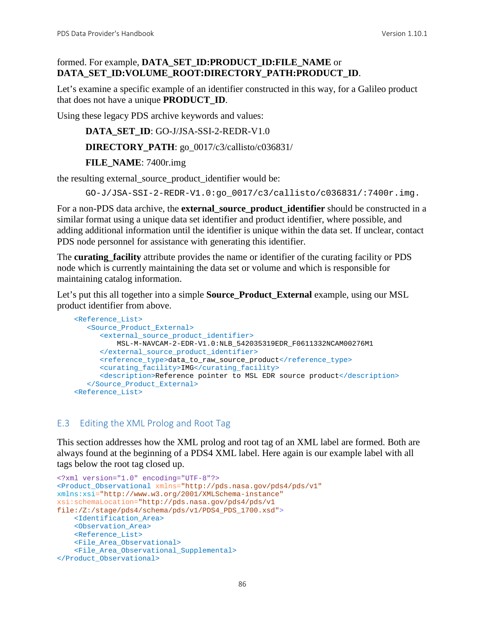### formed. For example, **DATA\_SET\_ID:PRODUCT\_ID:FILE\_NAME** or **DATA\_SET\_ID:VOLUME\_ROOT:DIRECTORY\_PATH:PRODUCT\_ID**.

Let's examine a specific example of an identifier constructed in this way, for a Galileo product that does not have a unique **PRODUCT\_ID**.

Using these legacy PDS archive keywords and values:

```
DATA_SET_ID: GO-J/JSA-SSI-2-REDR-V1.0
DIRECTORY_PATH: go_0017/c3/callisto/c036831/
```
**FILE\_NAME**: 7400r.img

the resulting external\_source\_product\_identifier would be:

GO-J/JSA-SSI-2-REDR-V1.0:go\_0017/c3/callisto/c036831/:7400r.img.

For a non-PDS data archive, the **external\_source\_product\_identifier** should be constructed in a similar format using a unique data set identifier and product identifier, where possible, and adding additional information until the identifier is unique within the data set. If unclear, contact PDS node personnel for assistance with generating this identifier.

The **curating\_facility** attribute provides the name or identifier of the curating facility or PDS node which is currently maintaining the data set or volume and which is responsible for maintaining catalog information.

Let's put this all together into a simple **Source\_Product\_External** example, using our MSL product identifier from above.

```
 <Reference_List>
    <Source_Product_External>
      <external_source_product_identifier>
          MSL-M-NAVCAM-2-EDR-V1.0:NLB_542035319EDR_F0611332NCAM00276M1
      </external_source_product_identifier>
       <reference_type>data_to_raw_source_product</reference_type>
       <curating_facility>IMG</curating_facility>
       <description>Reference pointer to MSL EDR source product</description>
    </Source_Product_External>
 <Reference_List>
```
#### E.3 Editing the XML Prolog and Root Tag

This section addresses how the XML prolog and root tag of an XML label are formed. Both are always found at the beginning of a PDS4 XML label. Here again is our example label with all tags below the root tag closed up.

```
<?xml version="1.0" encoding="UTF-8"?>
<Product_Observational xmlns="http://pds.nasa.gov/pds4/pds/v1"
xmlns:xsi="http://www.w3.org/2001/XMLSchema-instance"
xsi:schemaLocation="http://pds.nasa.gov/pds4/pds/v1 
file:/Z:/stage/pds4/schema/pds/v1/PDS4_PDS_1700.xsd">
     <Identification_Area>
     <Observation_Area>
     <Reference_List>
     <File_Area_Observational>
     <File_Area_Observational_Supplemental>
</Product_Observational>
```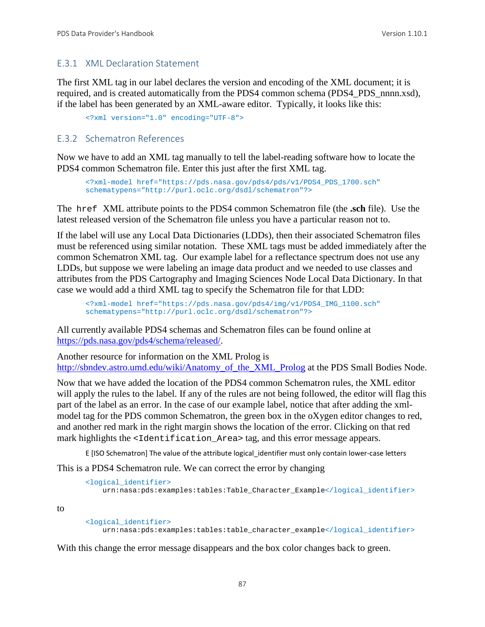#### E.3.1 XML Declaration Statement

The first XML tag in our label declares the version and encoding of the XML document; it is required, and is created automatically from the PDS4 common schema (PDS4\_PDS\_nnnn.xsd), if the label has been generated by an XML-aware editor. Typically, it looks like this:

<?xml version="1.0" encoding="UTF-8">

#### E.3.2 Schematron References

Now we have to add an XML tag manually to tell the label-reading software how to locate the PDS4 common Schematron file. Enter this just after the first XML tag.

<?xml-model href="https://pds.nasa.gov/pds4/pds/v1/PDS4\_PDS\_1700.sch" schematypens="http://purl.oclc.org/dsdl/schematron"?>

The href XML attribute points to the PDS4 common Schematron file (the **.sch** file). Use the latest released version of the Schematron file unless you have a particular reason not to.

If the label will use any Local Data Dictionaries (LDDs), then their associated Schematron files must be referenced using similar notation. These XML tags must be added immediately after the common Schematron XML tag. Our example label for a reflectance spectrum does not use any LDDs, but suppose we were labeling an image data product and we needed to use classes and attributes from the PDS Cartography and Imaging Sciences Node Local Data Dictionary. In that case we would add a third XML tag to specify the Schematron file for that LDD:

```
<?xml-model href="https://pds.nasa.gov/pds4/img/v1/PDS4_IMG_1100.sch"
schematypens="http://purl.oclc.org/dsdl/schematron"?>
```
All currently available PDS4 schemas and Schematron files can be found online at [https://pds.nasa.gov/pds4/schema/released/.](https://pds.nasa.gov/pds4/schema/released/)

Another resource for information on the XML Prolog is [http://sbndev.astro.umd.edu/wiki/Anatomy\\_of\\_the\\_XML\\_Prolog](http://sbndev.astro.umd.edu/wiki/Anatomy_of_the_XML_Prolog) at the PDS Small Bodies Node.

Now that we have added the location of the PDS4 common Schematron rules, the XML editor will apply the rules to the label. If any of the rules are not being followed, the editor will flag this part of the label as an error. In the case of our example label, notice that after adding the xmlmodel tag for the PDS common Schematron, the green box in the oXygen editor changes to red, and another red mark in the right margin shows the location of the error. Clicking on that red mark highlights the  $\leq$ Identification Area> tag, and this error message appears.

E [ISO Schematron] The value of the attribute logical\_identifier must only contain lower-case letters

This is a PDS4 Schematron rule. We can correct the error by changing

```
<logical_identifier>
    urn:nasa:pds:examples:tables:Table_Character_Example</logical_identifier>
```
to

```
<logical_identifier>
    urn:nasa:pds:examples:tables:table_character_example</logical_identifier>
```
With this change the error message disappears and the box color changes back to green.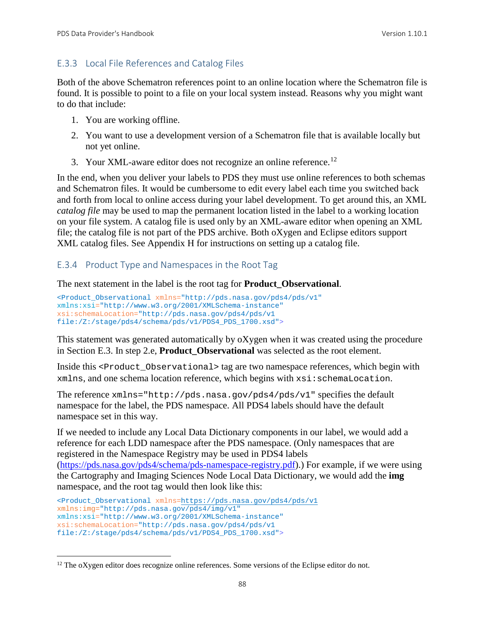## E.3.3 Local File References and Catalog Files

Both of the above Schematron references point to an online location where the Schematron file is found. It is possible to point to a file on your local system instead. Reasons why you might want to do that include:

- 1. You are working offline.
- 2. You want to use a development version of a Schematron file that is available locally but not yet online.
- 3. Your XML-aware editor does not recognize an online reference.<sup>[12](#page-94-0)</sup>

In the end, when you deliver your labels to PDS they must use online references to both schemas and Schematron files. It would be cumbersome to edit every label each time you switched back and forth from local to online access during your label development. To get around this, an XML *catalog file* may be used to map the permanent location listed in the label to a working location on your file system. A catalog file is used only by an XML-aware editor when opening an XML file; the catalog file is not part of the PDS archive. Both oXygen and Eclipse editors support XML catalog files. See Appendix H for instructions on setting up a catalog file.

## E.3.4 Product Type and Namespaces in the Root Tag

The next statement in the label is the root tag for **Product\_Observational**.

```
<Product_Observational xmlns="http://pds.nasa.gov/pds4/pds/v1"
xmlns:xsi="http://www.w3.org/2001/XMLSchema-instance"
xsi:schemaLocation="http://pds.nasa.gov/pds4/pds/v1 
file:/Z:/stage/pds4/schema/pds/v1/PDS4_PDS_1700.xsd">
```
This statement was generated automatically by oXygen when it was created using the procedure in Section E.3. In step 2.e, **Product\_Observational** was selected as the root element.

Inside this <product observational>tag are two namespace references, which begin with xmlns, and one schema location reference, which begins with xsi:schemaLocation.

The reference xmlns="http://pds.nasa.gov/pds4/pds/v1" specifies the default namespace for the label, the PDS namespace. All PDS4 labels should have the default namespace set in this way.

If we needed to include any Local Data Dictionary components in our label, we would add a reference for each LDD namespace after the PDS namespace. (Only namespaces that are registered in the Namespace Registry may be used in PDS4 labels

[\(https://pds.nasa.gov/pds4/schema/pds-namespace-registry.pdf\)](https://pds.nasa.gov/pds4/schema/pds-namespace-registry.pdf).) For example, if we were using the Cartography and Imaging Sciences Node Local Data Dictionary, we would add the **img** namespace, and the root tag would then look like this:

```
<Product_Observational xmlns=https://pds.nasa.gov/pds4/pds/v1
xmlns:img="http://pds.nasa.gov/pds4/img/v1"
xmlns:xsi="http://www.w3.org/2001/XMLSchema-instance"
xsi:schemaLocation="http://pds.nasa.gov/pds4/pds/v1 
file:/Z:/stage/pds4/schema/pds/v1/PDS4_PDS_1700.xsd">
```
<span id="page-94-0"></span><sup>&</sup>lt;sup>12</sup> The oXygen editor does recognize online references. Some versions of the Eclipse editor do not.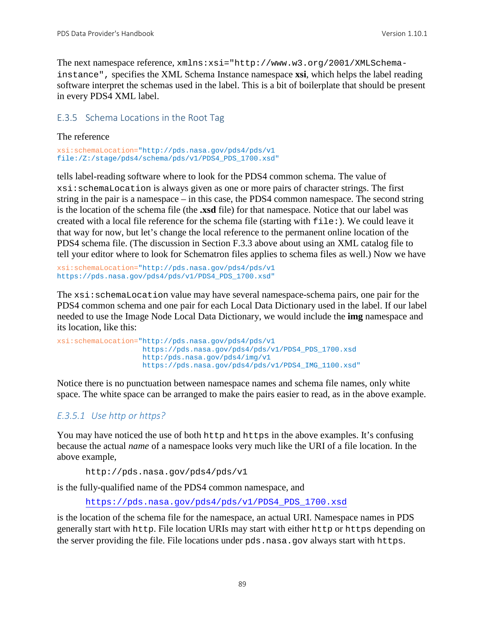The next namespace reference, xmlns:xsi="http://www.w3.org/2001/XMLSchemainstance", specifies the XML Schema Instance namespace **xsi**, which helps the label reading software interpret the schemas used in the label. This is a bit of boilerplate that should be present in every PDS4 XML label.

#### E.3.5 Schema Locations in the Root Tag

#### The reference

```
xsi:schemaLocation="http://pds.nasa.gov/pds4/pds/v1 
file:/Z:/stage/pds4/schema/pds/v1/PDS4_PDS_1700.xsd"
```
tells label-reading software where to look for the PDS4 common schema. The value of xsi:schemaLocation is always given as one or more pairs of character strings. The first string in the pair is a namespace – in this case, the PDS4 common namespace. The second string is the location of the schema file (the **.xsd** file) for that namespace. Notice that our label was created with a local file reference for the schema file (starting with file:). We could leave it that way for now, but let's change the local reference to the permanent online location of the PDS4 schema file. (The discussion in Section F.3.3 above about using an XML catalog file to tell your editor where to look for Schematron files applies to schema files as well.) Now we have

```
xsi:schemaLocation="http://pds.nasa.gov/pds4/pds/v1 
https://pds.nasa.gov/pds4/pds/v1/PDS4_PDS_1700.xsd"
```
The  $xsi:$  schemaLocation value may have several namespace-schema pairs, one pair for the PDS4 common schema and one pair for each Local Data Dictionary used in the label. If our label needed to use the Image Node Local Data Dictionary, we would include the **img** namespace and its location, like this:

```
xsi:schemaLocation="http://pds.nasa.gov/pds4/pds/v1
                    https://pds.nasa.gov/pds4/pds/v1/PDS4_PDS_1700.xsd
                    http:/pds.nasa.gov/pds4/img/v1
                    https://pds.nasa.gov/pds4/pds/v1/PDS4_IMG_1100.xsd"
```
Notice there is no punctuation between namespace names and schema file names, only white space. The white space can be arranged to make the pairs easier to read, as in the above example.

### *E.3.5.1 Use http or https?*

You may have noticed the use of both http and https in the above examples. It's confusing because the actual *name* of a namespace looks very much like the URI of a file location. In the above example,

```
http://pds.nasa.gov/pds4/pds/v1
```
is the fully-qualified name of the PDS4 common namespace, and

[https://pds.nasa.gov/pds4/pds/v1/PDS4\\_PDS\\_1700.xsd](https://pds.nasa.gov/pds4/pds/v1/PDS4_PDS_1700.xsd)

is the location of the schema file for the namespace, an actual URI. Namespace names in PDS generally start with http. File location URIs may start with either http or https depending on the server providing the file. File locations under pds.nasa.gov always start with https.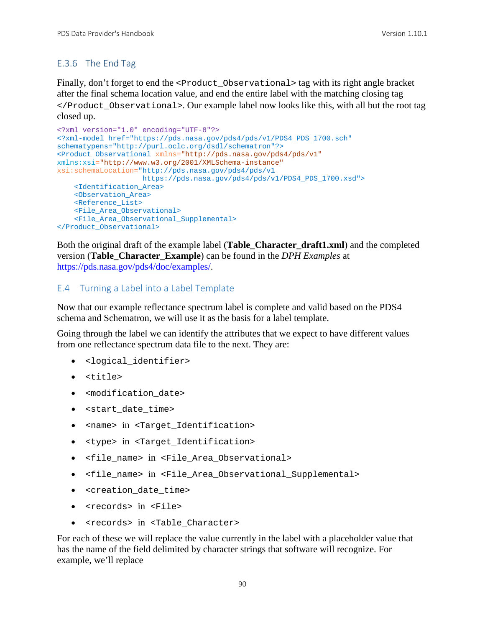## E.3.6 The End Tag

Finally, don't forget to end the <Product\_Observational> tag with its right angle bracket after the final schema location value, and end the entire label with the matching closing tag </Product\_Observational>. Our example label now looks like this, with all but the root tag closed up.

```
<?xml version="1.0" encoding="UTF-8"?>
<?xml-model href="https://pds.nasa.gov/pds4/pds/v1/PDS4_PDS_1700.sch"
schematypens="http://purl.oclc.org/dsdl/schematron"?>
<Product_Observational xmlns="http://pds.nasa.gov/pds4/pds/v1"
xmlns:xsi="http://www.w3.org/2001/XMLSchema-instance"
xsi:schemaLocation="http://pds.nasa.gov/pds4/pds/v1
                     https://pds.nasa.gov/pds4/pds/v1/PDS4_PDS_1700.xsd">
     <Identification_Area>
     <Observation_Area>
     <Reference_List>
    <File_Area_Observational>
     <File_Area_Observational_Supplemental>
</Product_Observational>
```
Both the original draft of the example label (**Table\_Character\_draft1.xml**) and the completed version (**Table\_Character\_Example**) can be found in the *DPH Examples* at [https://pds.nasa.gov/pds4/doc/examples/.](https://pds.nasa.gov/pds4/doc/examples/)

#### E.4 Turning a Label into a Label Template

Now that our example reflectance spectrum label is complete and valid based on the PDS4 schema and Schematron, we will use it as the basis for a label template.

Going through the label we can identify the attributes that we expect to have different values from one reflectance spectrum data file to the next. They are:

- <logical\_identifier>
- <title>
- <modification date>
- <start date time>
- <name> in <Target Identification>
- <type> in <Target\_Identification>
- <file\_name> in <File\_Area\_Observational>
- <file\_name> in <File\_Area\_Observational\_Supplemental>
- <creation\_date\_time>
- <records> in <File>
- <records> in <Table\_Character>

For each of these we will replace the value currently in the label with a placeholder value that has the name of the field delimited by character strings that software will recognize. For example, we'll replace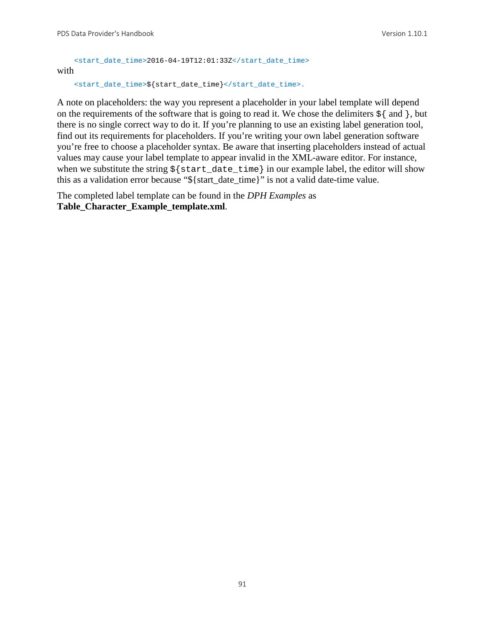```
<start_date_time>2016-04-19T12:01:33Z</start_date_time>
with
```

```
<start_date_time>${start_date_time}</start_date_time>.
```
A note on placeholders: the way you represent a placeholder in your label template will depend on the requirements of the software that is going to read it. We chose the delimiters  $\frac{1}{2}$  and  $\}$ , but there is no single correct way to do it. If you're planning to use an existing label generation tool, find out its requirements for placeholders. If you're writing your own label generation software you're free to choose a placeholder syntax. Be aware that inserting placeholders instead of actual values may cause your label template to appear invalid in the XML-aware editor. For instance, when we substitute the string  $\frac{1}{5}$  start date time in our example label, the editor will show this as a validation error because "\${start\_date\_time}" is not a valid date-time value.

The completed label template can be found in the *DPH Examples* as **Table\_Character\_Example\_template.xml**.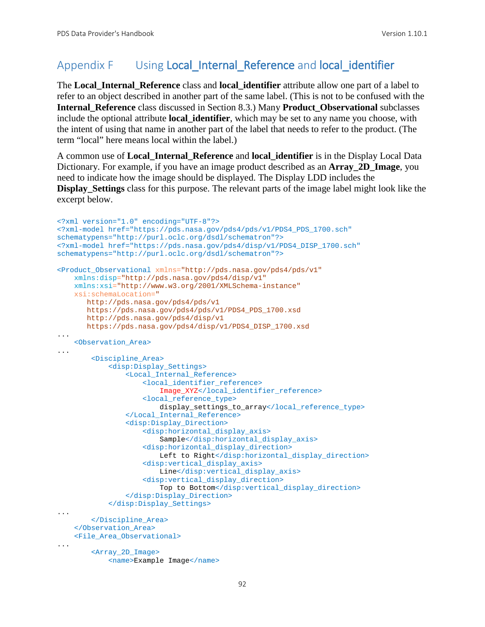# Appendix F Using Local Internal Reference and local identifier

The **Local\_Internal\_Reference** class and **local\_identifier** attribute allow one part of a label to refer to an object described in another part of the same label. (This is not to be confused with the **Internal\_Reference** class discussed in Section 8.3.) Many **Product\_Observational** subclasses include the optional attribute **local\_identifier**, which may be set to any name you choose, with the intent of using that name in another part of the label that needs to refer to the product. (The term "local" here means local within the label.)

A common use of **Local\_Internal\_Reference** and **local\_identifier** is in the Display Local Data Dictionary. For example, if you have an image product described as an **Array\_2D\_Image**, you need to indicate how the image should be displayed. The Display LDD includes the **Display\_Settings** class for this purpose. The relevant parts of the image label might look like the excerpt below.

```
<?xml version="1.0" encoding="UTF-8"?> 
<?xml-model href="https://pds.nasa.gov/pds4/pds/v1/PDS4_PDS_1700.sch" 
schematypens="http://purl.oclc.org/dsdl/schematron"?>
<?xml-model href="https://pds.nasa.gov/pds4/disp/v1/PDS4_DISP_1700.sch" 
schematypens="http://purl.oclc.org/dsdl/schematron"?>
<Product_Observational xmlns="http://pds.nasa.gov/pds4/pds/v1"
     xmlns:disp="http://pds.nasa.gov/pds4/disp/v1"
    xmlns:xsi="http://www.w3.org/2001/XMLSchema-instance"
    xsi:schemaLocation="
       http://pds.nasa.gov/pds4/pds/v1 
       https://pds.nasa.gov/pds4/pds/v1/PDS4_PDS_1700.xsd
        http://pds.nasa.gov/pds4/disp/v1
       https://pds.nasa.gov/pds4/disp/v1/PDS4_DISP_1700.xsd
...
     <Observation_Area>
...
         <Discipline_Area>
             <disp:Display_Settings>
                 <Local_Internal_Reference>
                     <local_identifier_reference>
                         Image_XYZ</local_identifier_reference>
                     <local_reference_type>
                         display_settings_to_array</local_reference_type>
                 </Local_Internal_Reference>
                 <disp:Display_Direction>
                      <disp:horizontal_display_axis>
                          Sample</disp:horizontal_display_axis>
                      <disp:horizontal_display_direction>
                        Left to Right</disp:horizontal_display_direction>
                      <disp:vertical_display_axis>
                         Line</disp:vertical_display_axis>
                     <disp:vertical_display_direction>
                         Top to Bottom</disp:vertical_display_direction>
                 </disp:Display_Direction>
             </disp:Display_Settings>
...
         </Discipline_Area>
    </Observation_Area>
     <File_Area_Observational>
...
         <Array_2D_Image>
             <name>Example Image</name>
```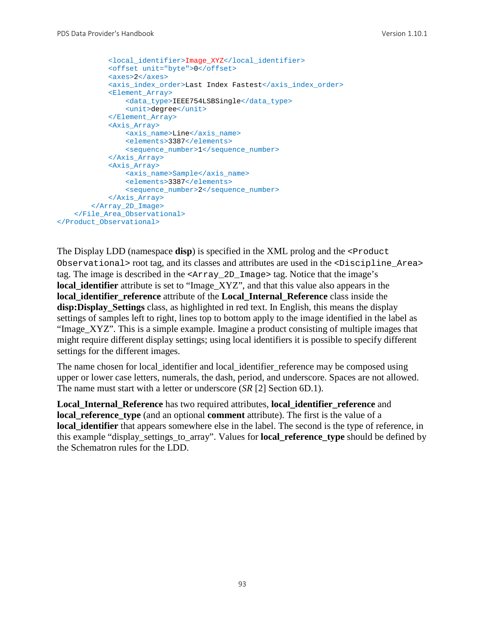```
 <local_identifier>Image_XYZ</local_identifier>
             <offset unit="byte">0</offset>
             <axes>2</axes>
            <axis_index_order>Last Index Fastest</axis_index_order>
             <Element_Array>
                 <data_type>IEEE754LSBSingle</data_type>
                 <unit>degree</unit>
             </Element_Array>
             <Axis_Array>
                 <axis_name>Line</axis_name>
                 <elements>3387</elements>
                 <sequence_number>1</sequence_number>
             </Axis_Array>
             <Axis_Array>
                 <axis_name>Sample</axis_name>
                 <elements>3387</elements>
                 <sequence_number>2</sequence_number>
             </Axis_Array>
         </Array_2D_Image>
     </File_Area_Observational>
</Product_Observational>
```
The Display LDD (namespace **disp**) is specified in the XML prolog and the <Product Observational> root tag, and its classes and attributes are used in the <Discipline\_Area> tag. The image is described in the <Array\_2D\_Image> tag. Notice that the image's **local identifier** attribute is set to "Image XYZ", and that this value also appears in the **local\_identifier\_reference** attribute of the **Local\_Internal\_Reference** class inside the **disp:Display\_Settings** class, as highlighted in red text. In English, this means the display settings of samples left to right, lines top to bottom apply to the image identified in the label as "Image\_XYZ". This is a simple example. Imagine a product consisting of multiple images that might require different display settings; using local identifiers it is possible to specify different settings for the different images.

The name chosen for local\_identifier and local\_identifier\_reference may be composed using upper or lower case letters, numerals, the dash, period, and underscore. Spaces are not allowed. The name must start with a letter or underscore (*SR* [2] Section 6D.1).

**Local\_Internal\_Reference** has two required attributes, **local\_identifier\_reference** and **local reference type** (and an optional **comment** attribute). The first is the value of a **local\_identifier** that appears somewhere else in the label. The second is the type of reference, in this example "display\_settings\_to\_array". Values for **local\_reference\_type** should be defined by the Schematron rules for the LDD.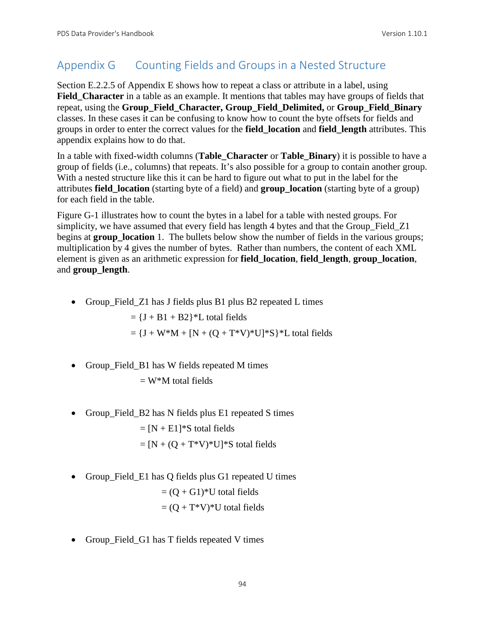# Appendix G Counting Fields and Groups in a Nested Structure

Section E.2.2.5 of Appendix E shows how to repeat a class or attribute in a label, using **Field\_Character** in a table as an example. It mentions that tables may have groups of fields that repeat, using the **Group\_Field\_Character, Group\_Field\_Delimited,** or **Group\_Field\_Binary** classes. In these cases it can be confusing to know how to count the byte offsets for fields and groups in order to enter the correct values for the **field\_location** and **field\_length** attributes. This appendix explains how to do that.

In a table with fixed-width columns (**Table\_Character** or **Table\_Binary**) it is possible to have a group of fields (i.e., columns) that repeats. It's also possible for a group to contain another group. With a nested structure like this it can be hard to figure out what to put in the label for the attributes **field\_location** (starting byte of a field) and **group\_location** (starting byte of a group) for each field in the table.

Figure G-1 illustrates how to count the bytes in a label for a table with nested groups. For simplicity, we have assumed that every field has length 4 bytes and that the Group\_Field\_Z1 begins at **group** location 1. The bullets below show the number of fields in the various groups; multiplication by 4 gives the number of bytes. Rather than numbers, the content of each XML element is given as an arithmetic expression for **field\_location**, **field\_length**, **group\_location**, and **group\_length**.

• Group\_Field\_Z1 has J fields plus B1 plus B2 repeated L times

 $= {J + B1 + B2}$ <sup>\*</sup>L total fields

 $= {J + W^*M + [N + (Q + T^*V)^*U]^*S}^*L$  total fields

• Group\_Field\_B1 has W fields repeated M times

 $=$  W<sup>\*</sup>M total fields

• Group\_Field\_B2 has N fields plus E1 repeated S times

 $= [N + E1]$ <sup>\*</sup>S total fields  $=[N + (Q + T^*V)^*U]^*S$  total fields

• Group\_Field\_E1 has Q fields plus G1 repeated U times

 $= (Q + G1)^*U$  total fields

$$
= (Q + T^*V)^*U
$$
 total fields

• Group\_Field\_G1 has T fields repeated V times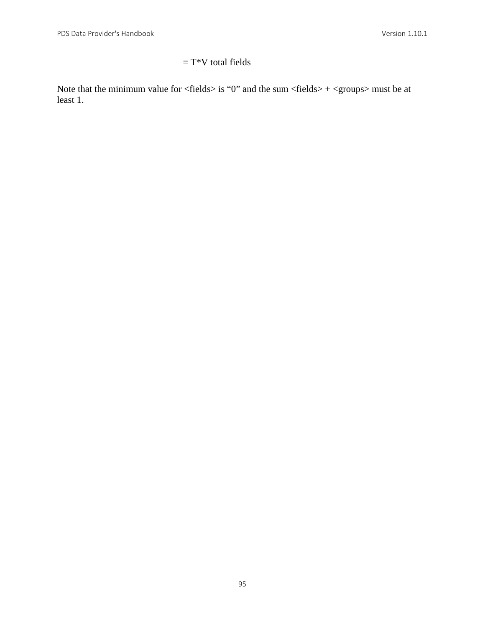# $= T^*V$  total fields

Note that the minimum value for  $\langle$  fields $\rangle$  is "0" and the sum  $\langle$  fields $\rangle$  +  $\langle$  groups $\rangle$  must be at least 1.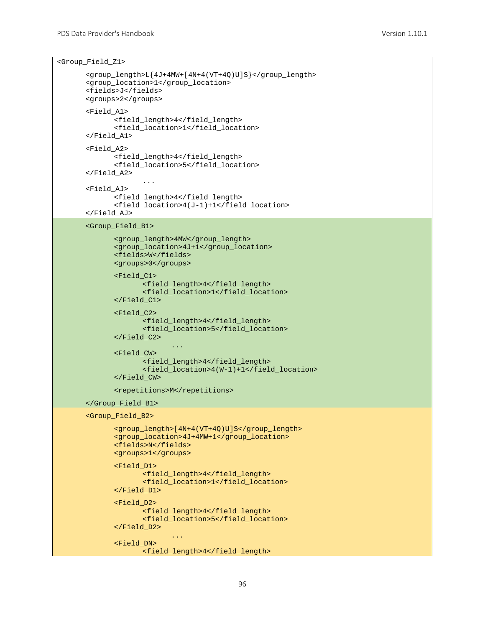```
<Group_Field_Z1>
```

```
<group_length>L{4J+4MW+[4N+4(VT+4Q)U]S}</group_length>
<group_location>1</group_location>
<fields>J</fields>
<groups>2</groups>
<Field_A1>
       <field_length>4</field_length>
       <field_location>1</field_location>
</Field_A1>
<Field_A2>
       <field_length>4</field_length>
       <field_location>5</field_location>
</Field_A2>
              ...
<Field_AJ>
       <field_length>4</field_length>
       <field_location>4(J-1)+1</field_location>
</Field_AJ>
<Group_Field_B1>
       <group_length>4MW</group_length>
       <group_location>4J+1</group_location>
       <fields>W</fields>
      <groups>0</groups>
      <Field_C1>
             <field_length>4</field_length>
             <field_location>1</field_location>
       </Field_C1>
       <Field_C2>
             <field_length>4</field_length>
             <field_location>5</field_location>
       </Field_C2>
                    ...
       <Field_CW>
             <field_length>4</field_length>
             <field_location>4(W-1)+1</field_location>
       </Field_CW>
       <repetitions>M</repetitions>
</Group_Field_B1>
<Group_Field_B2>
       <group_length>[4N+4(VT+4Q)U]S</group_length>
       <group_location>4J+4MW+1</group_location>
      <fields>N</fields>
      <groups>1</groups>
       <Field_D1>
             <field_length>4</field_length>
             <field_location>1</field_location>
       </Field_D1>
       <Field_D2>
             <field_length>4</field_length>
             <field_location>5</field_location>
      </Field_D2>
```

```
...
<Field_DN>
      <field_length>4</field_length>
```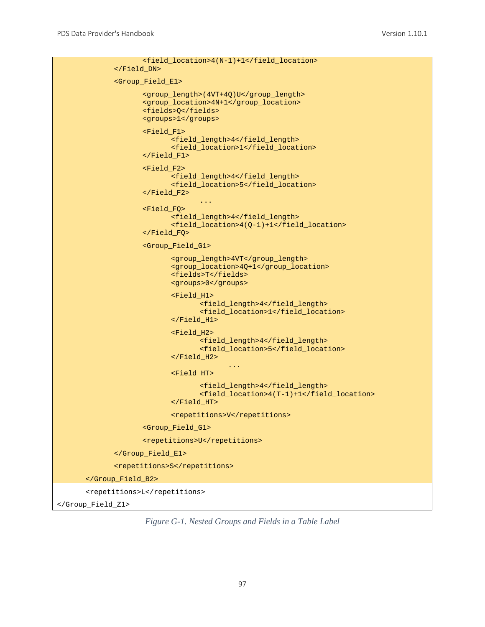```
<field_location>4(N-1)+1</field_location>
             </Field_DN>
             <Group_Field_E1>
                    <group_length>(4VT+4Q)U</group_length>
                    <group_location>4N+1</group_location>
                    <fields>Q</fields>
                    <groups>1</groups>
                    <Field_F1>
                           <field_length>4</field_length>
                           <field_location>1</field_location>
                    </Field_F1>
                    <Field_F2>
                           <field_length>4</field_length>
                           <field_location>5</field_location>
                    </Field_F2>
                                  ...
                    <Field_FQ>
                           <field_length>4</field_length>
                           <field_location>4(Q-1)+1</field_location>
                    </Field_FQ>
                    <Group_Field_G1>
                           <group_length>4VT</group_length>
                           <group_location>4Q+1</group_location>
                           <fields>T</fields>
                           <groups>0</groups>
                           <Field_H1>
                                  <field_length>4</field_length>
                                  <field_location>1</field_location>
                           </Field_H1>
                           <Field_H2>
                                  <field_length>4</field_length>
                                  <field_location>5</field_location>
                           </Field_H2>
                                         ...
                           <Field_HT>
                                  <field_length>4</field_length>
                                  <field_location>4(T-1)+1</field_location>
                           </Field_HT>
                           <repetitions>V</repetitions>
                    <Group_Field_G1>
                    <repetitions>U</repetitions>
             </Group_Field_E1>
             <repetitions>S</repetitions>
      </Group_Field_B2>
      <repetitions>L</repetitions>
</Group_Field_Z1>
```
*Figure G-1. Nested Groups and Fields in a Table Label*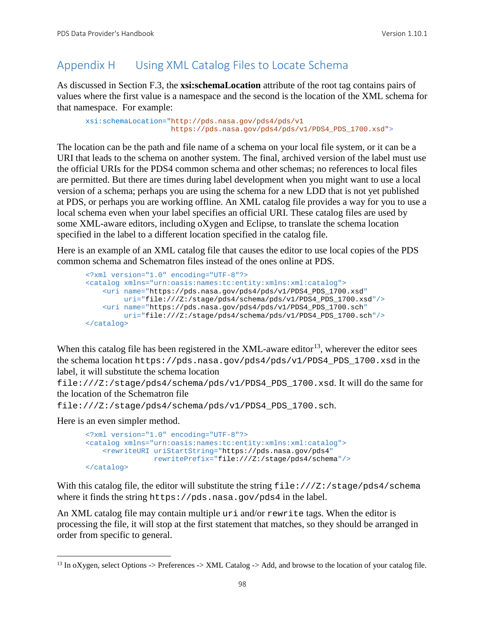# Appendix H Using XML Catalog Files to Locate Schema

As discussed in Section F.3, the **xsi:schemaLocation** attribute of the root tag contains pairs of values where the first value is a namespace and the second is the location of the XML schema for that namespace. For example:

```
xsi:schemaLocation="http://pds.nasa.gov/pds4/pds/v1 
                     https://pds.nasa.gov/pds4/pds/v1/PDS4_PDS_1700.xsd">
```
The location can be the path and file name of a schema on your local file system, or it can be a URI that leads to the schema on another system. The final, archived version of the label must use the official URIs for the PDS4 common schema and other schemas; no references to local files are permitted. But there are times during label development when you might want to use a local version of a schema; perhaps you are using the schema for a new LDD that is not yet published at PDS, or perhaps you are working offline. An XML catalog file provides a way for you to use a local schema even when your label specifies an official URI. These catalog files are used by some XML-aware editors, including oXygen and Eclipse, to translate the schema location specified in the label to a different location specified in the catalog file.

Here is an example of an XML catalog file that causes the editor to use local copies of the PDS common schema and Schematron files instead of the ones online at PDS.

```
<?xml version="1.0" encoding="UTF-8"?>
<catalog xmlns="urn:oasis:names:tc:entity:xmlns:xml:catalog">
    <uri name="https://pds.nasa.gov/pds4/pds/v1/PDS4_PDS_1700.xsd"
         uri="file:///Z:/stage/pds4/schema/pds/v1/PDS4_PDS_1700.xsd"/>
    <uri name="https://pds.nasa.gov/pds4/pds/v1/PDS4_PDS_1700.sch"
         uri="file:///Z:/stage/pds4/schema/pds/v1/PDS4_PDS_1700.sch"/>
</catalog>
```
When this catalog file has been registered in the XML-aware editor<sup>13</sup>, wherever the editor sees the schema location https://pds.nasa.gov/pds4/pds/v1/PDS4\_PDS\_1700.xsd in the label, it will substitute the schema location

file:///Z:/stage/pds4/schema/pds/v1/PDS4\_PDS\_1700.xsd. It will do the same for the location of the Schematron file

```
file:///Z:/stage/pds4/schema/pds/v1/PDS4_PDS_1700.sch.
```
Here is an even simpler method.

```
<?xml version="1.0" encoding="UTF-8"?>
<catalog xmlns="urn:oasis:names:tc:entity:xmlns:xml:catalog">
    <rewriteURI uriStartString="https://pds.nasa.gov/pds4" 
                rewritePrefix="file:///Z:/stage/pds4/schema"/>
</catalog>
```
With this catalog file, the editor will substitute the string file:///Z:/stage/pds4/schema where it finds the string https://pds.nasa.gov/pds4 in the label.

An XML catalog file may contain multiple uri and/or rewrite tags. When the editor is processing the file, it will stop at the first statement that matches, so they should be arranged in order from specific to general.

<span id="page-104-0"></span> $13$  In oXygen, select Options -> Preferences -> XML Catalog -> Add, and browse to the location of your catalog file.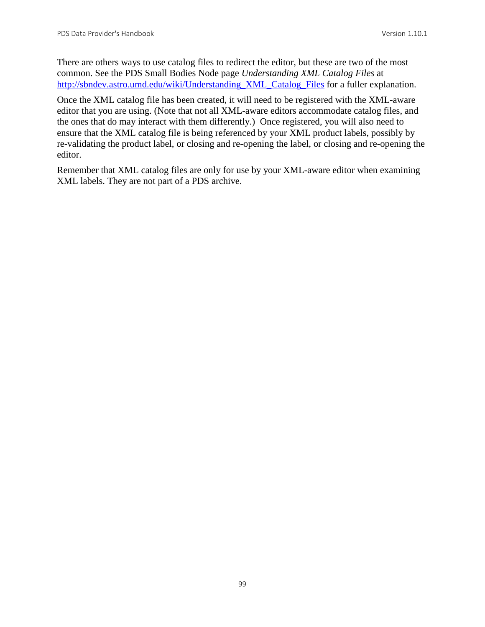There are others ways to use catalog files to redirect the editor, but these are two of the most common. See the PDS Small Bodies Node page *Understanding XML Catalog Files* at [http://sbndev.astro.umd.edu/wiki/Understanding\\_XML\\_Catalog\\_Files](http://sbndev.astro.umd.edu/wiki/Understanding_XML_Catalog_Files) for a fuller explanation.

Once the XML catalog file has been created, it will need to be registered with the XML-aware editor that you are using. (Note that not all XML-aware editors accommodate catalog files, and the ones that do may interact with them differently.) Once registered, you will also need to ensure that the XML catalog file is being referenced by your XML product labels, possibly by re-validating the product label, or closing and re-opening the label, or closing and re-opening the editor.

Remember that XML catalog files are only for use by your XML-aware editor when examining XML labels. They are not part of a PDS archive.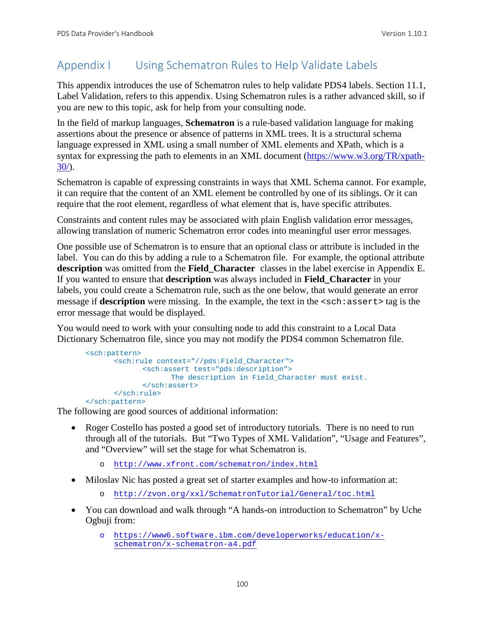# Appendix I Using Schematron Rules to Help Validate Labels

This appendix introduces the use of Schematron rules to help validate PDS4 labels. Section 11.1, Label Validation, refers to this appendix. Using Schematron rules is a rather advanced skill, so if you are new to this topic, ask for help from your consulting node.

In the field of markup languages, **Schematron** is a rule-based validation language for making assertions about the presence or absence of patterns in XML trees. It is a structural schema language expressed in XML using a small number of XML elements and XPath, which is a syntax for expressing the path to elements in an XML document [\(https://www.w3.org/TR/xpath-](https://www.w3.org/TR/xpath-30/) $30/$ ).

Schematron is capable of expressing constraints in ways that XML Schema cannot. For example, it can require that the content of an XML element be controlled by one of its siblings. Or it can require that the root element, regardless of what element that is, have specific attributes.

Constraints and content rules may be associated with plain English validation error messages, allowing translation of numeric Schematron error codes into meaningful user error messages.

One possible use of Schematron is to ensure that an optional class or attribute is included in the label. You can do this by adding a rule to a Schematron file. For example, the optional attribute **description** was omitted from the **Field\_Character** classes in the label exercise in Appendix E. If you wanted to ensure that **description** was always included in **Field\_Character** in your labels, you could create a Schematron rule, such as the one below, that would generate an error message if **description** were missing. In the example, the text in the  $\leq$ sch: assert> tag is the error message that would be displayed.

You would need to work with your consulting node to add this constraint to a Local Data Dictionary Schematron file, since you may not modify the PDS4 common Schematron file.

```
<sch:pattern>
      <sch:rule context="//pds:Field_Character">
             <sch:assert test="pds:description">
                   The description in Field_Character must exist.
             </sch:assert>
      </sch:rule>
</sch:pattern>
```
The following are good sources of additional information:

- Roger Costello has posted a good set of introductory tutorials. There is no need to run through all of the tutorials. But "Two Types of XML Validation", "Usage and Features", and "Overview" will set the stage for what Schematron is.
	- o <http://www.xfront.com/schematron/index.html>
- Miloslav Nic has posted a great set of starter examples and how-to information at:
	- o <http://zvon.org/xxl/SchematronTutorial/General/toc.html>
- You can download and walk through "A hands-on introduction to Schematron" by Uche Ogbuji from:
	- o [https://www6.software.ibm.com/developerworks/education/x](https://www6.software.ibm.com/developerworks/education/x-schematron/x-schematron-a4.pdf)[schematron/x-schematron-a4.pdf](https://www6.software.ibm.com/developerworks/education/x-schematron/x-schematron-a4.pdf)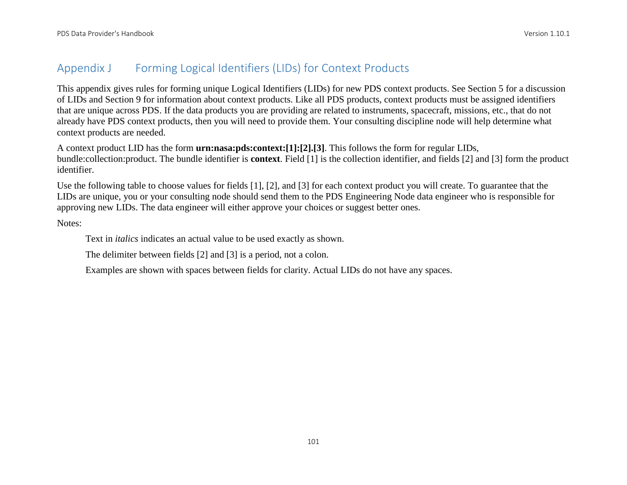# Appendix J Forming Logical Identifiers (LIDs) for Context Products

This appendix gives rules for forming unique Logical Identifiers (LIDs) for new PDS context products. See Section 5 for a discussion of LIDs and Section 9 for information about context products. Like all PDS products, context products must be assigned identifiers that are unique across PDS. If the data products you are providing are related to instruments, spacecraft, missions, etc., that do not already have PDS context products, then you will need to provide them. Your consulting discipline node will help determine what context products are needed.

A context product LID has the form **urn:nasa:pds:context:[1]:[2].[3]**. This follows the form for regular LIDs, bundle:collection:product. The bundle identifier is **context**. Field [1] is the collection identifier, and fields [2] and [3] form the product identifier.

Use the following table to choose values for fields [1], [2], and [3] for each context product you will create. To guarantee that the LIDs are unique, you or your consulting node should send them to the PDS Engineering Node data engineer who is responsible for approving new LIDs. The data engineer will either approve your choices or suggest better ones.

Notes:

Text in *italics* indicates an actual value to be used exactly as shown.

The delimiter between fields [2] and [3] is a period, not a colon.

Examples are shown with spaces between fields for clarity. Actual LIDs do not have any spaces.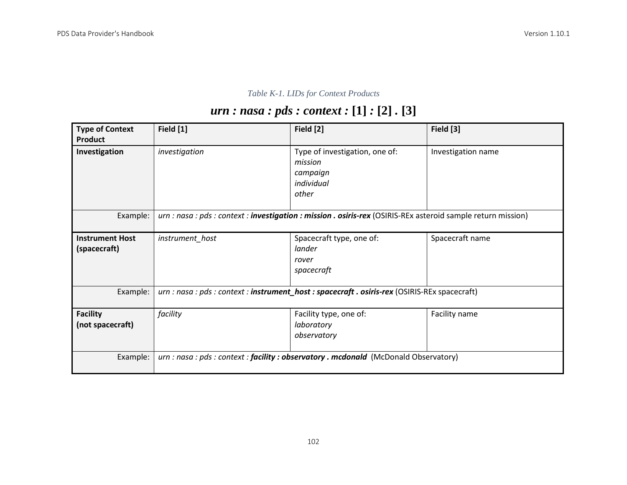# *Table K-1. LIDs for Context Products*

# *urn : nasa : pds : context :* **[1]** *:* **[2]** *.* **[3]**

| <b>Type of Context</b><br>Product      | Field [1]       | Field [2]                                                                                                     | Field [3]          |
|----------------------------------------|-----------------|---------------------------------------------------------------------------------------------------------------|--------------------|
| Investigation                          | investigation   | Type of investigation, one of:<br>mission<br>campaign<br>individual<br>other                                  | Investigation name |
| Example:                               |                 | urn : nasa : pds : context : investigation : mission . osiris-rex (OSIRIS-REx asteroid sample return mission) |                    |
| <b>Instrument Host</b><br>(spacecraft) | instrument_host | Spacecraft type, one of:<br>lander<br>rover<br>spacecraft                                                     | Spacecraft name    |
| Example:                               |                 | urn : nasa : pds : context : instrument_host : spacecraft . osiris-rex (OSIRIS-REx spacecraft)                |                    |
| <b>Facility</b><br>(not spacecraft)    | facility        | Facility type, one of:<br>laboratory<br>observatory                                                           | Facility name      |
| Example:                               |                 | urn : nasa : pds : context : facility : observatory . mcdonald (McDonald Observatory)                         |                    |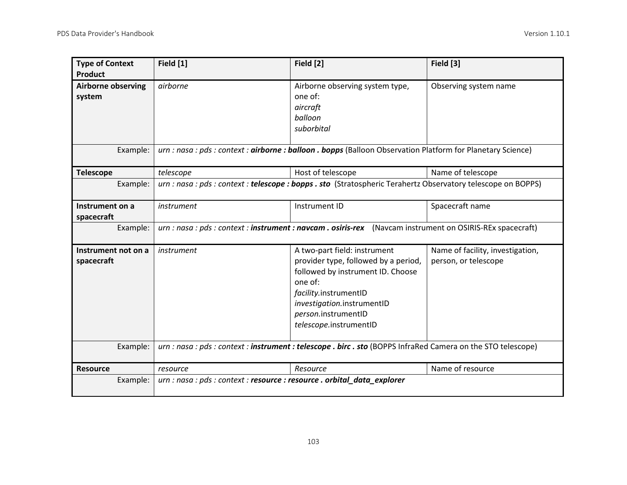| <b>Type of Context</b><br><b>Product</b>        | Field [1]                                                                | Field [2]                                                                                                                                                                                                                    | Field [3]                                                |
|-------------------------------------------------|--------------------------------------------------------------------------|------------------------------------------------------------------------------------------------------------------------------------------------------------------------------------------------------------------------------|----------------------------------------------------------|
| <b>Airborne observing</b><br>system<br>Example: | airborne                                                                 | Airborne observing system type,<br>one of:<br>aircraft<br>balloon<br>suborbital<br>urn : nasa : pds : context : airborne : balloon . bopps (Balloon Observation Platform for Planetary Science)                              | Observing system name                                    |
|                                                 |                                                                          |                                                                                                                                                                                                                              |                                                          |
| <b>Telescope</b>                                | telescope                                                                | Host of telescope                                                                                                                                                                                                            | Name of telescope                                        |
| Example:                                        |                                                                          | urn : nasa : pds : context : telescope : bopps . sto (Stratospheric Terahertz Observatory telescope on BOPPS)                                                                                                                |                                                          |
| Instrument on a<br>spacecraft                   | instrument                                                               | Instrument ID                                                                                                                                                                                                                | Spacecraft name                                          |
| Example:                                        |                                                                          | urn : nasa : pds : context : instrument : navcam . osiris-rex (Navcam instrument on OSIRIS-REx spacecraft)                                                                                                                   |                                                          |
| Instrument not on a<br>spacecraft               | instrument                                                               | A two-part field: instrument<br>provider type, followed by a period,<br>followed by instrument ID. Choose<br>one of:<br>facility.instrumentID<br>investigation.instrumentID<br>person.instrumentID<br>telescope.instrumentID | Name of facility, investigation,<br>person, or telescope |
| Example:                                        |                                                                          | urn : nasa : pds : context : instrument : telescope . birc . sto (BOPPS InfraRed Camera on the STO telescope)                                                                                                                |                                                          |
| <b>Resource</b>                                 | resource                                                                 | Resource                                                                                                                                                                                                                     | Name of resource                                         |
| Example:                                        | urn : nasa : pds : context : resource : resource . orbital_data_explorer |                                                                                                                                                                                                                              |                                                          |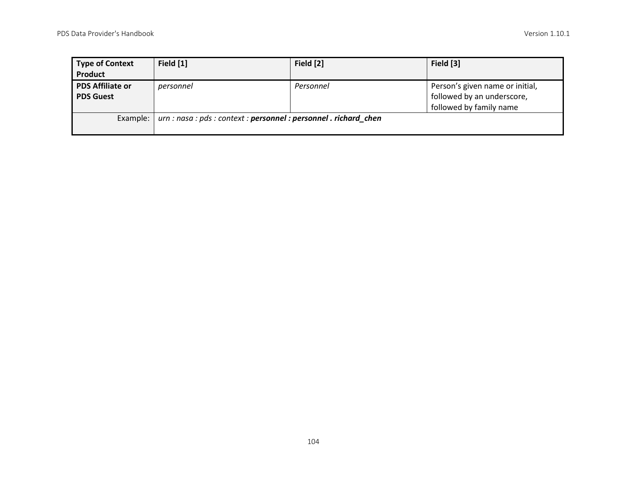| <b>Type of Context</b><br>Product           | Field [1]                                                         | Field [2] | Field [3]                                                                                |
|---------------------------------------------|-------------------------------------------------------------------|-----------|------------------------------------------------------------------------------------------|
| <b>PDS Affiliate or</b><br><b>PDS Guest</b> | personnel                                                         | Personnel | Person's given name or initial,<br>followed by an underscore,<br>followed by family name |
| Example:                                    | urn : nasa : pds : context : personnel : personnel . richard_chen |           |                                                                                          |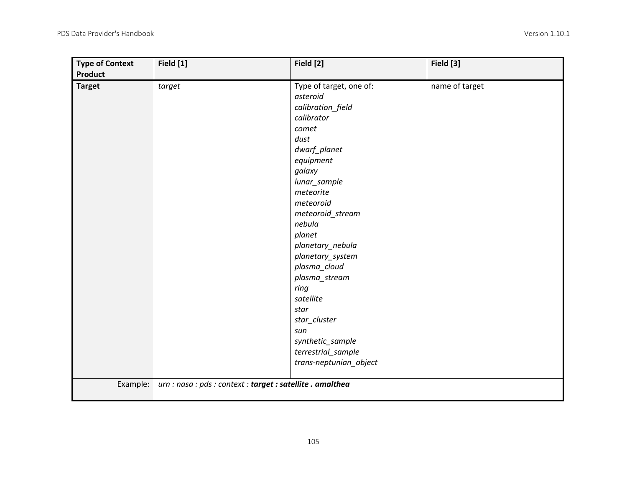| <b>Type of Context</b><br><b>Product</b> | Field [1]                                                  | Field [2]                                                                                                                                                                                                                                                                                                                                                                                                         | Field [3]      |
|------------------------------------------|------------------------------------------------------------|-------------------------------------------------------------------------------------------------------------------------------------------------------------------------------------------------------------------------------------------------------------------------------------------------------------------------------------------------------------------------------------------------------------------|----------------|
| <b>Target</b>                            | target                                                     | Type of target, one of:<br>asteroid<br>calibration_field<br>calibrator<br>comet<br>dust<br>dwarf_planet<br>equipment<br>galaxy<br>lunar_sample<br>meteorite<br>meteoroid<br>meteoroid_stream<br>nebula<br>planet<br>planetary_nebula<br>planetary_system<br>plasma_cloud<br>plasma_stream<br>ring<br>satellite<br>star<br>star_cluster<br>sun<br>synthetic_sample<br>terrestrial_sample<br>trans-neptunian_object | name of target |
| Example:                                 | urn : nasa : pds : context : target : satellite . amalthea |                                                                                                                                                                                                                                                                                                                                                                                                                   |                |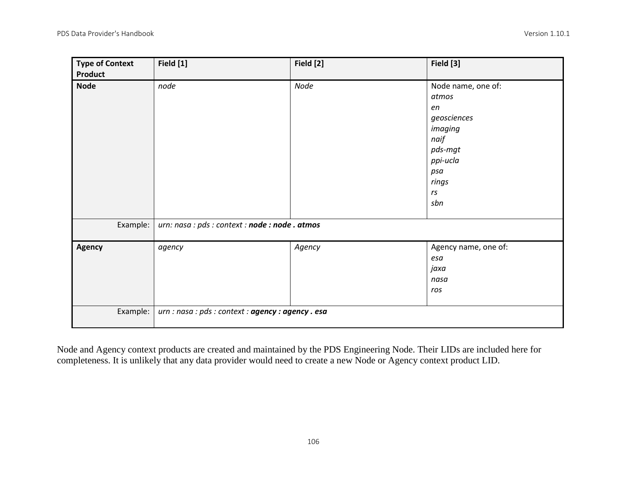| <b>Type of Context</b><br>Product | Field [1]                                          | Field [2] | Field [3]                                                                                                               |
|-----------------------------------|----------------------------------------------------|-----------|-------------------------------------------------------------------------------------------------------------------------|
| <b>Node</b>                       | node                                               | Node      | Node name, one of:<br>atmos<br>en<br>geosciences<br>imaging<br>naif<br>pds-mgt<br>ppi-ucla<br>psa<br>rings<br>rs<br>sbn |
| Example:                          | urn: nasa : pds : context : node : node . atmos    |           |                                                                                                                         |
| Agency                            | agency                                             | Agency    | Agency name, one of:<br>esa<br>jaxa<br>nasa<br>ros                                                                      |
| Example:                          | urn : nasa : pds : context : agency : agency . esa |           |                                                                                                                         |

Node and Agency context products are created and maintained by the PDS Engineering Node. Their LIDs are included here for completeness. It is unlikely that any data provider would need to create a new Node or Agency context product LID.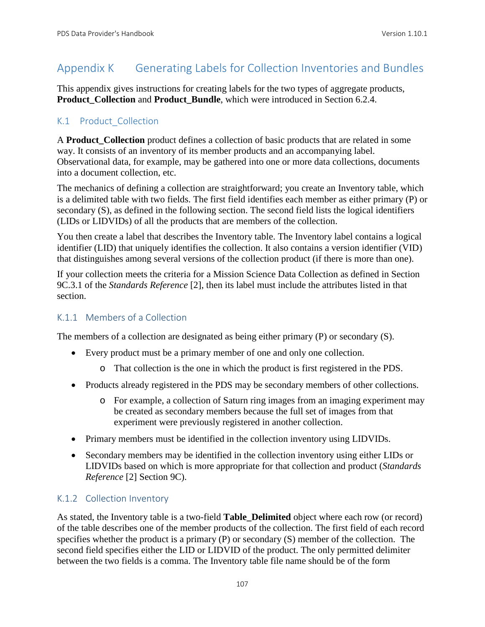# Appendix K Generating Labels for Collection Inventories and Bundles

This appendix gives instructions for creating labels for the two types of aggregate products, **Product Collection** and **Product Bundle**, which were introduced in Section 6.2.4.

# K.1 Product Collection

A **Product Collection** product defines a collection of basic products that are related in some way. It consists of an inventory of its member products and an accompanying label. Observational data, for example, may be gathered into one or more data collections, documents into a document collection, etc.

The mechanics of defining a collection are straightforward; you create an Inventory table, which is a delimited table with two fields. The first field identifies each member as either primary (P) or secondary (S), as defined in the following section. The second field lists the logical identifiers (LIDs or LIDVIDs) of all the products that are members of the collection.

You then create a label that describes the Inventory table. The Inventory label contains a logical identifier (LID) that uniquely identifies the collection. It also contains a version identifier (VID) that distinguishes among several versions of the collection product (if there is more than one).

If your collection meets the criteria for a Mission Science Data Collection as defined in Section 9C.3.1 of the *Standards Reference* [2], then its label must include the attributes listed in that section.

# K.1.1 Members of a Collection

The members of a collection are designated as being either primary (P) or secondary (S).

- Every product must be a primary member of one and only one collection.
	- o That collection is the one in which the product is first registered in the PDS.
- Products already registered in the PDS may be secondary members of other collections.
	- o For example, a collection of Saturn ring images from an imaging experiment may be created as secondary members because the full set of images from that experiment were previously registered in another collection.
- Primary members must be identified in the collection inventory using LIDVIDs.
- Secondary members may be identified in the collection inventory using either LIDs or LIDVIDs based on which is more appropriate for that collection and product (*Standards Reference* [2] Section 9C).

# K.1.2 Collection Inventory

As stated, the Inventory table is a two-field **Table\_Delimited** object where each row (or record) of the table describes one of the member products of the collection. The first field of each record specifies whether the product is a primary (P) or secondary (S) member of the collection. The second field specifies either the LID or LIDVID of the product. The only permitted delimiter between the two fields is a comma. The Inventory table file name should be of the form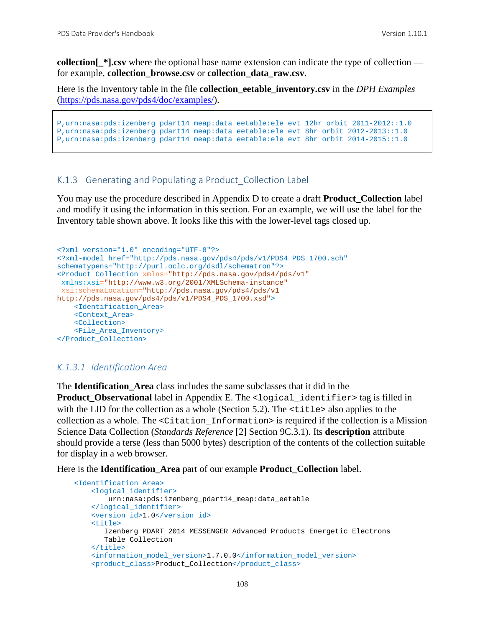**collection**  $*$ **].csv** where the optional base name extension can indicate the type of collection for example, **collection\_browse.csv** or **collection\_data\_raw.csv**.

Here is the Inventory table in the file **collection\_eetable\_inventory.csv** in the *DPH Examples*  [\(https://pds.nasa.gov/pds4/doc/examples/\)](https://pds.nasa.gov/pds4/doc/examples/).

```
P,urn:nasa:pds:izenberg_pdart14_meap:data_eetable:ele_evt_12hr_orbit_2011-2012::1.0
P,urn:nasa:pds:izenberg_pdart14_meap:data_eetable:ele_evt_8hr_orbit_2012-2013::1.0
P,urn:nasa:pds:izenberg_pdart14_meap:data_eetable:ele_evt_8hr_orbit_2014-2015::1.0
```
#### K.1.3 Generating and Populating a Product Collection Label

You may use the procedure described in Appendix D to create a draft **Product\_Collection** label and modify it using the information in this section. For an example, we will use the label for the Inventory table shown above. It looks like this with the lower-level tags closed up.

```
<?xml version="1.0" encoding="UTF-8"?>
<?xml-model href="http://pds.nasa.gov/pds4/pds/v1/PDS4_PDS_1700.sch" 
schematypens="http://purl.oclc.org/dsdl/schematron"?>
<Product_Collection xmlns="http://pds.nasa.gov/pds4/pds/v1"
xmlns:xsi="http://www.w3.org/2001/XMLSchema-instance"
xsi:schemaLocation="http://pds.nasa.gov/pds4/pds/v1 
http://pds.nasa.gov/pds4/pds/v1/PDS4_PDS_1700.xsd">
     <Identification_Area>
    <Context_Area>
    <Collection>
    <File_Area_Inventory>
</Product_Collection>
```
#### *K.1.3.1 Identification Area*

The **Identification\_Area** class includes the same subclasses that it did in the **Product Observational** label in Appendix E. The <logical identifier> tag is filled in with the LID for the collection as a whole (Section 5.2). The  $\lt$ title> also applies to the collection as a whole. The <Citation\_Information> is required if the collection is a Mission Science Data Collection (*Standards Reference* [2] Section 9C.3.1). Its **description** attribute should provide a terse (less than 5000 bytes) description of the contents of the collection suitable for display in a web browser.

Here is the **Identification\_Area** part of our example **Product\_Collection** label.

```
 <Identification_Area>
     <logical_identifier>
         urn:nasa:pds:izenberg_pdart14_meap:data_eetable
     </logical_identifier>
     <version_id>1.0</version_id>
    <sub>right</sub></sub>
        Izenberg PDART 2014 MESSENGER Advanced Products Energetic Electrons 
        Table Collection
    \frac{1}{2} <information_model_version>1.7.0.0</information_model_version>
     <product_class>Product_Collection</product_class>
```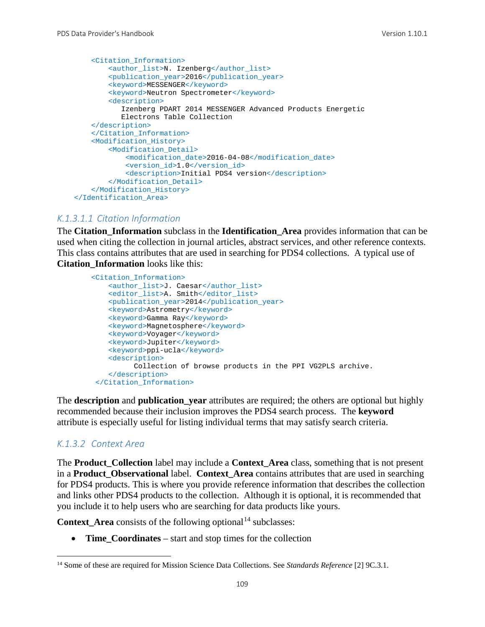```
 <Citation_Information>
         <author_list>N. Izenberg</author_list>
         <publication_year>2016</publication_year>
        <keyword>MESSENGER</keyword>
         <keyword>Neutron Spectrometer</keyword>
         <description>
            Izenberg PDART 2014 MESSENGER Advanced Products Energetic 
            Electrons Table Collection
    </description>
     </Citation_Information>
    <Modification_History>
         <Modification_Detail>
            <modification_date>2016-04-08</modification_date>
             <version_id>1.0</version_id>
             <description>Initial PDS4 version</description>
         </Modification_Detail>
     </Modification_History>
 </Identification_Area>
```
#### *K.1.3.1.1 Citation Information*

The **Citation\_Information** subclass in the **Identification\_Area** provides information that can be used when citing the collection in journal articles, abstract services, and other reference contexts. This class contains attributes that are used in searching for PDS4 collections. A typical use of **Citation\_Information** looks like this:

```
 <Citation_Information>
    <author_list>J. Caesar</author_list>
    <editor_list>A. Smith</editor_list>
    <publication_year>2014</publication_year>
    <keyword>Astrometry</keyword>
   <keyword>Gamma Ray</keyword>
   <keyword>Magnetosphere</keyword>
   <keyword>Voyager</keyword>
   <keyword>Jupiter</keyword>
   <keyword>ppi-ucla</keyword>
    <description>
          Collection of browse products in the PPI VG2PLS archive.
    </description>
 </Citation_Information>
```
The **description** and **publication\_year** attributes are required; the others are optional but highly recommended because their inclusion improves the PDS4 search process. The **keyword** attribute is especially useful for listing individual terms that may satisfy search criteria.

#### *K.1.3.2 Context Area*

The **Product\_Collection** label may include a **Context\_Area** class, something that is not present in a **Product\_Observational** label. **Context\_Area** contains attributes that are used in searching for PDS4 products. This is where you provide reference information that describes the collection and links other PDS4 products to the collection. Although it is optional, it is recommended that you include it to help users who are searching for data products like yours.

**Context** Area consists of the following optional<sup>[14](#page-115-0)</sup> subclasses:

• **Time\_Coordinates** – start and stop times for the collection

<span id="page-115-0"></span> <sup>14</sup> Some of these are required for Mission Science Data Collections. See *Standards Reference* [2] 9C.3.1.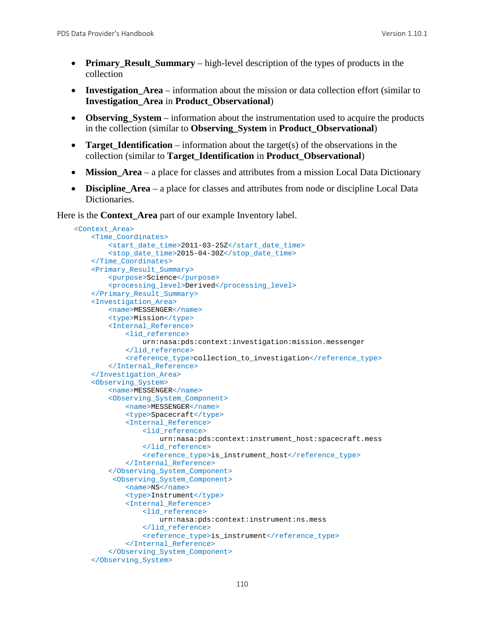- **Primary\_Result\_Summary** high-level description of the types of products in the collection
- **Investigation\_Area** information about the mission or data collection effort (similar to **Investigation\_Area** in **Product\_Observational**)
- **Observing\_System** information about the instrumentation used to acquire the products in the collection (similar to **Observing\_System** in **Product\_Observational**)
- **Target Identification** information about the target(s) of the observations in the collection (similar to **Target\_Identification** in **Product\_Observational**)
- **Mission\_Area** a place for classes and attributes from a mission Local Data Dictionary
- **Discipline Area** a place for classes and attributes from node or discipline Local Data Dictionaries.

Here is the **Context\_Area** part of our example Inventory label.

```
 <Context_Area>
    <Time_Coordinates>
         <start_date_time>2011-03-25Z</start_date_time>
         <stop_date_time>2015-04-30Z</stop_date_time>
     </Time_Coordinates>
     <Primary_Result_Summary>
         <purpose>Science</purpose>
         <processing_level>Derived</processing_level>
     </Primary_Result_Summary>
     <Investigation_Area>
         <name>MESSENGER</name>
         <type>Mission</type>
         <Internal_Reference>
             <lid_reference>
                 urn:nasa:pds:context:investigation:mission.messenger
             </lid_reference>
             <reference_type>collection_to_investigation</reference_type>
         </Internal_Reference>
     </Investigation_Area>
     <Observing_System>
        <name>MESSENGER</name>
         <Observing_System_Component>
             <name>MESSENGER</name>
             <type>Spacecraft</type>
             <Internal_Reference>
                 <lid_reference>
                     urn:nasa:pds:context:instrument_host:spacecraft.mess
                 </lid_reference>
                <reference_type>is_instrument_host</reference_type>
             </Internal_Reference>
         </Observing_System_Component>
          <Observing_System_Component>
             <name>NS</name>
             <type>Instrument</type>
             <Internal_Reference>
                 <lid_reference>
                     urn:nasa:pds:context:instrument:ns.mess
                 </lid_reference>
                <reference_type>is_instrument</reference_type>
             </Internal_Reference>
         </Observing_System_Component>
     </Observing_System>
```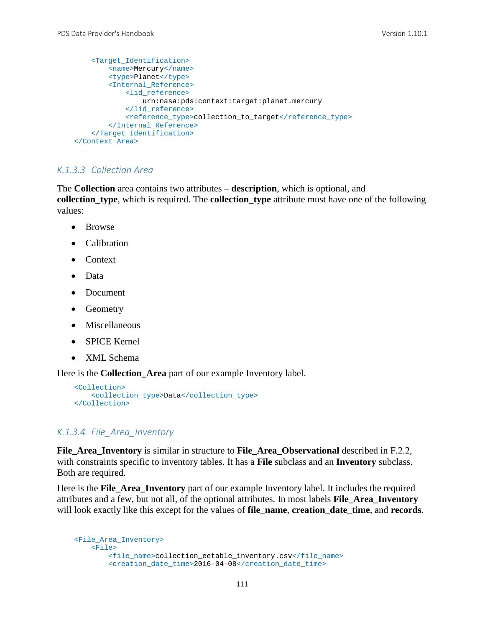```
 <Target_Identification>
        <name>Mercury</name>
         <type>Planet</type>
         <Internal_Reference>
             <lid_reference>
                 urn:nasa:pds:context:target:planet.mercury
             </lid_reference>
             <reference_type>collection_to_target</reference_type>
         </Internal_Reference>
     </Target_Identification>
 </Context_Area>
```
### *K.1.3.3 Collection Area*

The **Collection** area contains two attributes – **description**, which is optional, and **collection\_type**, which is required. The **collection\_type** attribute must have one of the following values:

- Browse
- Calibration
- Context
- Data
- Document
- Geometry
- Miscellaneous
- SPICE Kernel
- XML Schema

Here is the **Collection\_Area** part of our example Inventory label.

```
 <Collection>
    <collection_type>Data</collection_type>
 </Collection>
```
#### *K.1.3.4 File\_Area\_Inventory*

**File\_Area\_Inventory** is similar in structure to **File\_Area\_Observational** described in F.2.2, with constraints specific to inventory tables. It has a **File** subclass and an **Inventory** subclass. Both are required.

Here is the **File\_Area\_Inventory** part of our example Inventory label. It includes the required attributes and a few, but not all, of the optional attributes. In most labels **File\_Area\_Inventory** will look exactly like this except for the values of **file\_name**, **creation\_date\_time**, and **records**.

```
 <File_Area_Inventory>
    <File>
         <file_name>collection_eetable_inventory.csv</file_name>
         <creation_date_time>2016-04-08</creation_date_time>
```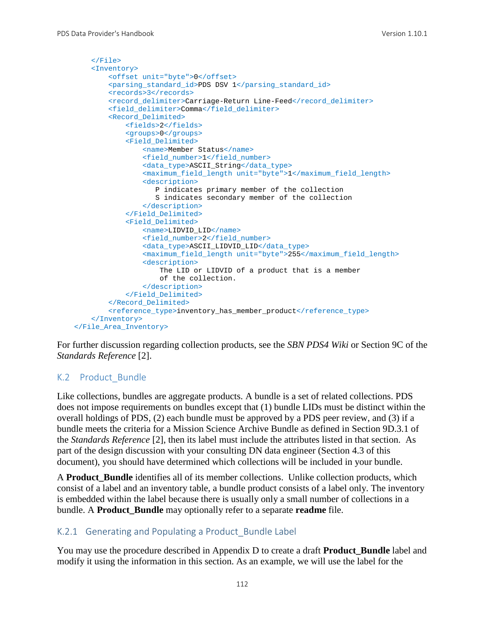```
 </File>
     <Inventory>
        <offset unit="byte">0</offset>
        <parsing_standard_id>PDS DSV 1</parsing_standard_id>
         <records>3</records>
        <record_delimiter>Carriage-Return Line-Feed</record_delimiter>
         <field_delimiter>Comma</field_delimiter>
         <Record_Delimited>
             <fields>2</fields>
             <groups>0</groups>
             <Field_Delimited>
                 <name>Member Status</name>
                <field_number>1</field_number>
                <data_type>ASCII_String</data_type>
                <maximum_field_length unit="byte">1</maximum_field_length>
                 <description>
                    P indicates primary member of the collection
                   S indicates secondary member of the collection
                 </description>
             </Field_Delimited>
             <Field_Delimited>
                 <name>LIDVID_LID</name>
                <field_number>2</field_number>
                <data_type>ASCII_LIDVID_LID</data_type>
                <maximum_field_length unit="byte">255</maximum_field_length>
                 <description>
                     The LID or LIDVID of a product that is a member
                    of the collection.
                 </description> 
             </Field_Delimited>
         </Record_Delimited>
         <reference_type>inventory_has_member_product</reference_type>
    </Inventory>
 </File_Area_Inventory>
```
For further discussion regarding collection products, see the *SBN PDS4 Wiki* or Section 9C of the *Standards Reference* [2].

# K.2 Product\_Bundle

Like collections, bundles are aggregate products. A bundle is a set of related collections. PDS does not impose requirements on bundles except that (1) bundle LIDs must be distinct within the overall holdings of PDS, (2) each bundle must be approved by a PDS peer review, and (3) if a bundle meets the criteria for a Mission Science Archive Bundle as defined in Section 9D.3.1 of the *Standards Reference* [2], then its label must include the attributes listed in that section. As part of the design discussion with your consulting DN data engineer (Section 4.3 of this document), you should have determined which collections will be included in your bundle.

A **Product Bundle** identifies all of its member collections. Unlike collection products, which consist of a label and an inventory table, a bundle product consists of a label only. The inventory is embedded within the label because there is usually only a small number of collections in a bundle. A **Product\_Bundle** may optionally refer to a separate **readme** file.

# K.2.1 Generating and Populating a Product Bundle Label

You may use the procedure described in Appendix D to create a draft **Product\_Bundle** label and modify it using the information in this section. As an example, we will use the label for the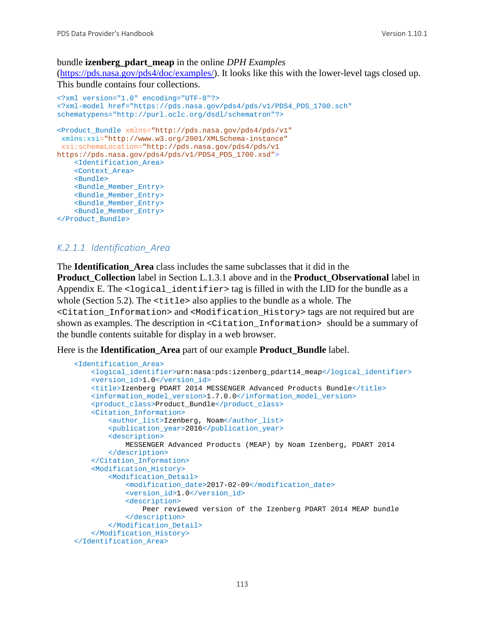### bundle **izenberg\_pdart\_meap** in the online *DPH Examples*

[\(https://pds.nasa.gov/pds4/doc/examples/\)](https://pds.nasa.gov/pds4/doc/examples/). It looks like this with the lower-level tags closed up. This bundle contains four collections.

```
<?xml version="1.0" encoding="UTF-8"?>
<?xml-model href="https://pds.nasa.gov/pds4/pds/v1/PDS4_PDS_1700.sch" 
schematypens="http://purl.oclc.org/dsdl/schematron"?>
<Product_Bundle xmlns="http://pds.nasa.gov/pds4/pds/v1"
xmlns:xsi="http://www.w3.org/2001/XMLSchema-instance"
xsi:schemaLocation="http://pds.nasa.gov/pds4/pds/v1 
https://pds.nasa.gov/pds4/pds/v1/PDS4_PDS_1700.xsd">
     <Identification_Area>
     <Context_Area>
    <Bundle>
    <Bundle_Member_Entry>
    <Bundle_Member_Entry>
    <Bundle_Member_Entry>
    <Bundle_Member_Entry>
</Product_Bundle>
```
### *K.2.1.1 Identification\_Area*

The **Identification\_Area** class includes the same subclasses that it did in the **Product\_Collection** label in Section L.1.3.1 above and in the **Product\_Observational** label in Appendix E. The  $\leq$ logical\_identifier > tag is filled in with the LID for the bundle as a whole (Section 5.2). The <title> also applies to the bundle as a whole. The <Citation\_Information> and <Modification\_History> tags are not required but are shown as examples. The description in  $\leq$  Citation Information> should be a summary of the bundle contents suitable for display in a web browser.

Here is the **Identification\_Area** part of our example **Product\_Bundle** label.

```
 <Identification_Area>
     <logical_identifier>urn:nasa:pds:izenberg_pdart14_meap</logical_identifier>
     <version_id>1.0</version_id>
     <title>Izenberg PDART 2014 MESSENGER Advanced Products Bundle</title>
    <information_model_version>1.7.0.0</information_model_version>
     <product_class>Product_Bundle</product_class>
     <Citation_Information>
         <author_list>Izenberg, Noam</author_list>
         <publication_year>2016</publication_year>
         <description>
             MESSENGER Advanced Products (MEAP) by Noam Izenberg, PDART 2014
         </description>
     </Citation_Information>
     <Modification_History>
         <Modification_Detail>
             <modification_date>2017-02-09</modification_date>
             <version_id>1.0</version_id>
             <description>
                Peer reviewed version of the Izenberg PDART 2014 MEAP bundle
             </description>
         </Modification_Detail>
     </Modification_History>
 </Identification_Area>
```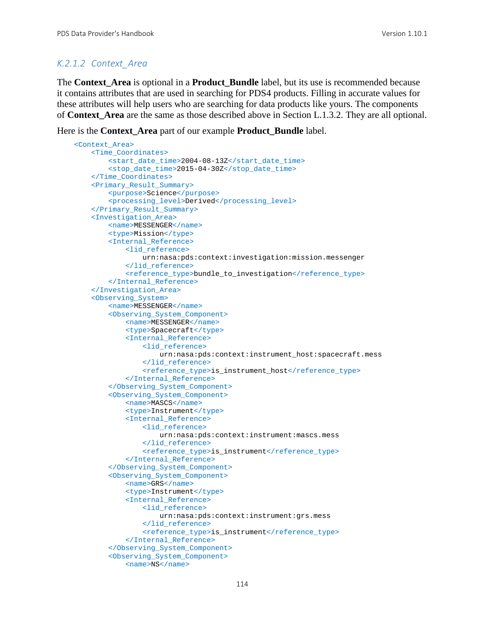# *K.2.1.2 Context\_Area*

The **Context\_Area** is optional in a **Product\_Bundle** label, but its use is recommended because it contains attributes that are used in searching for PDS4 products. Filling in accurate values for these attributes will help users who are searching for data products like yours. The components of **Context\_Area** are the same as those described above in Section L.1.3.2. They are all optional.

Here is the **Context\_Area** part of our example **Product\_Bundle** label.

```
 <Context_Area>
    <Time_Coordinates>
         <start_date_time>2004-08-13Z</start_date_time>
         <stop_date_time>2015-04-30Z</stop_date_time>
     </Time_Coordinates>
     <Primary_Result_Summary>
         <purpose>Science</purpose>
         <processing_level>Derived</processing_level>
     </Primary_Result_Summary>
     <Investigation_Area>
         <name>MESSENGER</name>
         <type>Mission</type>
         <Internal_Reference>
             <lid_reference>
                 urn:nasa:pds:context:investigation:mission.messenger
             </lid_reference>
            <reference_type>bundle_to_investigation</reference_type>
         </Internal_Reference>
     </Investigation_Area>
     <Observing_System>
         <name>MESSENGER</name>
         <Observing_System_Component>
             <name>MESSENGER</name>
             <type>Spacecraft</type>
             <Internal_Reference>
                 <lid_reference>
                     urn:nasa:pds:context:instrument_host:spacecraft.mess
                 </lid_reference>
                <reference_type>is_instrument_host</reference_type>
             </Internal_Reference>
         </Observing_System_Component>
         <Observing_System_Component>
             <name>MASCS</name>
             <type>Instrument</type>
             <Internal_Reference>
                 <lid_reference>
                     urn:nasa:pds:context:instrument:mascs.mess
                 </lid_reference>
                <reference_type>is_instrument</reference_type>
             </Internal_Reference>
         </Observing_System_Component>
         <Observing_System_Component>
             <name>GRS</name>
            <type>Instrument</type>
             <Internal_Reference>
                 <lid_reference>
                     urn:nasa:pds:context:instrument:grs.mess
                 </lid_reference>
                <reference_type>is_instrument</reference_type>
             </Internal_Reference>
         </Observing_System_Component>
         <Observing_System_Component>
             <name>NS</name>
```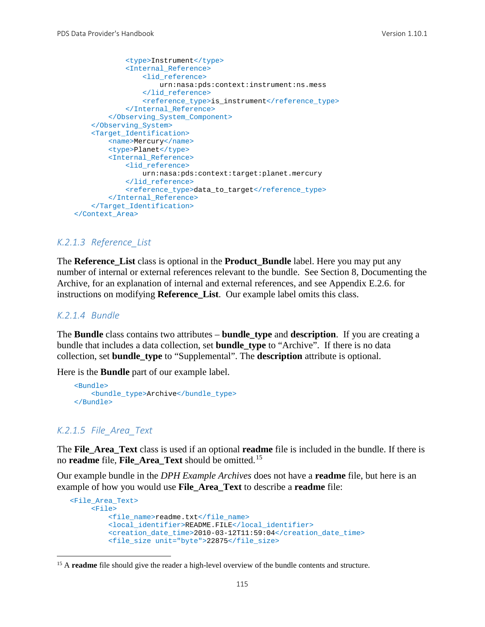```
 <type>Instrument</type>
             <Internal_Reference>
                 <lid_reference>
                     urn:nasa:pds:context:instrument:ns.mess
                 </lid_reference>
                <reference_type>is_instrument</reference_type>
             </Internal_Reference>
         </Observing_System_Component>
     </Observing_System>
     <Target_Identification>
         <name>Mercury</name>
         <type>Planet</type>
         <Internal_Reference>
             <lid_reference>
                 urn:nasa:pds:context:target:planet.mercury
             </lid_reference>
             <reference_type>data_to_target</reference_type>
         </Internal_Reference>
     </Target_Identification>
 </Context_Area>
```
#### *K.2.1.3 Reference\_List*

The **Reference\_List** class is optional in the **Product\_Bundle** label. Here you may put any number of internal or external references relevant to the bundle. See Section 8, Documenting the Archive, for an explanation of internal and external references, and see Appendix E.2.6. for instructions on modifying **Reference\_List**. Our example label omits this class.

#### *K.2.1.4 Bundle*

The **Bundle** class contains two attributes – **bundle\_type** and **description**. If you are creating a bundle that includes a data collection, set **bundle\_type** to "Archive". If there is no data collection, set **bundle\_type** to "Supplemental". The **description** attribute is optional.

Here is the **Bundle** part of our example label.

```
 <Bundle>
     <bundle_type>Archive</bundle_type>
 </Bundle>
```
### *K.2.1.5 File\_Area\_Text*

The **File\_Area\_Text** class is used if an optional **readme** file is included in the bundle. If there is no **readme** file, **File\_Area\_Text** should be omitted.[15](#page-121-0)

Our example bundle in the *DPH Example Archives* does not have a **readme** file, but here is an example of how you would use **File\_Area\_Text** to describe a **readme** file:

```
 <File_Area_Text>
      <File>
          <file_name>readme.txt</file_name>
          <local_identifier>README.FILE</local_identifier>
          <creation_date_time>2010-03-12T11:59:04</creation_date_time>
          <file_size unit="byte">22875</file_size>
```
<span id="page-121-0"></span><sup>&</sup>lt;sup>15</sup> A **readme** file should give the reader a high-level overview of the bundle contents and structure.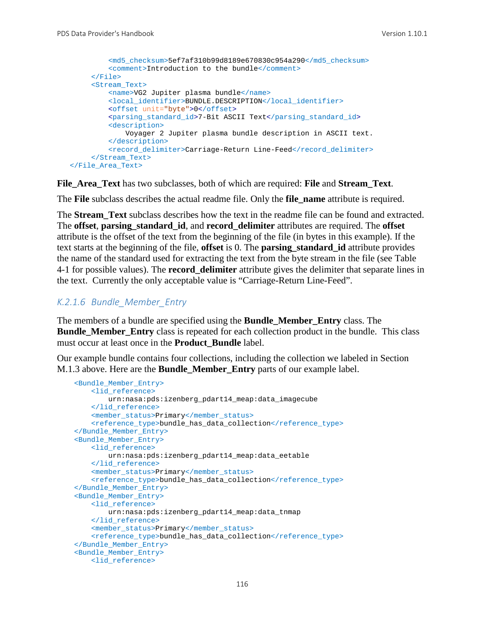```
 <md5_checksum>5ef7af310b99d8189e670830c954a290</md5_checksum>
          <comment>Introduction to the bundle</comment>
      </File>
      <Stream_Text>
          <name>VG2 Jupiter plasma bundle</name>
          <local_identifier>BUNDLE.DESCRIPTION</local_identifier>
          <offset unit="byte">0</offset>
          <parsing_standard_id>7-Bit ASCII Text</parsing_standard_id>
          <description>
              Voyager 2 Jupiter plasma bundle description in ASCII text.
          </description>
          <record_delimiter>Carriage-Return Line-Feed</record_delimiter>
      </Stream_Text> 
 </File_Area_Text>
```
**File\_Area\_Text** has two subclasses, both of which are required: **File** and **Stream\_Text**.

The **File** subclass describes the actual readme file. Only the **file\_name** attribute is required.

The **Stream Text** subclass describes how the text in the readme file can be found and extracted. The **offset**, **parsing\_standard\_id**, and **record\_delimiter** attributes are required. The **offset** attribute is the offset of the text from the beginning of the file (in bytes in this example). If the text starts at the beginning of the file, **offset** is 0. The **parsing\_standard\_id** attribute provides the name of the standard used for extracting the text from the byte stream in the file (see Table 4-1 for possible values). The **record\_delimiter** attribute gives the delimiter that separate lines in the text. Currently the only acceptable value is "Carriage-Return Line-Feed".

#### *K.2.1.6 Bundle\_Member\_Entry*

The members of a bundle are specified using the **Bundle\_Member\_Entry** class. The **Bundle Member Entry** class is repeated for each collection product in the bundle. This class must occur at least once in the **Product\_Bundle** label.

Our example bundle contains four collections, including the collection we labeled in Section M.1.3 above. Here are the **Bundle\_Member\_Entry** parts of our example label.

```
 <Bundle_Member_Entry>
     <lid_reference>
        urn:nasa:pds:izenberg_pdart14_meap:data_imagecube
     </lid_reference>
     <member_status>Primary</member_status>
     <reference_type>bundle_has_data_collection</reference_type>
 </Bundle_Member_Entry>
 <Bundle_Member_Entry>
     <lid_reference>
        urn:nasa:pds:izenberg_pdart14_meap:data_eetable
     </lid_reference>
     <member_status>Primary</member_status>
     <reference_type>bundle_has_data_collection</reference_type>
 </Bundle_Member_Entry>
 <Bundle_Member_Entry>
     <lid_reference>
         urn:nasa:pds:izenberg_pdart14_meap:data_tnmap
     </lid_reference>
    <member_status>Primary</member_status>
    <reference_type>bundle_has_data_collection</reference_type>
 </Bundle_Member_Entry>
 <Bundle_Member_Entry>
     <lid_reference>
```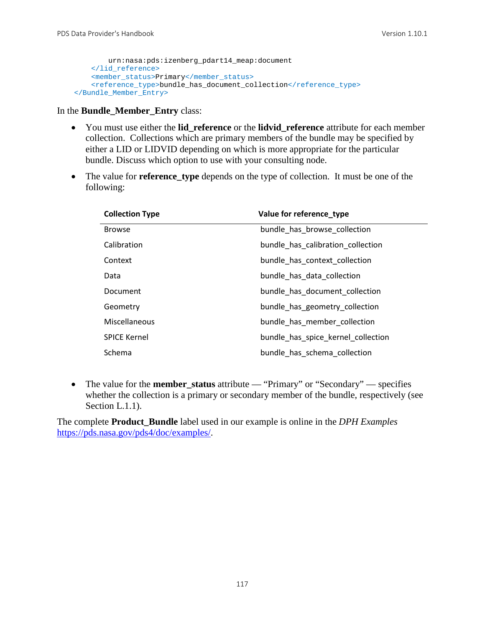```
 urn:nasa:pds:izenberg_pdart14_meap:document
     </lid_reference>
     <member_status>Primary</member_status>
    <reference_type>bundle_has_document_collection</reference_type>
 </Bundle_Member_Entry>
```
In the **Bundle\_Member\_Entry** class:

- You must use either the **lid\_reference** or the **lidvid\_reference** attribute for each member collection. Collections which are primary members of the bundle may be specified by either a LID or LIDVID depending on which is more appropriate for the particular bundle. Discuss which option to use with your consulting node.
- The value for **reference\_type** depends on the type of collection. It must be one of the following:

| <b>Collection Type</b> | Value for reference type           |
|------------------------|------------------------------------|
| <b>Browse</b>          | bundle has browse collection       |
| Calibration            | bundle has calibration collection  |
| Context                | bundle_has_context_collection      |
| Data                   | bundle has data collection         |
| Document               | bundle_has_document_collection     |
| Geometry               | bundle has geometry collection     |
| Miscellaneous          | bundle has member collection       |
| <b>SPICE Kernel</b>    | bundle has spice kernel collection |
| Schema                 | bundle_has_schema_collection       |

• The value for the **member\_status** attribute — "Primary" or "Secondary" — specifies whether the collection is a primary or secondary member of the bundle, respectively (see Section L.1.1).

The complete **Product\_Bundle** label used in our example is online in the *DPH Examples* [https://pds.nasa.gov/pds4/doc/examples/.](https://pds.nasa.gov/pds4/doc/examples/)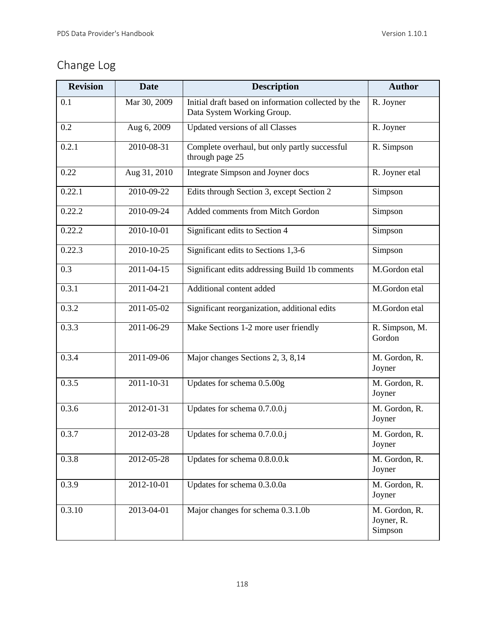# Change Log

| <b>Revision</b> | <b>Date</b>      | <b>Description</b>                                                                | <b>Author</b>                          |
|-----------------|------------------|-----------------------------------------------------------------------------------|----------------------------------------|
| 0.1             | Mar 30, 2009     | Initial draft based on information collected by the<br>Data System Working Group. | R. Joyner                              |
| 0.2             | Aug 6, 2009      | Updated versions of all Classes                                                   | R. Joyner                              |
| 0.2.1           | 2010-08-31       | Complete overhaul, but only partly successful<br>through page 25                  | R. Simpson                             |
| 0.22            | Aug 31, 2010     | Integrate Simpson and Joyner docs                                                 | R. Joyner etal                         |
| 0.22.1          | 2010-09-22       | Edits through Section 3, except Section 2                                         | Simpson                                |
| 0.22.2          | 2010-09-24       | Added comments from Mitch Gordon                                                  | Simpson                                |
| 0.22.2          | 2010-10-01       | Significant edits to Section 4                                                    | Simpson                                |
| 0.22.3          | 2010-10-25       | Significant edits to Sections 1,3-6                                               | Simpson                                |
| 0.3             | 2011-04-15       | Significant edits addressing Build 1b comments                                    | M.Gordon etal                          |
| 0.3.1           | 2011-04-21       | Additional content added                                                          | M.Gordon etal                          |
| 0.3.2           | 2011-05-02       | Significant reorganization, additional edits                                      | M.Gordon etal                          |
| 0.3.3           | 2011-06-29       | Make Sections 1-2 more user friendly                                              | R. Simpson, M.<br>Gordon               |
| 0.3.4           | 2011-09-06       | Major changes Sections 2, 3, 8,14                                                 | M. Gordon, R.<br>Joyner                |
| 0.3.5           | $2011 - 10 - 31$ | Updates for schema 0.5.00g                                                        | M. Gordon, R.<br>Joyner                |
| 0.3.6           | 2012-01-31       | Updates for schema 0.7.0.0.j                                                      | M. Gordon, R.<br>Joyner                |
| 0.3.7           | 2012-03-28       | Updates for schema $0.7.0.0$ j                                                    | M. Gordon, R.<br>Joyner                |
| 0.3.8           | 2012-05-28       | Updates for schema 0.8.0.0.k                                                      | M. Gordon, R.<br>Joyner                |
| 0.3.9           | 2012-10-01       | Updates for schema 0.3.0.0a                                                       | M. Gordon, R.<br>Joyner                |
| 0.3.10          | 2013-04-01       | Major changes for schema 0.3.1.0b                                                 | M. Gordon, R.<br>Joyner, R.<br>Simpson |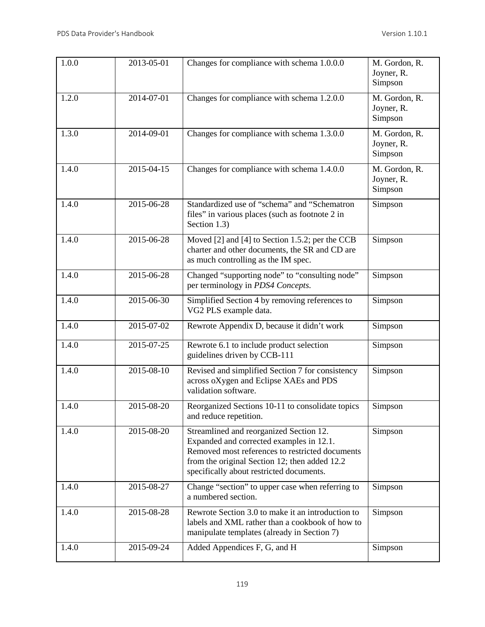| 1.0.0 | $2013 - 05 - 01$            | Changes for compliance with schema 1.0.0.0                                                                                                                                                                                          | M. Gordon, R.<br>Joyner, R.<br>Simpson |
|-------|-----------------------------|-------------------------------------------------------------------------------------------------------------------------------------------------------------------------------------------------------------------------------------|----------------------------------------|
| 1.2.0 | $2014 - \overline{07 - 01}$ | Changes for compliance with schema 1.2.0.0                                                                                                                                                                                          | M. Gordon, R.<br>Joyner, R.<br>Simpson |
| 1.3.0 | 2014-09-01                  | Changes for compliance with schema 1.3.0.0                                                                                                                                                                                          | M. Gordon, R.<br>Joyner, R.<br>Simpson |
| 1.4.0 | 2015-04-15                  | Changes for compliance with schema 1.4.0.0                                                                                                                                                                                          | M. Gordon, R.<br>Joyner, R.<br>Simpson |
| 1.4.0 | 2015-06-28                  | Standardized use of "schema" and "Schematron<br>files" in various places (such as footnote 2 in<br>Section 1.3)                                                                                                                     | Simpson                                |
| 1.4.0 | 2015-06-28                  | Moved [2] and [4] to Section 1.5.2; per the CCB<br>charter and other documents, the SR and CD are<br>as much controlling as the IM spec.                                                                                            | Simpson                                |
| 1.4.0 | $2015 - 06 - 28$            | Changed "supporting node" to "consulting node"<br>per terminology in PDS4 Concepts.                                                                                                                                                 | Simpson                                |
| 1.4.0 | 2015-06-30                  | Simplified Section 4 by removing references to<br>VG2 PLS example data.                                                                                                                                                             | Simpson                                |
| 1.4.0 | 2015-07-02                  | Rewrote Appendix D, because it didn't work                                                                                                                                                                                          | Simpson                                |
| 1.4.0 | 2015-07-25                  | Rewrote 6.1 to include product selection<br>guidelines driven by CCB-111                                                                                                                                                            | Simpson                                |
| 1.4.0 | 2015-08-10                  | Revised and simplified Section 7 for consistency<br>across oXygen and Eclipse XAEs and PDS<br>validation software.                                                                                                                  | Simpson                                |
| 1.4.0 | 2015-08-20                  | Reorganized Sections 10-11 to consolidate topics<br>and reduce repetition.                                                                                                                                                          | Simpson                                |
| 1.4.0 | 2015-08-20                  | Streamlined and reorganized Section 12.<br>Expanded and corrected examples in 12.1.<br>Removed most references to restricted documents<br>from the original Section 12; then added 12.2<br>specifically about restricted documents. | Simpson                                |
| 1.4.0 | 2015-08-27                  | Change "section" to upper case when referring to<br>a numbered section.                                                                                                                                                             | Simpson                                |
| 1.4.0 | 2015-08-28                  | Rewrote Section 3.0 to make it an introduction to<br>labels and XML rather than a cookbook of how to<br>manipulate templates (already in Section 7)                                                                                 | Simpson                                |
| 1.4.0 | 2015-09-24                  | Added Appendices F, G, and H                                                                                                                                                                                                        | Simpson                                |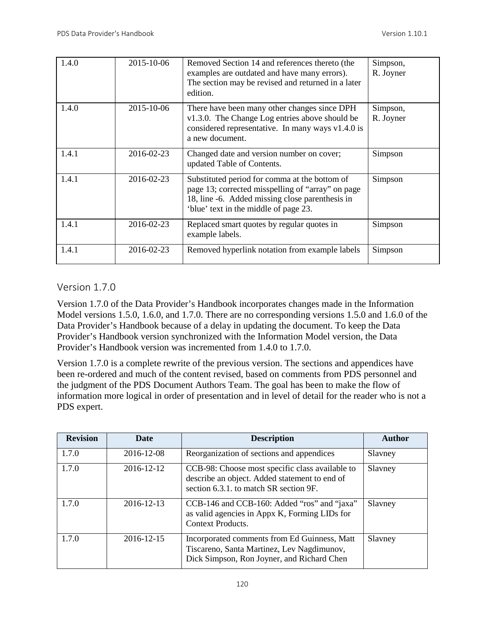| 1.4.0 | 2015-10-06 | Removed Section 14 and references thereto (the<br>examples are outdated and have many errors).<br>The section may be revised and returned in a later<br>edition.                               | Simpson,<br>R. Joyner |
|-------|------------|------------------------------------------------------------------------------------------------------------------------------------------------------------------------------------------------|-----------------------|
| 1.4.0 | 2015-10-06 | There have been many other changes since DPH<br>v1.3.0. The Change Log entries above should be<br>considered representative. In many ways $v1.4.0$ is<br>a new document.                       | Simpson,<br>R. Joyner |
| 1.4.1 | 2016-02-23 | Changed date and version number on cover;<br>updated Table of Contents.                                                                                                                        | Simpson               |
| 1.4.1 | 2016-02-23 | Substituted period for comma at the bottom of<br>page 13; corrected misspelling of "array" on page<br>18, line -6. Added missing close parenthesis in<br>'blue' text in the middle of page 23. | Simpson               |
| 1.4.1 | 2016-02-23 | Replaced smart quotes by regular quotes in<br>example labels.                                                                                                                                  | Simpson               |
| 1.4.1 | 2016-02-23 | Removed hyperlink notation from example labels                                                                                                                                                 | Simpson               |

# Version 1.7.0

Version 1.7.0 of the Data Provider's Handbook incorporates changes made in the Information Model versions 1.5.0, 1.6.0, and 1.7.0. There are no corresponding versions 1.5.0 and 1.6.0 of the Data Provider's Handbook because of a delay in updating the document. To keep the Data Provider's Handbook version synchronized with the Information Model version, the Data Provider's Handbook version was incremented from 1.4.0 to 1.7.0.

Version 1.7.0 is a complete rewrite of the previous version. The sections and appendices have been re-ordered and much of the content revised, based on comments from PDS personnel and the judgment of the PDS Document Authors Team. The goal has been to make the flow of information more logical in order of presentation and in level of detail for the reader who is not a PDS expert.

| <b>Revision</b> | <b>Date</b> | <b>Description</b>                                                                                                                         | Author  |
|-----------------|-------------|--------------------------------------------------------------------------------------------------------------------------------------------|---------|
| 1.7.0           | 2016-12-08  | Reorganization of sections and appendices                                                                                                  | Slavney |
| 1.7.0           | 2016-12-12  | CCB-98: Choose most specific class available to<br>describe an object. Added statement to end of<br>section 6.3.1, to match SR section 9F. | Slavney |
| 1.7.0           | 2016-12-13  | CCB-146 and CCB-160: Added "ros" and "jaxa"<br>as valid agencies in Appx K, Forming LIDs for<br><b>Context Products.</b>                   | Slavney |
| 1.7.0           | 2016-12-15  | Incorporated comments from Ed Guinness, Matt<br>Tiscareno, Santa Martinez, Lev Nagdimunov,<br>Dick Simpson, Ron Joyner, and Richard Chen   | Slavney |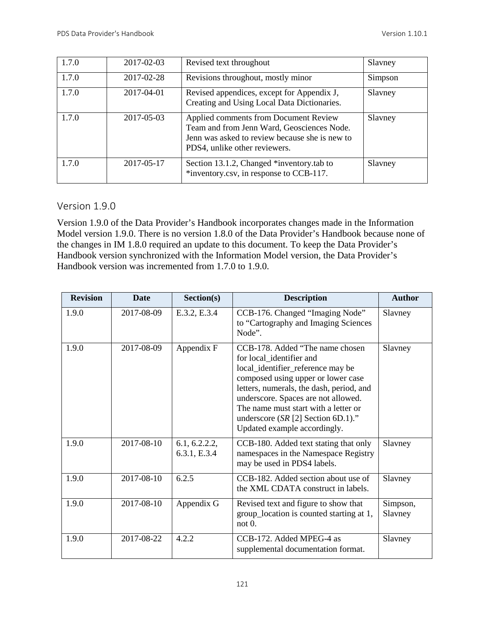| 1.7.0 | 2017-02-03 | Revised text throughout                                                                                                                                                | Slavney |
|-------|------------|------------------------------------------------------------------------------------------------------------------------------------------------------------------------|---------|
| 1.7.0 | 2017-02-28 | Revisions throughout, mostly minor                                                                                                                                     | Simpson |
| 1.7.0 | 2017-04-01 | Revised appendices, except for Appendix J,<br>Creating and Using Local Data Dictionaries.                                                                              | Slavney |
| 1.7.0 | 2017-05-03 | Applied comments from Document Review<br>Team and from Jenn Ward, Geosciences Node.<br>Jenn was asked to review because she is new to<br>PDS4, unlike other reviewers. | Slavney |
| 1.7.0 | 2017-05-17 | Section 13.1.2, Changed *inventory.tab to<br>*inventory.csv, in response to CCB-117.                                                                                   | Slavney |

# Version 1.9.0

Version 1.9.0 of the Data Provider's Handbook incorporates changes made in the Information Model version 1.9.0. There is no version 1.8.0 of the Data Provider's Handbook because none of the changes in IM 1.8.0 required an update to this document. To keep the Data Provider's Handbook version synchronized with the Information Model version, the Data Provider's Handbook version was incremented from 1.7.0 to 1.9.0.

| <b>Revision</b> | <b>Date</b> | Section(s)                    | <b>Description</b>                                                                                                                                                                                                                                                                                                                        | <b>Author</b>       |
|-----------------|-------------|-------------------------------|-------------------------------------------------------------------------------------------------------------------------------------------------------------------------------------------------------------------------------------------------------------------------------------------------------------------------------------------|---------------------|
| 1.9.0           | 2017-08-09  | E.3.2, E.3.4                  | CCB-176. Changed "Imaging Node"<br>to "Cartography and Imaging Sciences"<br>Node".                                                                                                                                                                                                                                                        | Slavney             |
| 1.9.0           | 2017-08-09  | Appendix F                    | CCB-178. Added "The name chosen<br>for local_identifier and<br>local_identifier_reference may be<br>composed using upper or lower case<br>letters, numerals, the dash, period, and<br>underscore. Spaces are not allowed.<br>The name must start with a letter or<br>underscore $(SR [2]$ Section 6D.1)."<br>Updated example accordingly. | Slavney             |
| 1.9.0           | 2017-08-10  | 6.1, 6.2.2.2,<br>6.3.1, E.3.4 | CCB-180. Added text stating that only<br>namespaces in the Namespace Registry<br>may be used in PDS4 labels.                                                                                                                                                                                                                              | Slavney             |
| 1.9.0           | 2017-08-10  | 6.2.5                         | CCB-182. Added section about use of<br>the XML CDATA construct in labels.                                                                                                                                                                                                                                                                 | Slavney             |
| 1.9.0           | 2017-08-10  | Appendix G                    | Revised text and figure to show that<br>group_location is counted starting at 1,<br>not 0.                                                                                                                                                                                                                                                | Simpson,<br>Slavney |
| 1.9.0           | 2017-08-22  | 4.2.2                         | CCB-172. Added MPEG-4 as<br>supplemental documentation format.                                                                                                                                                                                                                                                                            | Slavney             |